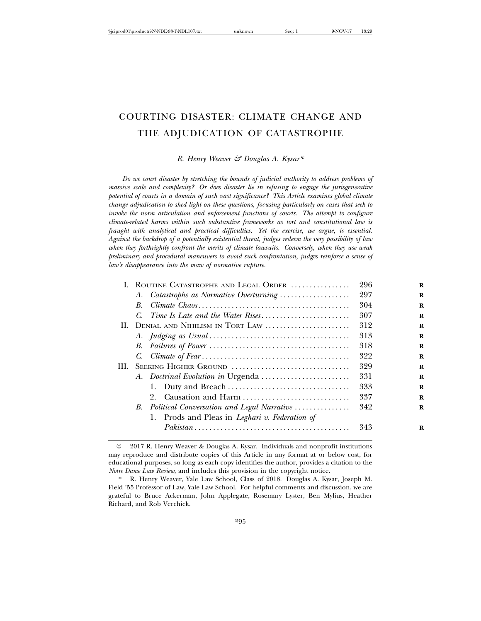# COURTING DISASTER: CLIMATE CHANGE AND THE ADJUDICATION OF CATASTROPHE

*R. Henry Weaver & Douglas A. Kysar\**

*Do we court disaster by stretching the bounds of judicial authority to address problems of massive scale and complexity? Or does disaster lie in refusing to engage the jurisgenerative potential of courts in a domain of such vast significance? This Article examines global climate change adjudication to shed light on these questions, focusing particularly on cases that seek to invoke the norm articulation and enforcement functions of courts. The attempt to configure climate-related harms within such substantive frameworks as tort and constitutional law is fraught with analytical and practical difficulties. Yet the exercise, we argue, is essential. Against the backdrop of a potentially existential threat, judges redeem the very possibility of law when they forthrightly confront the merits of climate lawsuits. Conversely, when they use weak preliminary and procedural maneuvers to avoid such confrontation, judges reinforce a sense of law's disappearance into the maw of normative rupture.*

|     |    | I. ROUTINE CATASTROPHE AND LEGAL ORDER                                                                | 296 |
|-----|----|-------------------------------------------------------------------------------------------------------|-----|
|     |    | A. Catastrophe as Normative Overturning                                                               | 297 |
|     | B. |                                                                                                       | 304 |
|     |    |                                                                                                       | 307 |
|     |    | II. DENIAL AND NIHILISM IN TORT LAW                                                                   | 312 |
|     |    |                                                                                                       | 313 |
|     |    |                                                                                                       | 318 |
|     |    |                                                                                                       | 322 |
| HI. |    | SEEKING HIGHER GROUND                                                                                 | 329 |
|     |    |                                                                                                       | 331 |
|     |    |                                                                                                       | 333 |
|     |    | Causation and Harm<br>2.                                                                              | 337 |
|     |    | B. Political Conversation and Legal Narrative                                                         | 342 |
|     |    | 1. Prods and Pleas in <i>Leghari v. Federation of</i>                                                 |     |
|     |    | $Pakistan \ldots \ldots \ldots \ldots \ldots \ldots \ldots \ldots \ldots \ldots \ldots \ldots \ldots$ | 343 |
|     |    |                                                                                                       |     |

<sup>©</sup> 2017 R. Henry Weaver & Douglas A. Kysar. Individuals and nonprofit institutions may reproduce and distribute copies of this Article in any format at or below cost, for educational purposes, so long as each copy identifies the author, provides a citation to the *Notre Dame Law Review*, and includes this provision in the copyright notice.

R. Henry Weaver, Yale Law School, Class of 2018. Douglas A. Kysar, Joseph M. Field '55 Professor of Law, Yale Law School. For helpful comments and discussion, we are grateful to Bruce Ackerman, John Applegate, Rosemary Lyster, Ben Mylius, Heather Richard, and Rob Verchick.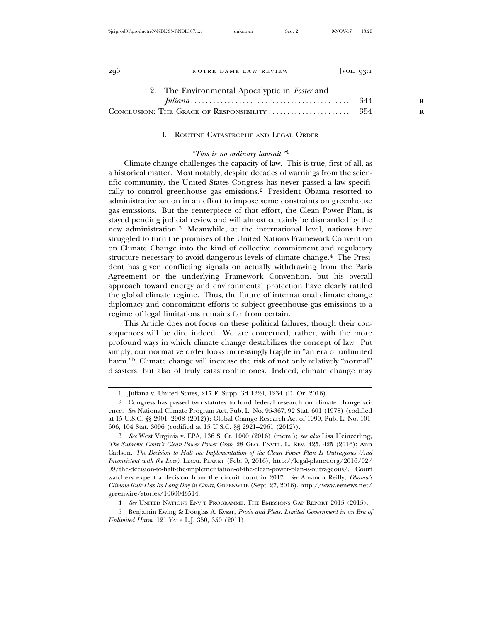| 2. The Environmental Apocalyptic in Foster and |  |
|------------------------------------------------|--|
|                                                |  |
|                                                |  |

I. ROUTINE CATASTROPHE AND LEGAL ORDER

## *"This is no ordinary lawsuit."*<sup>1</sup>

Climate change challenges the capacity of law. This is true, first of all, as a historical matter. Most notably, despite decades of warnings from the scientific community, the United States Congress has never passed a law specifically to control greenhouse gas emissions.2 President Obama resorted to administrative action in an effort to impose some constraints on greenhouse gas emissions. But the centerpiece of that effort, the Clean Power Plan, is stayed pending judicial review and will almost certainly be dismantled by the new administration.3 Meanwhile, at the international level, nations have struggled to turn the promises of the United Nations Framework Convention on Climate Change into the kind of collective commitment and regulatory structure necessary to avoid dangerous levels of climate change.<sup>4</sup> The President has given conflicting signals on actually withdrawing from the Paris Agreement or the underlying Framework Convention, but his overall approach toward energy and environmental protection have clearly rattled the global climate regime. Thus, the future of international climate change diplomacy and concomitant efforts to subject greenhouse gas emissions to a regime of legal limitations remains far from certain.

This Article does not focus on these political failures, though their consequences will be dire indeed. We are concerned, rather, with the more profound ways in which climate change destabilizes the concept of law. Put simply, our normative order looks increasingly fragile in "an era of unlimited harm."<sup>5</sup> Climate change will increase the risk of not only relatively "normal" disasters, but also of truly catastrophic ones. Indeed, climate change may

3 *See* West Virginia v. EPA, 136 S. Ct. 1000 (2016) (mem.); *see also* Lisa Heinzerling, *The Supreme Court's Clean-Power Power Grab*, 28 GEO. ENVTL. L. REV. 425, 425 (2016); Ann Carlson, *The Decision to Halt the Implementation of the Clean Power Plan Is Outrageous (And Inconsistent with the Law)*, LEGAL PLANET (Feb. 9, 2016), http://legal-planet.org/2016/02/ 09/the-decision-to-halt-the-implementation-of-the-clean-power-plan-is-outrageous/. Court watchers expect a decision from the circuit court in 2017. *See* Amanda Reilly, *Obama's Climate Rule Has Its Long Day in Court*, GREENWIRE (Sept. 27, 2016), http://www.eenews.net/ greenwire/stories/1060043514.

4 *See* UNITED NATIONS ENV'T PROGRAMME, THE EMISSIONS GAP REPORT 2015 (2015).

5 Benjamin Ewing & Douglas A. Kysar, *Prods and Pleas: Limited Government in an Era of Unlimited Harm*, 121 YALE L.J. 350, 350 (2011).

<sup>1</sup> Juliana v. United States, 217 F. Supp. 3d 1224, 1234 (D. Or. 2016).

<sup>2</sup> Congress has passed two statutes to fund federal research on climate change science. *See* National Climate Program Act, Pub. L. No. 95-367, 92 Stat. 601 (1978) (codified at 15 U.S.C. §§ 2901–2908 (2012)); Global Change Research Act of 1990, Pub. L. No. 101- 606, 104 Stat. 3096 (codified at 15 U.S.C. §§ 2921–2961 (2012)).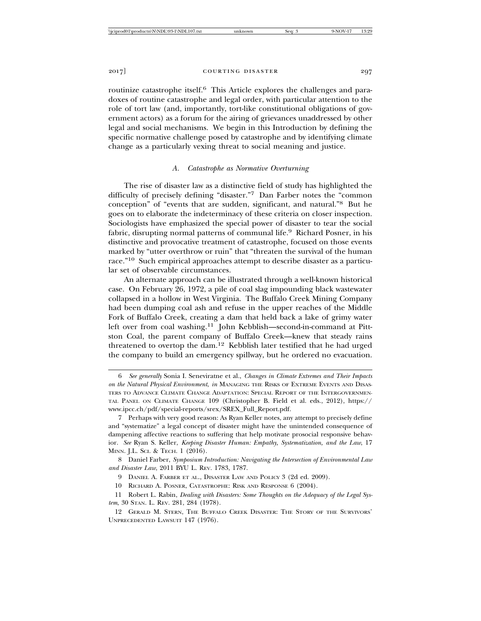2017] **courting disaster 297** 

routinize catastrophe itself.<sup>6</sup> This Article explores the challenges and paradoxes of routine catastrophe and legal order, with particular attention to the role of tort law (and, importantly, tort-like constitutional obligations of government actors) as a forum for the airing of grievances unaddressed by other legal and social mechanisms. We begin in this Introduction by defining the specific normative challenge posed by catastrophe and by identifying climate change as a particularly vexing threat to social meaning and justice.

# *A. Catastrophe as Normative Overturning*

The rise of disaster law as a distinctive field of study has highlighted the difficulty of precisely defining "disaster."7 Dan Farber notes the "common conception" of "events that are sudden, significant, and natural."8 But he goes on to elaborate the indeterminacy of these criteria on closer inspection. Sociologists have emphasized the special power of disaster to tear the social fabric, disrupting normal patterns of communal life.<sup>9</sup> Richard Posner, in his distinctive and provocative treatment of catastrophe, focused on those events marked by "utter overthrow or ruin" that "threaten the survival of the human race."10 Such empirical approaches attempt to describe disaster as a particular set of observable circumstances.

An alternate approach can be illustrated through a well-known historical case. On February 26, 1972, a pile of coal slag impounding black wastewater collapsed in a hollow in West Virginia. The Buffalo Creek Mining Company had been dumping coal ash and refuse in the upper reaches of the Middle Fork of Buffalo Creek, creating a dam that held back a lake of grimy water left over from coal washing.11 John Kebblish—second-in-command at Pittston Coal, the parent company of Buffalo Creek—knew that steady rains threatened to overtop the dam.12 Kebblish later testified that he had urged the company to build an emergency spillway, but he ordered no evacuation.

<sup>6</sup> *See generally* Sonia I. Seneviratne et al., *Changes in Climate Extremes and Their Impacts on the Natural Physical Environment*, *in* MANAGING THE RISKS OF EXTREME EVENTS AND DISAS-TERS TO ADVANCE CLIMATE CHANGE ADAPTATION: SPECIAL REPORT OF THE INTERGOVERNMEN-TAL PANEL ON CLIMATE CHANGE 109 (Christopher B. Field et al. eds., 2012), https:// www.ipcc.ch/pdf/special-reports/srex/SREX\_Full\_Report.pdf.

<sup>7</sup> Perhaps with very good reason: As Ryan Keller notes, any attempt to precisely define and "systematize" a legal concept of disaster might have the unintended consequence of dampening affective reactions to suffering that help motivate prosocial responsive behavior. *See* Ryan S. Keller, *Keeping Disaster Human: Empathy, Systematization, and the Law*, 17 MINN. J.L. SCI. & TECH. 1 (2016).

<sup>8</sup> Daniel Farber, *Symposium Introduction: Navigating the Intersection of Environmental Law and Disaster Law*, 2011 BYU L. REV. 1783, 1787.

<sup>9</sup> DANIEL A. FARBER ET AL., DISASTER LAW AND POLICY 3 (2d ed. 2009).

<sup>10</sup> RICHARD A. POSNER, CATASTROPHE: RISK AND RESPONSE 6 (2004).

<sup>11</sup> Robert L. Rabin, *Dealing with Disasters: Some Thoughts on the Adequacy of the Legal System*, 30 STAN. L. REV. 281, 284 (1978).

<sup>12</sup> GERALD M. STERN, THE BUFFALO CREEK DISASTER: THE STORY OF THE SURVIVORS' UNPRECEDENTED LAWSUIT 147 (1976).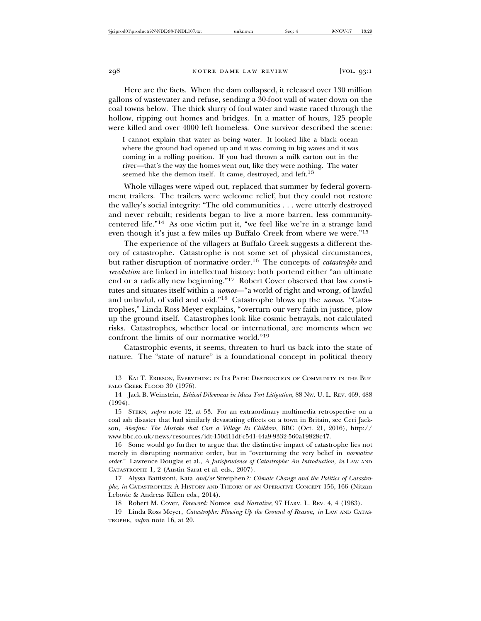Here are the facts. When the dam collapsed, it released over 130 million gallons of wastewater and refuse, sending a 30-foot wall of water down on the coal towns below. The thick slurry of foul water and waste raced through the hollow, ripping out homes and bridges. In a matter of hours, 125 people were killed and over 4000 left homeless. One survivor described the scene:

I cannot explain that water as being water. It looked like a black ocean where the ground had opened up and it was coming in big waves and it was coming in a rolling position. If you had thrown a milk carton out in the river—that's the way the homes went out, like they were nothing. The water seemed like the demon itself. It came, destroyed, and left.<sup>13</sup>

Whole villages were wiped out, replaced that summer by federal government trailers. The trailers were welcome relief, but they could not restore the valley's social integrity: "The old communities . . . were utterly destroyed and never rebuilt; residents began to live a more barren, less communitycentered life."14 As one victim put it, "we feel like we're in a strange land even though it's just a few miles up Buffalo Creek from where we were."<sup>15</sup>

The experience of the villagers at Buffalo Creek suggests a different theory of catastrophe. Catastrophe is not some set of physical circumstances, but rather disruption of normative order.16 The concepts of *catastrophe* and *revolution* are linked in intellectual history: both portend either "an ultimate end or a radically new beginning."17 Robert Cover observed that law constitutes and situates itself within a *nomos*—"a world of right and wrong, of lawful and unlawful, of valid and void."18 Catastrophe blows up the *nomos*. "Catastrophes," Linda Ross Meyer explains, "overturn our very faith in justice, plow up the ground itself. Catastrophes look like cosmic betrayals, not calculated risks. Catastrophes, whether local or international, are moments when we confront the limits of our normative world."<sup>19</sup>

Catastrophic events, it seems, threaten to hurl us back into the state of nature. The "state of nature" is a foundational concept in political theory

16 Some would go further to argue that the distinctive impact of catastrophe lies not merely in disrupting normative order, but in "overturning the very belief in *normative order*." Lawrence Douglas et al., *A Jurisprudence of Catastrophe: An Introduction*, *in* LAW AND CATASTROPHE 1, 2 (Austin Sarat et al. eds., 2007).

17 Alyssa Battistoni, Kata *and/or* Streiphen*?: Climate Change and the Politics of Catastrophe*, *in* CATASTROPHES: A HISTORY AND THEORY OF AN OPERATIVE CONCEPT 156, 166 (Nitzan Lebovic & Andreas Killen eds., 2014).

18 Robert M. Cover, *Foreword:* Nomos *and Narrative*, 97 HARV. L. REV. 4, 4 (1983).

19 Linda Ross Meyer, *Catastrophe: Plowing Up the Ground of Reason*, *in* LAW AND CATAS-TROPHE, *supra* note 16, at 20.

<sup>13</sup> KAI T. ERIKSON, EVERYTHING IN ITS PATH: DESTRUCTION OF COMMUNITY IN THE BUF-FALO CREEK FLOOD 30 (1976).

<sup>14</sup> Jack B. Weinstein, *Ethical Dilemmas in Mass Tort Litigation*, 88 NW. U. L. REV. 469, 488 (1994).

<sup>15</sup> STERN, *supra* note 12, at 53. For an extraordinary multimedia retrospective on a coal ash disaster that had similarly devastating effects on a town in Britain, see Ceri Jackson, *Aberfan: The Mistake that Cost a Village Its Children*, BBC (Oct. 21, 2016), http:// www.bbc.co.uk/news/resources/idt-150d11df-c541-44a9-9332-560a19828c47.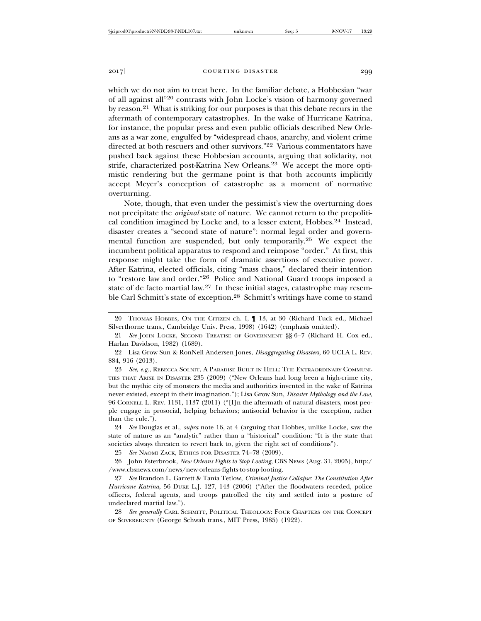which we do not aim to treat here. In the familiar debate, a Hobbesian "war of all against all"20 contrasts with John Locke's vision of harmony governed by reason.21 What is striking for our purposes is that this debate recurs in the aftermath of contemporary catastrophes. In the wake of Hurricane Katrina, for instance, the popular press and even public officials described New Orleans as a war zone, engulfed by "widespread chaos, anarchy, and violent crime directed at both rescuers and other survivors."<sup>22</sup> Various commentators have pushed back against these Hobbesian accounts, arguing that solidarity, not strife, characterized post-Katrina New Orleans.<sup>23</sup> We accept the more optimistic rendering but the germane point is that both accounts implicitly accept Meyer's conception of catastrophe as a moment of normative overturning.

Note, though, that even under the pessimist's view the overturning does not precipitate the *original* state of nature. We cannot return to the prepolitical condition imagined by Locke and, to a lesser extent, Hobbes.<sup>24</sup> Instead, disaster creates a "second state of nature": normal legal order and governmental function are suspended, but only temporarily.25 We expect the incumbent political apparatus to respond and reimpose "order." At first, this response might take the form of dramatic assertions of executive power. After Katrina, elected officials, citing "mass chaos," declared their intention to "restore law and order."26 Police and National Guard troops imposed a state of de facto martial law.<sup>27</sup> In these initial stages, catastrophe may resemble Carl Schmitt's state of exception.28 Schmitt's writings have come to stand

23 *See, e.g.*, REBECCA SOLNIT, A PARADISE BUILT IN HELL: THE EXTRAORDINARY COMMUNI-TIES THAT ARISE IN DISASTER 235 (2009) ("New Orleans had long been a high-crime city, but the mythic city of monsters the media and authorities invented in the wake of Katrina never existed, except in their imagination."); Lisa Grow Sun, *Disaster Mythology and the Law*, 96 CORNELL L. REV. 1131, 1137 (2011) ("[I]n the aftermath of natural disasters, most people engage in prosocial, helping behaviors; antisocial behavior is the exception, rather than the rule.").

24 *See* Douglas et al., *supra* note 16, at 4 (arguing that Hobbes, unlike Locke, saw the state of nature as an "analytic" rather than a "historical" condition: "It is the state that societies always threaten to revert back to, given the right set of conditions").

25 *See* NAOMI ZACK, ETHICS FOR DISASTER 74–78 (2009).

26 John Esterbrook, *New Orleans Fights to Stop Looting*, CBS NEWS (Aug. 31, 2005), http:/ /www.cbsnews.com/news/new-orleans-fights-to-stop-looting.

27 *See* Brandon L. Garrett & Tania Tetlow, *Criminal Justice Collapse: The Constitution After Hurricane Katrina*, 56 DUKE L.J. 127, 143 (2006) ("After the floodwaters receded, police officers, federal agents, and troops patrolled the city and settled into a posture of undeclared martial law.").

28 *See generally* CARL SCHMITT, POLITICAL THEOLOGY: FOUR CHAPTERS ON THE CONCEPT OF SOVEREIGNTY (George Schwab trans., MIT Press, 1985) (1922).

<sup>20</sup> THOMAS HOBBES, ON THE CITIZEN ch. I, ¶ 13, at 30 (Richard Tuck ed., Michael Silverthorne trans., Cambridge Univ. Press, 1998) (1642) (emphasis omitted).

<sup>21</sup> *See* JOHN LOCKE, SECOND TREATISE OF GOVERNMENT §§ 6–7 (Richard H. Cox ed., Harlan Davidson, 1982) (1689).

<sup>22</sup> Lisa Grow Sun & RonNell Andersen Jones, *Disaggregating Disasters*, 60 UCLA L. REV. 884, 916 (2013).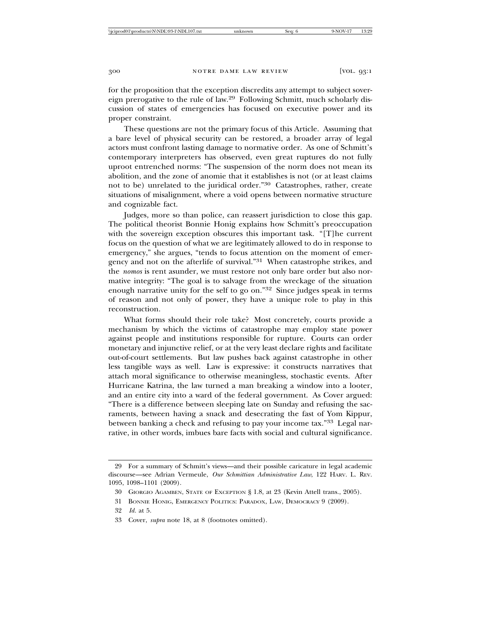for the proposition that the exception discredits any attempt to subject sovereign prerogative to the rule of law.29 Following Schmitt, much scholarly discussion of states of emergencies has focused on executive power and its proper constraint.

These questions are not the primary focus of this Article. Assuming that a bare level of physical security can be restored, a broader array of legal actors must confront lasting damage to normative order. As one of Schmitt's contemporary interpreters has observed, even great ruptures do not fully uproot entrenched norms: "The suspension of the norm does not mean its abolition, and the zone of anomie that it establishes is not (or at least claims not to be) unrelated to the juridical order."30 Catastrophes, rather, create situations of misalignment, where a void opens between normative structure and cognizable fact.

Judges, more so than police, can reassert jurisdiction to close this gap. The political theorist Bonnie Honig explains how Schmitt's preoccupation with the sovereign exception obscures this important task. "[T]he current focus on the question of what we are legitimately allowed to do in response to emergency," she argues, "tends to focus attention on the moment of emergency and not on the afterlife of survival."31 When catastrophe strikes, and the *nomos* is rent asunder, we must restore not only bare order but also normative integrity: "The goal is to salvage from the wreckage of the situation enough narrative unity for the self to go on."32 Since judges speak in terms of reason and not only of power, they have a unique role to play in this reconstruction.

What forms should their role take? Most concretely, courts provide a mechanism by which the victims of catastrophe may employ state power against people and institutions responsible for rupture. Courts can order monetary and injunctive relief, or at the very least declare rights and facilitate out-of-court settlements. But law pushes back against catastrophe in other less tangible ways as well. Law is expressive: it constructs narratives that attach moral significance to otherwise meaningless, stochastic events. After Hurricane Katrina, the law turned a man breaking a window into a looter, and an entire city into a ward of the federal government. As Cover argued: "There is a difference between sleeping late on Sunday and refusing the sacraments, between having a snack and desecrating the fast of Yom Kippur, between banking a check and refusing to pay your income tax."33 Legal narrative, in other words, imbues bare facts with social and cultural significance.

<sup>29</sup> For a summary of Schmitt's views—and their possible caricature in legal academic discourse—see Adrian Vermeule, *Our Schmittian Administrative Law*, 122 HARV. L. REV. 1095, 1098–1101 (2009).

<sup>30</sup> GIORGIO AGAMBEN, STATE OF EXCEPTION § 1.8, at 23 (Kevin Attell trans., 2005).

<sup>31</sup> BONNIE HONIG, EMERGENCY POLITICS: PARADOX, LAW, DEMOCRACY 9 (2009).

<sup>32</sup> *Id.* at 5.

<sup>33</sup> Cover, *supra* note 18, at 8 (footnotes omitted).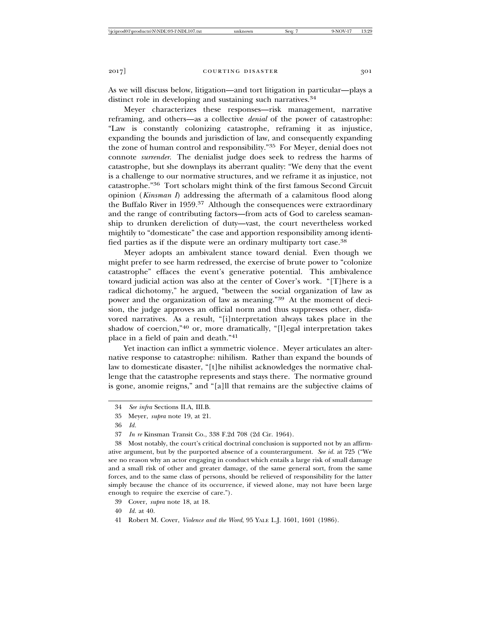As we will discuss below, litigation—and tort litigation in particular—plays a distinct role in developing and sustaining such narratives.<sup>34</sup>

Meyer characterizes these responses—risk management, narrative reframing, and others—as a collective *denial* of the power of catastrophe: "Law is constantly colonizing catastrophe, reframing it as injustice, expanding the bounds and jurisdiction of law, and consequently expanding the zone of human control and responsibility."35 For Meyer, denial does not connote *surrender*. The denialist judge does seek to redress the harms of catastrophe, but she downplays its aberrant quality: "We deny that the event is a challenge to our normative structures, and we reframe it as injustice, not catastrophe."36 Tort scholars might think of the first famous Second Circuit opinion (*Kinsman I*) addressing the aftermath of a calamitous flood along the Buffalo River in 1959.37 Although the consequences were extraordinary and the range of contributing factors—from acts of God to careless seamanship to drunken dereliction of duty—vast, the court nevertheless worked mightily to "domesticate" the case and apportion responsibility among identified parties as if the dispute were an ordinary multiparty tort case.<sup>38</sup>

Meyer adopts an ambivalent stance toward denial. Even though we might prefer to see harm redressed, the exercise of brute power to "colonize catastrophe" effaces the event's generative potential. This ambivalence toward judicial action was also at the center of Cover's work. "[T]here is a radical dichotomy," he argued, "between the social organization of law as power and the organization of law as meaning."39 At the moment of decision, the judge approves an official norm and thus suppresses other, disfavored narratives. As a result, "[i]nterpretation always takes place in the shadow of coercion,"40 or, more dramatically, "[l]egal interpretation takes place in a field of pain and death."<sup>41</sup>

Yet inaction can inflict a symmetric violence*.* Meyer articulates an alternative response to catastrophe: nihilism. Rather than expand the bounds of law to domesticate disaster, "[t]he nihilist acknowledges the normative challenge that the catastrophe represents and stays there. The normative ground is gone, anomie reigns," and "[a]ll that remains are the subjective claims of

<sup>34</sup> *See infra* Sections II.A, III.B.

<sup>35</sup> Meyer, *supra* note 19, at 21.

<sup>36</sup> *Id.*

<sup>37</sup> *In re* Kinsman Transit Co., 338 F.2d 708 (2d Cir. 1964).

<sup>38</sup> Most notably, the court's critical doctrinal conclusion is supported not by an affirmative argument, but by the purported absence of a counterargument. *See id.* at 725 ("We see no reason why an actor engaging in conduct which entails a large risk of small damage and a small risk of other and greater damage, of the same general sort, from the same forces, and to the same class of persons, should be relieved of responsibility for the latter simply because the chance of its occurrence, if viewed alone, may not have been large enough to require the exercise of care.").

<sup>39</sup> Cover, *supra* note 18, at 18.

<sup>40</sup> *Id.* at 40.

<sup>41</sup> Robert M. Cover, *Violence and the Word*, 95 YALE L.J. 1601, 1601 (1986).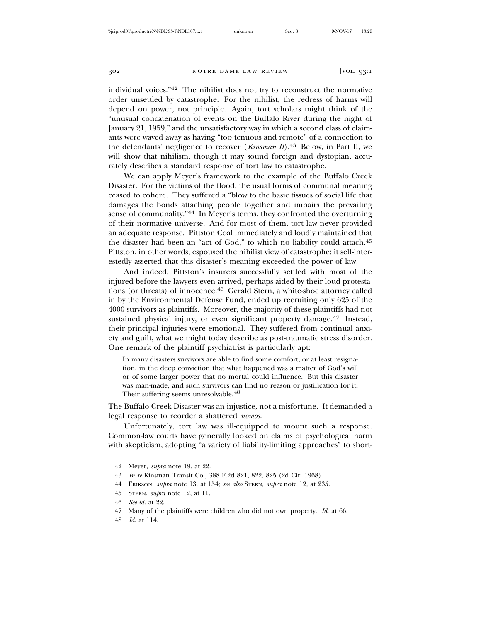individual voices."42 The nihilist does not try to reconstruct the normative order unsettled by catastrophe. For the nihilist, the redress of harms will depend on power, not principle. Again, tort scholars might think of the "unusual concatenation of events on the Buffalo River during the night of January 21, 1959," and the unsatisfactory way in which a second class of claimants were waved away as having "too tenuous and remote" of a connection to the defendants' negligence to recover (*Kinsman II*).<sup>43</sup> Below, in Part II, we will show that nihilism, though it may sound foreign and dystopian, accurately describes a standard response of tort law to catastrophe.

We can apply Meyer's framework to the example of the Buffalo Creek Disaster. For the victims of the flood, the usual forms of communal meaning ceased to cohere. They suffered a "blow to the basic tissues of social life that damages the bonds attaching people together and impairs the prevailing sense of communality."44 In Meyer's terms, they confronted the overturning of their normative universe. And for most of them, tort law never provided an adequate response. Pittston Coal immediately and loudly maintained that the disaster had been an "act of God," to which no liability could attach.<sup>45</sup> Pittston, in other words, espoused the nihilist view of catastrophe: it self-interestedly asserted that this disaster's meaning exceeded the power of law.

And indeed, Pittston's insurers successfully settled with most of the injured before the lawyers even arrived, perhaps aided by their loud protestations (or threats) of innocence.46 Gerald Stern, a white-shoe attorney called in by the Environmental Defense Fund, ended up recruiting only 625 of the 4000 survivors as plaintiffs. Moreover, the majority of these plaintiffs had not sustained physical injury, or even significant property damage.<sup>47</sup> Instead, their principal injuries were emotional. They suffered from continual anxiety and guilt, what we might today describe as post-traumatic stress disorder. One remark of the plaintiff psychiatrist is particularly apt:

In many disasters survivors are able to find some comfort, or at least resignation, in the deep conviction that what happened was a matter of God's will or of some larger power that no mortal could influence. But this disaster was man-made, and such survivors can find no reason or justification for it. Their suffering seems unresolvable.<sup>48</sup>

The Buffalo Creek Disaster was an injustice, not a misfortune. It demanded a legal response to reorder a shattered *nomos*.

Unfortunately, tort law was ill-equipped to mount such a response. Common-law courts have generally looked on claims of psychological harm with skepticism, adopting "a variety of liability-limiting approaches" to short-

48 *Id.* at 114.

<sup>42</sup> Meyer, *supra* note 19, at 22.

<sup>43</sup> *In re* Kinsman Transit Co., 388 F.2d 821, 822, 825 (2d Cir. 1968).

<sup>44</sup> ERIKSON, *supra* note 13, at 154; *see also* STERN, *supra* note 12, at 235.

<sup>45</sup> STERN, *supra* note 12, at 11.

<sup>46</sup> *See id.* at 22.

<sup>47</sup> Many of the plaintiffs were children who did not own property. *Id.* at 66.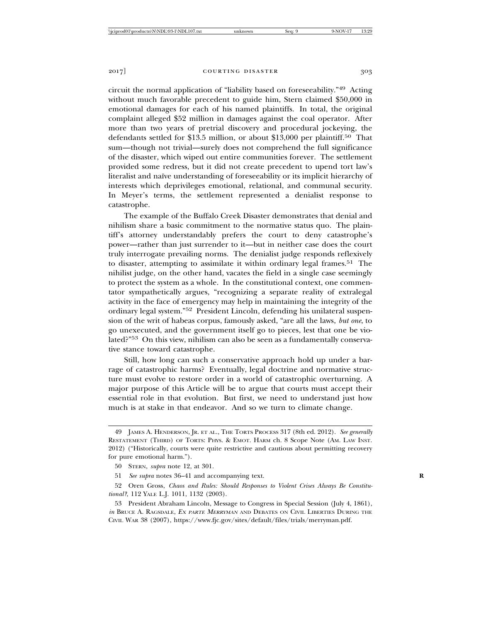circuit the normal application of "liability based on foreseeability."49 Acting without much favorable precedent to guide him, Stern claimed \$50,000 in emotional damages for each of his named plaintiffs. In total, the original complaint alleged \$52 million in damages against the coal operator. After more than two years of pretrial discovery and procedural jockeying, the defendants settled for \$13.5 million, or about \$13,000 per plaintiff.50 That sum—though not trivial—surely does not comprehend the full significance of the disaster, which wiped out entire communities forever. The settlement provided some redress, but it did not create precedent to upend tort law's literalist and naïve understanding of foreseeability or its implicit hierarchy of interests which deprivileges emotional, relational, and communal security. In Meyer's terms, the settlement represented a denialist response to catastrophe.

The example of the Buffalo Creek Disaster demonstrates that denial and nihilism share a basic commitment to the normative status quo. The plaintiff's attorney understandably prefers the court to deny catastrophe's power—rather than just surrender to it—but in neither case does the court truly interrogate prevailing norms. The denialist judge responds reflexively to disaster, attempting to assimilate it within ordinary legal frames.<sup>51</sup> The nihilist judge, on the other hand, vacates the field in a single case seemingly to protect the system as a whole. In the constitutional context, one commentator sympathetically argues, "recognizing a separate reality of extralegal activity in the face of emergency may help in maintaining the integrity of the ordinary legal system."52 President Lincoln, defending his unilateral suspension of the writ of habeas corpus, famously asked, "are all the laws, *but one*, to go unexecuted, and the government itself go to pieces, lest that one be violated?"53 On this view, nihilism can also be seen as a fundamentally conservative stance toward catastrophe.

Still, how long can such a conservative approach hold up under a barrage of catastrophic harms? Eventually, legal doctrine and normative structure must evolve to restore order in a world of catastrophic overturning. A major purpose of this Article will be to argue that courts must accept their essential role in that evolution. But first, we need to understand just how much is at stake in that endeavor. And so we turn to climate change.

<sup>49</sup> JAMES A. HENDERSON, JR. ET AL., THE TORTS PROCESS 317 (8th ed. 2012). *See generally* RESTATEMENT (THIRD) OF TORTS: PHYS. & EMOT. HARM ch. 8 Scope Note (AM. LAW INST. 2012) ("Historically, courts were quite restrictive and cautious about permitting recovery for pure emotional harm.").

<sup>50</sup> STERN, *supra* note 12, at 301.

<sup>51</sup> See supra notes 36-41 and accompanying text.

<sup>52</sup> Oren Gross, *Chaos and Rules: Should Responses to Violent Crises Always Be Constitutional?*, 112 YALE L.J. 1011, 1132 (2003).

<sup>53</sup> President Abraham Lincoln, Message to Congress in Special Session (July 4, 1861), *in* BRUCE A. RAGSDALE, <sup>E</sup><sup>X</sup> PARTE MERRYMAN AND DEBATES ON CIVIL LIBERTIES DURING THE CIVIL WAR 38 (2007), https://www.fjc.gov/sites/default/files/trials/merryman.pdf.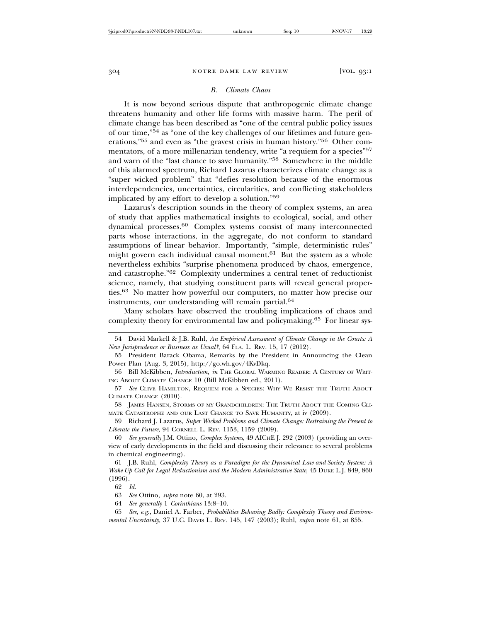## *B. Climate Chaos*

It is now beyond serious dispute that anthropogenic climate change threatens humanity and other life forms with massive harm. The peril of climate change has been described as "one of the central public policy issues of our time,"54 as "one of the key challenges of our lifetimes and future generations,"55 and even as "the gravest crisis in human history."56 Other commentators, of a more millenarian tendency, write "a requiem for a species"<sup>57</sup> and warn of the "last chance to save humanity."58 Somewhere in the middle of this alarmed spectrum, Richard Lazarus characterizes climate change as a "super wicked problem" that "defies resolution because of the enormous interdependencies, uncertainties, circularities, and conflicting stakeholders implicated by any effort to develop a solution."<sup>59</sup>

Lazarus's description sounds in the theory of complex systems, an area of study that applies mathematical insights to ecological, social, and other dynamical processes.60 Complex systems consist of many interconnected parts whose interactions, in the aggregate, do not conform to standard assumptions of linear behavior. Importantly, "simple, deterministic rules" might govern each individual causal moment. $61$  But the system as a whole nevertheless exhibits "surprise phenomena produced by chaos, emergence, and catastrophe."62 Complexity undermines a central tenet of reductionist science, namely, that studying constituent parts will reveal general properties.63 No matter how powerful our computers, no matter how precise our instruments, our understanding will remain partial.<sup>64</sup>

Many scholars have observed the troubling implications of chaos and complexity theory for environmental law and policymaking.65 For linear sys-

56 Bill McKibben, *Introduction*, *in* THE GLOBAL WARMING READER: A CENTURY OF WRIT-ING ABOUT CLIMATE CHANGE 10 (Bill McKibben ed., 2011).

58 JAMES HANSEN, STORMS OF MY GRANDCHILDREN: THE TRUTH ABOUT THE COMING CLI-MATE CATASTROPHE AND OUR LAST CHANCE TO SAVE HUMANITY, at iv (2009).

59 Richard J. Lazarus, *Super Wicked Problems and Climate Change: Restraining the Present to Liberate the Future*, 94 CORNELL L. REV. 1153, 1159 (2009).

60 *See generally* J.M. Ottino, *Complex Systems*, 49 AICHE J. 292 (2003) (providing an overview of early developments in the field and discussing their relevance to several problems in chemical engineering).

61 J.B. Ruhl, *Complexity Theory as a Paradigm for the Dynamical Law-and-Society System: A Wake-Up Call for Legal Reductionism and the Modern Administrative State*, 45 DUKE L.J. 849, 860 (1996).

65 *See, e.g.*, Daniel A. Farber, *Probabilities Behaving Badly: Complexity Theory and Environmental Uncertainty*, 37 U.C. DAVIS L. REV. 145, 147 (2003); Ruhl, *supra* note 61, at 855.

<sup>54</sup> David Markell & J.B. Ruhl, *An Empirical Assessment of Climate Change in the Courts: A New Jurisprudence or Business as Usual?*, 64 FLA. L. REV. 15, 17 (2012).

<sup>55</sup> President Barack Obama, Remarks by the President in Announcing the Clean Power Plan (Aug. 3, 2015), http://go.wh.gov/4KvDkq.

<sup>57</sup> *See* CLIVE HAMILTON, REQUIEM FOR A SPECIES: WHY WE RESIST THE TRUTH ABOUT CLIMATE CHANGE (2010).

<sup>62</sup> *Id.*

<sup>63</sup> *See* Ottino, *supra* note 60, at 293.

<sup>64</sup> *See generally* 1 *Corinthians* 13:8–10.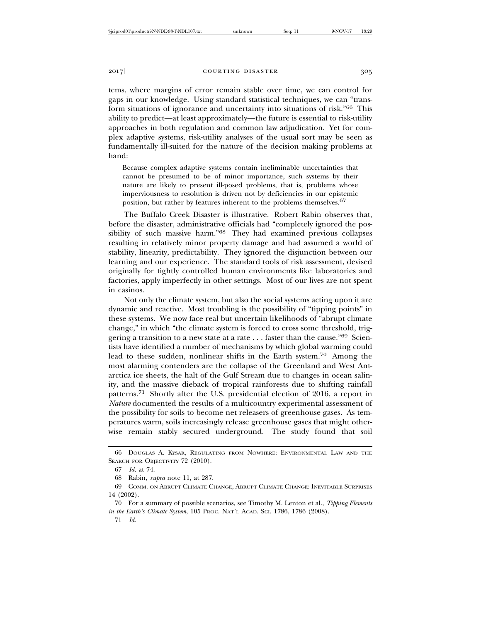tems, where margins of error remain stable over time, we can control for gaps in our knowledge. Using standard statistical techniques, we can "transform situations of ignorance and uncertainty into situations of risk."66 This ability to predict—at least approximately—the future is essential to risk-utility approaches in both regulation and common law adjudication. Yet for complex adaptive systems, risk-utility analyses of the usual sort may be seen as fundamentally ill-suited for the nature of the decision making problems at hand:

Because complex adaptive systems contain ineliminable uncertainties that cannot be presumed to be of minor importance, such systems by their nature are likely to present ill-posed problems, that is, problems whose imperviousness to resolution is driven not by deficiencies in our epistemic position, but rather by features inherent to the problems themselves.<sup>67</sup>

The Buffalo Creek Disaster is illustrative. Robert Rabin observes that, before the disaster, administrative officials had "completely ignored the possibility of such massive harm."68 They had examined previous collapses resulting in relatively minor property damage and had assumed a world of stability, linearity, predictability. They ignored the disjunction between our learning and our experience. The standard tools of risk assessment, devised originally for tightly controlled human environments like laboratories and factories, apply imperfectly in other settings. Most of our lives are not spent in casinos.

Not only the climate system, but also the social systems acting upon it are dynamic and reactive. Most troubling is the possibility of "tipping points" in these systems. We now face real but uncertain likelihoods of "abrupt climate change," in which "the climate system is forced to cross some threshold, triggering a transition to a new state at a rate . . . faster than the cause."69 Scientists have identified a number of mechanisms by which global warming could lead to these sudden, nonlinear shifts in the Earth system.70 Among the most alarming contenders are the collapse of the Greenland and West Antarctica ice sheets, the halt of the Gulf Stream due to changes in ocean salinity, and the massive dieback of tropical rainforests due to shifting rainfall patterns.71 Shortly after the U.S. presidential election of 2016, a report in *Nature* documented the results of a multicountry experimental assessment of the possibility for soils to become net releasers of greenhouse gases. As temperatures warm, soils increasingly release greenhouse gases that might otherwise remain stably secured underground. The study found that soil

<sup>66</sup> DOUGLAS A. KYSAR, REGULATING FROM NOWHERE: ENVIRONMENTAL LAW AND THE SEARCH FOR OBJECTIVITY 72 (2010).

<sup>67</sup> *Id.* at 74.

<sup>68</sup> Rabin, *supra* note 11, at 287.

<sup>69</sup> COMM. ON ABRUPT CLIMATE CHANGE, ABRUPT CLIMATE CHANGE: INEVITABLE SURPRISES 14 (2002).

<sup>70</sup> For a summary of possible scenarios, see Timothy M. Lenton et al., *Tipping Elements in the Earth's Climate System*, 105 PROC. NAT'L ACAD. SCI. 1786, 1786 (2008).

<sup>71</sup> *Id.*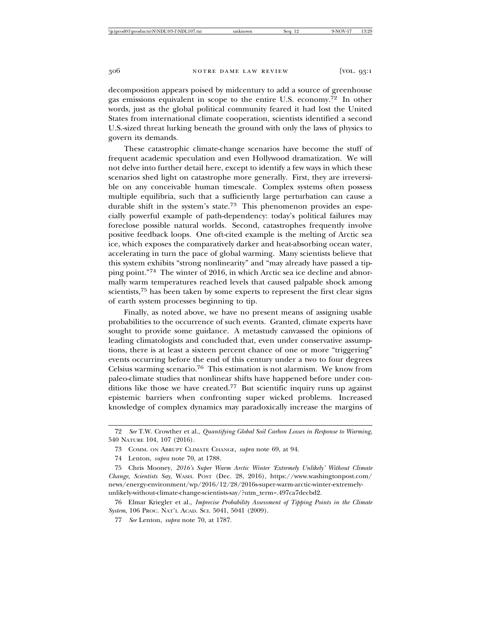decomposition appears poised by midcentury to add a source of greenhouse gas emissions equivalent in scope to the entire U.S. economy.72 In other words, just as the global political community feared it had lost the United States from international climate cooperation, scientists identified a second U.S.-sized threat lurking beneath the ground with only the laws of physics to govern its demands.

These catastrophic climate-change scenarios have become the stuff of frequent academic speculation and even Hollywood dramatization. We will not delve into further detail here, except to identify a few ways in which these scenarios shed light on catastrophe more generally. First, they are irreversible on any conceivable human timescale. Complex systems often possess multiple equilibria, such that a sufficiently large perturbation can cause a durable shift in the system's state.<sup>73</sup> This phenomenon provides an especially powerful example of path-dependency: today's political failures may foreclose possible natural worlds. Second, catastrophes frequently involve positive feedback loops. One oft-cited example is the melting of Arctic sea ice, which exposes the comparatively darker and heat-absorbing ocean water, accelerating in turn the pace of global warming. Many scientists believe that this system exhibits "strong nonlinearity" and "may already have passed a tipping point."74 The winter of 2016, in which Arctic sea ice decline and abnormally warm temperatures reached levels that caused palpable shock among scientists,<sup>75</sup> has been taken by some experts to represent the first clear signs of earth system processes beginning to tip.

Finally, as noted above, we have no present means of assigning usable probabilities to the occurrence of such events. Granted, climate experts have sought to provide some guidance. A metastudy canvassed the opinions of leading climatologists and concluded that, even under conservative assumptions, there is at least a sixteen percent chance of one or more "triggering" events occurring before the end of this century under a two to four degrees Celsius warming scenario.76 This estimation is not alarmism. We know from paleo-climate studies that nonlinear shifts have happened before under conditions like those we have created.77 But scientific inquiry runs up against epistemic barriers when confronting super wicked problems. Increased knowledge of complex dynamics may paradoxically increase the margins of

<sup>72</sup> *See* T.W. Crowther et al., *Quantifying Global Soil Carbon Losses in Response to Warming*, 540 NATURE 104, 107 (2016).

<sup>73</sup> COMM. ON ABRUPT CLIMATE CHANGE, *supra* note 69, at 94.

<sup>74</sup> Lenton, *supra* note 70, at 1788.

<sup>75</sup> Chris Mooney, *2016's Super Warm Arctic Winter 'Extremely Unlikely' Without Climate Change, Scientists Say*, WASH. POST (Dec. 28, 2016), https://www.washingtonpost.com/ news/energy-environment/wp/2016/12/28/2016s-super-warm-arctic-winter-extremelyunlikely-without-climate-change-scientists-say/?utm\_term=.497ca7decbd2.

<sup>76</sup> Elmar Kriegler et al., *Imprecise Probability Assessment of Tipping Points in the Climate System*, 106 PROC. NAT'L ACAD. SCI. 5041, 5041 (2009).

<sup>77</sup> *See* Lenton, *supra* note 70, at 1787.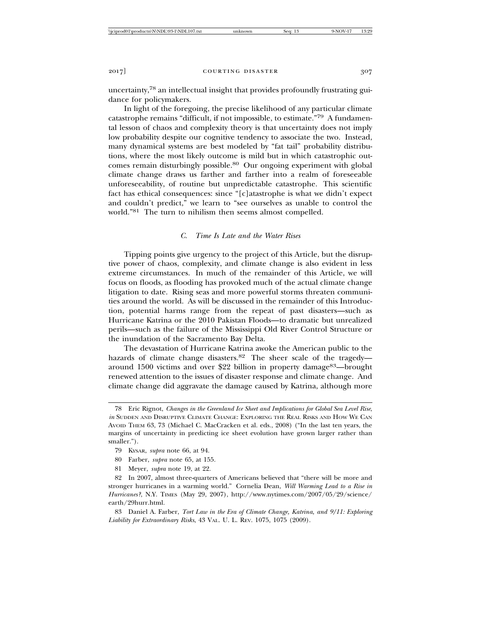uncertainty,78 an intellectual insight that provides profoundly frustrating guidance for policymakers.

In light of the foregoing, the precise likelihood of any particular climate catastrophe remains "difficult, if not impossible, to estimate."79 A fundamental lesson of chaos and complexity theory is that uncertainty does not imply low probability despite our cognitive tendency to associate the two. Instead, many dynamical systems are best modeled by "fat tail" probability distributions, where the most likely outcome is mild but in which catastrophic outcomes remain disturbingly possible.80 Our ongoing experiment with global climate change draws us farther and farther into a realm of foreseeable unforeseeability, of routine but unpredictable catastrophe. This scientific fact has ethical consequences: since "[c]atastrophe is what we didn't expect and couldn't predict," we learn to "see ourselves as unable to control the world."81 The turn to nihilism then seems almost compelled.

## *C. Time Is Late and the Water Rises*

Tipping points give urgency to the project of this Article, but the disruptive power of chaos, complexity, and climate change is also evident in less extreme circumstances. In much of the remainder of this Article, we will focus on floods, as flooding has provoked much of the actual climate change litigation to date. Rising seas and more powerful storms threaten communities around the world. As will be discussed in the remainder of this Introduction, potential harms range from the repeat of past disasters—such as Hurricane Katrina or the 2010 Pakistan Floods—to dramatic but unrealized perils—such as the failure of the Mississippi Old River Control Structure or the inundation of the Sacramento Bay Delta.

The devastation of Hurricane Katrina awoke the American public to the hazards of climate change disasters.<sup>82</sup> The sheer scale of the tragedyaround 1500 victims and over \$22 billion in property damage<sup>83</sup>—brought renewed attention to the issues of disaster response and climate change. And climate change did aggravate the damage caused by Katrina, although more

81 Meyer, *supra* note 19, at 22.

82 In 2007, almost three-quarters of Americans believed that "there will be more and stronger hurricanes in a warming world." Cornelia Dean, *Will Warming Lead to a Rise in Hurricanes?*, N.Y. TIMES (May 29, 2007), http://www.nytimes.com/2007/05/29/science/ earth/29hurr.html.

83 Daniel A. Farber, *Tort Law in the Era of Climate Change, Katrina, and 9/11: Exploring Liability for Extraordinary Risks*, 43 VAL. U. L. REV. 1075, 1075 (2009).

<sup>78</sup> Eric Rignot, *Changes in the Greenland Ice Sheet and Implications for Global Sea Level Rise*, *in* SUDDEN AND DISRUPTIVE CLIMATE CHANGE: EXPLORING THE REAL RISKS AND HOW WE CAN AVOID THEM 63, 73 (Michael C. MacCracken et al. eds., 2008) ("In the last ten years, the margins of uncertainty in predicting ice sheet evolution have grown larger rather than smaller.").

<sup>79</sup> KYSAR, *supra* note 66, at 94.

<sup>80</sup> Farber, *supra* note 65, at 155.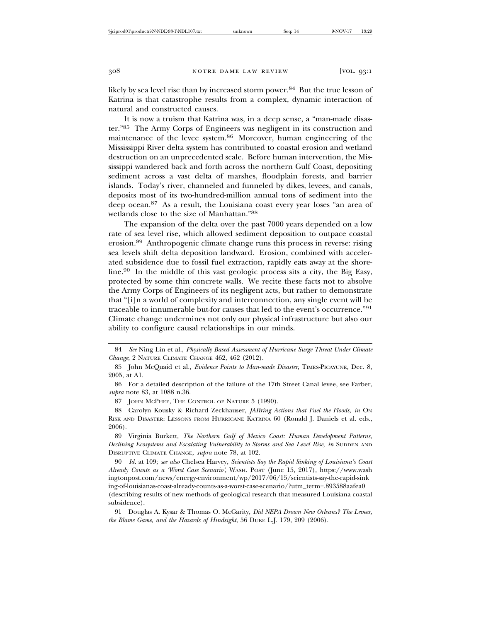likely by sea level rise than by increased storm power.84 But the true lesson of Katrina is that catastrophe results from a complex, dynamic interaction of natural and constructed causes.

It is now a truism that Katrina was, in a deep sense, a "man-made disaster."85 The Army Corps of Engineers was negligent in its construction and maintenance of the levee system.86 Moreover, human engineering of the Mississippi River delta system has contributed to coastal erosion and wetland destruction on an unprecedented scale. Before human intervention, the Mississippi wandered back and forth across the northern Gulf Coast, depositing sediment across a vast delta of marshes, floodplain forests, and barrier islands. Today's river, channeled and funneled by dikes, levees, and canals, deposits most of its two-hundred-million annual tons of sediment into the deep ocean.87 As a result, the Louisiana coast every year loses "an area of wetlands close to the size of Manhattan."<sup>88</sup>

The expansion of the delta over the past 7000 years depended on a low rate of sea level rise, which allowed sediment deposition to outpace coastal erosion.89 Anthropogenic climate change runs this process in reverse: rising sea levels shift delta deposition landward. Erosion, combined with accelerated subsidence due to fossil fuel extraction, rapidly eats away at the shoreline.90 In the middle of this vast geologic process sits a city, the Big Easy, protected by some thin concrete walls. We recite these facts not to absolve the Army Corps of Engineers of its negligent acts, but rather to demonstrate that "[i]n a world of complexity and interconnection, any single event will be traceable to innumerable but-for causes that led to the event's occurrence."<sup>91</sup> Climate change undermines not only our physical infrastructure but also our ability to configure causal relationships in our minds.

87 JOHN MCPHEE, THE CONTROL OF NATURE 5 (1990).

88 Carolyn Kousky & Richard Zeckhauser, *JARring Actions that Fuel the Floods*, *in* ON RISK AND DISASTER: LESSONS FROM HURRICANE KATRINA 60 (Ronald J. Daniels et al. eds., 2006).

89 Virginia Burkett, *The Northern Gulf of Mexico Coast: Human Development Patterns, Declining Ecosystems and Escalating Vulnerability to Storms and Sea Level Rise*, *in* SUDDEN AND DISRUPTIVE CLIMATE CHANGE, *supra* note 78, at 102.

90 *Id.* at 109; *see also* Chelsea Harvey, *Scientists Say the Rapid Sinking of Louisiana's Coast Already Counts as a 'Worst Case Scenario'*, WASH. POST (June 15, 2017), https://www.wash ingtonpost.com/news/energy-environment/wp/2017/06/15/scientists-say-the-rapid-sink ing-of-louisianas-coast-already-counts-as-a-worst-case-scenario/?utm\_term=.893588aafea0 (describing results of new methods of geological research that measured Louisiana coastal subsidence).

91 Douglas A. Kysar & Thomas O. McGarity, *Did NEPA Drown New Orleans? The Levees, the Blame Game, and the Hazards of Hindsight*, 56 DUKE L.J. 179, 209 (2006).

<sup>84</sup> *See* Ning Lin et al., *Physically Based Assessment of Hurricane Surge Threat Under Climate Change*, 2 NATURE CLIMATE CHANGE 462, 462 (2012).

<sup>85</sup> John McQuaid et al., *Evidence Points to Man-made Disaster*, TIMES-PICAYUNE, Dec. 8, 2005, at A1.

<sup>86</sup> For a detailed description of the failure of the 17th Street Canal levee, see Farber, *supra* note 83, at 1088 n.36.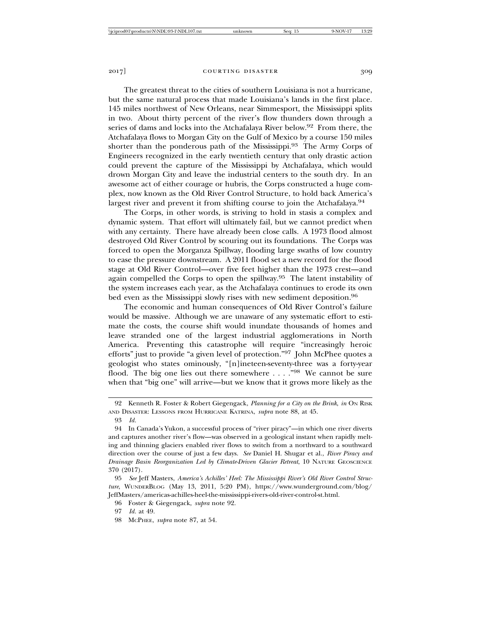The greatest threat to the cities of southern Louisiana is not a hurricane, but the same natural process that made Louisiana's lands in the first place. 145 miles northwest of New Orleans, near Simmesport, the Mississippi splits in two. About thirty percent of the river's flow thunders down through a series of dams and locks into the Atchafalaya River below.<sup>92</sup> From there, the Atchafalaya flows to Morgan City on the Gulf of Mexico by a course 150 miles shorter than the ponderous path of the Mississippi.93 The Army Corps of Engineers recognized in the early twentieth century that only drastic action could prevent the capture of the Mississippi by Atchafalaya, which would drown Morgan City and leave the industrial centers to the south dry. In an awesome act of either courage or hubris, the Corps constructed a huge complex, now known as the Old River Control Structure, to hold back America's largest river and prevent it from shifting course to join the Atchafalaya.<sup>94</sup>

The Corps, in other words, is striving to hold in stasis a complex and dynamic system. That effort will ultimately fail, but we cannot predict when with any certainty. There have already been close calls. A 1973 flood almost destroyed Old River Control by scouring out its foundations. The Corps was forced to open the Morganza Spillway, flooding large swaths of low country to ease the pressure downstream. A 2011 flood set a new record for the flood stage at Old River Control—over five feet higher than the 1973 crest—and again compelled the Corps to open the spillway.95 The latent instability of the system increases each year, as the Atchafalaya continues to erode its own bed even as the Mississippi slowly rises with new sediment deposition.<sup>96</sup>

The economic and human consequences of Old River Control's failure would be massive. Although we are unaware of any systematic effort to estimate the costs, the course shift would inundate thousands of homes and leave stranded one of the largest industrial agglomerations in North America. Preventing this catastrophe will require "increasingly heroic efforts" just to provide "a given level of protection."97 John McPhee quotes a geologist who states ominously, "[n]ineteen-seventy-three was a forty-year flood. The big one lies out there somewhere . . . ."98 We cannot be sure when that "big one" will arrive—but we know that it grows more likely as the

<sup>92</sup> Kenneth R. Foster & Robert Giegengack, *Planning for a City on the Brink*, *in* ON RISK AND DISASTER: LESSONS FROM HURRICANE KATRINA, *supra* note 88, at 45.

<sup>93</sup> *Id.*

<sup>94</sup> In Canada's Yukon, a successful process of "river piracy"—in which one river diverts and captures another river's flow—was observed in a geological instant when rapidly melting and thinning glaciers enabled river flows to switch from a northward to a southward direction over the course of just a few days. *See* Daniel H. Shugar et al., *River Piracy and Drainage Basin Reorganization Led by Climate-Driven Glacier Retreat*, 10 NATURE GEOSCIENCE 370 (2017).

<sup>95</sup> *See* Jeff Masters, *America's Achilles' Heel: The Mississippi River's Old River Control Structure*, WUNDERBLOG (May 13, 2011, 5:20 PM), https://www.wunderground.com/blog/ JeffMasters/americas-achilles-heel-the-mississippi-rivers-old-river-control-st.html.

<sup>96</sup> Foster & Giegengack, *supra* note 92.

<sup>97</sup> *Id.* at 49.

<sup>98</sup> MCPHEE, *supra* note 87, at 54.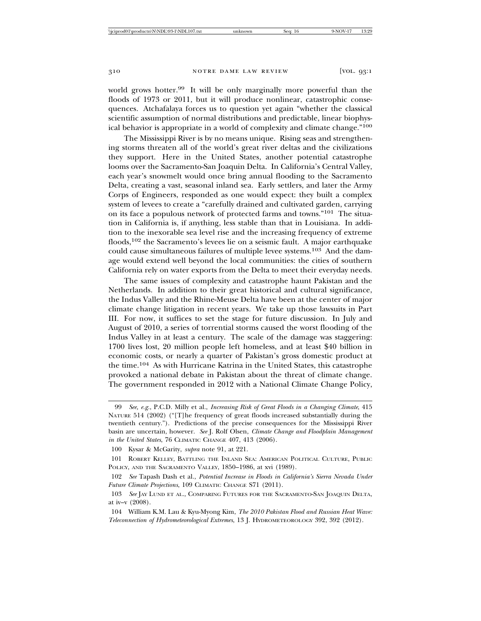world grows hotter.99 It will be only marginally more powerful than the floods of 1973 or 2011, but it will produce nonlinear, catastrophic consequences. Atchafalaya forces us to question yet again "whether the classical scientific assumption of normal distributions and predictable, linear biophysical behavior is appropriate in a world of complexity and climate change."<sup>100</sup>

The Mississippi River is by no means unique. Rising seas and strengthening storms threaten all of the world's great river deltas and the civilizations they support. Here in the United States, another potential catastrophe looms over the Sacramento-San Joaquin Delta. In California's Central Valley, each year's snowmelt would once bring annual flooding to the Sacramento Delta, creating a vast, seasonal inland sea. Early settlers, and later the Army Corps of Engineers, responded as one would expect: they built a complex system of levees to create a "carefully drained and cultivated garden, carrying on its face a populous network of protected farms and towns."101 The situation in California is, if anything, less stable than that in Louisiana. In addition to the inexorable sea level rise and the increasing frequency of extreme floods,<sup>102</sup> the Sacramento's levees lie on a seismic fault. A major earthquake could cause simultaneous failures of multiple levee systems.103 And the damage would extend well beyond the local communities: the cities of southern California rely on water exports from the Delta to meet their everyday needs.

The same issues of complexity and catastrophe haunt Pakistan and the Netherlands. In addition to their great historical and cultural significance, the Indus Valley and the Rhine-Meuse Delta have been at the center of major climate change litigation in recent years. We take up those lawsuits in Part III. For now, it suffices to set the stage for future discussion. In July and August of 2010, a series of torrential storms caused the worst flooding of the Indus Valley in at least a century. The scale of the damage was staggering: 1700 lives lost, 20 million people left homeless, and at least \$40 billion in economic costs, or nearly a quarter of Pakistan's gross domestic product at the time.104 As with Hurricane Katrina in the United States, this catastrophe provoked a national debate in Pakistan about the threat of climate change. The government responded in 2012 with a National Climate Change Policy,

<sup>99</sup> *See, e.g.*, P.C.D. Milly et al., *Increasing Risk of Great Floods in a Changing Climate*, 415 NATURE 514 (2002) ("[T]he frequency of great floods increased substantially during the twentieth century."). Predictions of the precise consequences for the Mississippi River basin are uncertain, however. *See* J. Rolf Olsen, *Climate Change and Floodplain Management in the United States*, 76 CLIMATIC CHANGE 407, 413 (2006).

<sup>100</sup> Kysar & McGarity, *supra* note 91, at 221.

<sup>101</sup> ROBERT KELLEY, BATTLING THE INLAND SEA: AMERICAN POLITICAL CULTURE, PUBLIC POLICY, AND THE SACRAMENTO VALLEY, 1850-1986, at xvi (1989).

<sup>102</sup> *See* Tapash Dash et al., *Potential Increase in Floods in California's Sierra Nevada Under Future Climate Projections*, 109 CLIMATIC CHANGE S71 (2011).

<sup>103</sup> *See* JAY LUND ET AL., COMPARING FUTURES FOR THE SACRAMENTO-SAN JOAQUIN DELTA, at iv–v (2008).

<sup>104</sup> William K.M. Lau & Kyu-Myong Kim, *The 2010 Pakistan Flood and Russian Heat Wave: Teleconnection of Hydrometeorological Extremes*, 13 J. HYDROMETEOROLOGY 392, 392 (2012).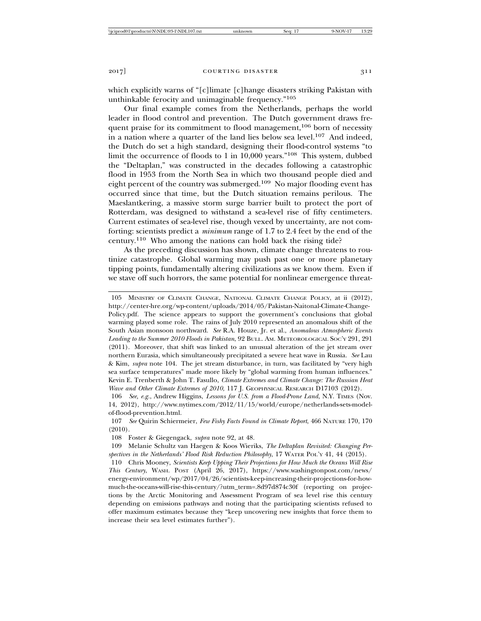which explicitly warns of "[c]limate [c]hange disasters striking Pakistan with unthinkable ferocity and unimaginable frequency."<sup>105</sup>

Our final example comes from the Netherlands, perhaps the world leader in flood control and prevention. The Dutch government draws frequent praise for its commitment to flood management,<sup>106</sup> born of necessity in a nation where a quarter of the land lies below sea level.107 And indeed, the Dutch do set a high standard, designing their flood-control systems "to limit the occurrence of floods to 1 in 10,000 years."108 This system, dubbed the "Deltaplan," was constructed in the decades following a catastrophic flood in 1953 from the North Sea in which two thousand people died and eight percent of the country was submerged.109 No major flooding event has occurred since that time, but the Dutch situation remains perilous. The Maeslantkering, a massive storm surge barrier built to protect the port of Rotterdam, was designed to withstand a sea-level rise of fifty centimeters. Current estimates of sea-level rise, though vexed by uncertainty, are not comforting: scientists predict a *minimum* range of 1.7 to 2.4 feet by the end of the century.110 Who among the nations can hold back the rising tide?

As the preceding discussion has shown, climate change threatens to routinize catastrophe. Global warming may push past one or more planetary tipping points, fundamentally altering civilizations as we know them. Even if we stave off such horrors, the same potential for nonlinear emergence threat-

105 MINISTRY OF CLIMATE CHANGE, NATIONAL CLIMATE CHANGE POLICY, at ii (2012), http://center-hre.org/wp-content/uploads/2014/05/Pakistan-Naitonal-Climate-Change-Policy.pdf. The science appears to support the government's conclusions that global warming played some role. The rains of July 2010 represented an anomalous shift of the South Asian monsoon northward. *See* R.A. Houze, Jr. et al., *Anomalous Atmospheric Events Leading to the Summer 2010 Floods in Pakistan*, 92 BULL. AM. METEOROLOGICAL SOC'Y 291, 291 (2011). Moreover, that shift was linked to an unusual alteration of the jet stream over northern Eurasia, which simultaneously precipitated a severe heat wave in Russia. *See* Lau & Kim, *supra* note 104. The jet stream disturbance, in turn, was facilitated by "very high sea surface temperatures" made more likely by "global warming from human influences." Kevin E. Trenberth & John T. Fasullo, *Climate Extremes and Climate Change: The Russian Heat Wave and Other Climate Extremes of 2010*, 117 J. GEOPHYSICAL RESEARCH D17103 (2012).

106 *See, e.g.*, Andrew Higgins, *Lessons for U.S. from a Flood-Prone Land*, N.Y. TIMES (Nov. 14, 2012), http://www.nytimes.com/2012/11/15/world/europe/netherlands-sets-modelof-flood-prevention.html.

108 Foster & Giegengack, *supra* note 92, at 48.

<sup>107</sup> *See* Quirin Schiermeier, *Few Fishy Facts Found in Climate Report*, 466 NATURE 170, 170 (2010).

<sup>109</sup> Melanie Schultz van Haegen & Koos Wieriks, *The Deltaplan Revisited: Changing Perspectives in the Netherlands' Flood Risk Reduction Philosophy*, 17 WATER POL'Y 41, 44 (2015).

<sup>110</sup> Chris Mooney, *Scientists Keep Upping Their Projections for How Much the Oceans Will Rise This Century*, WASH. POST (April 26, 2017), https://www.washingtonpost.com/news/ energy-environment/wp/2017/04/26/scientists-keep-increasing-their-projections-for-howmuch-the-oceans-will-rise-this-century/?utm\_term=.8d97d874c30f (reporting on projections by the Arctic Monitoring and Assessment Program of sea level rise this century depending on emissions pathways and noting that the participating scientists refused to offer maximum estimates because they "keep uncovering new insights that force them to increase their sea level estimates further").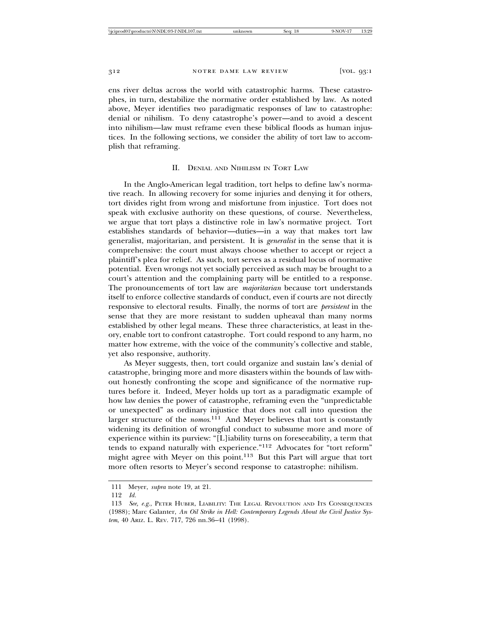ens river deltas across the world with catastrophic harms. These catastrophes, in turn, destabilize the normative order established by law. As noted above, Meyer identifies two paradigmatic responses of law to catastrophe: denial or nihilism. To deny catastrophe's power—and to avoid a descent into nihilism—law must reframe even these biblical floods as human injustices. In the following sections, we consider the ability of tort law to accomplish that reframing.

# II. DENIAL AND NIHILISM IN TORT LAW

In the Anglo-American legal tradition, tort helps to define law's normative reach. In allowing recovery for some injuries and denying it for others, tort divides right from wrong and misfortune from injustice. Tort does not speak with exclusive authority on these questions, of course. Nevertheless, we argue that tort plays a distinctive role in law's normative project. Tort establishes standards of behavior—duties—in a way that makes tort law generalist, majoritarian, and persistent. It is *generalist* in the sense that it is comprehensive: the court must always choose whether to accept or reject a plaintiff's plea for relief. As such, tort serves as a residual locus of normative potential. Even wrongs not yet socially perceived as such may be brought to a court's attention and the complaining party will be entitled to a response. The pronouncements of tort law are *majoritarian* because tort understands itself to enforce collective standards of conduct, even if courts are not directly responsive to electoral results. Finally, the norms of tort are *persistent* in the sense that they are more resistant to sudden upheaval than many norms established by other legal means. These three characteristics, at least in theory, enable tort to confront catastrophe. Tort could respond to any harm, no matter how extreme, with the voice of the community's collective and stable, yet also responsive, authority.

As Meyer suggests, then, tort could organize and sustain law's denial of catastrophe, bringing more and more disasters within the bounds of law without honestly confronting the scope and significance of the normative ruptures before it. Indeed, Meyer holds up tort as a paradigmatic example of how law denies the power of catastrophe, reframing even the "unpredictable or unexpected" as ordinary injustice that does not call into question the larger structure of the *nomos*. 111 And Meyer believes that tort is constantly widening its definition of wrongful conduct to subsume more and more of experience within its purview: "[L]iability turns on foreseeability, a term that tends to expand naturally with experience."112 Advocates for "tort reform" might agree with Meyer on this point.<sup>113</sup> But this Part will argue that tort more often resorts to Meyer's second response to catastrophe: nihilism.

<sup>111</sup> Meyer, *supra* note 19, at 21.

<sup>112</sup> *Id.*

<sup>113</sup> *See, e.g.*, PETER HUBER, LIABILITY: THE LEGAL REVOLUTION AND ITS CONSEQUENCES (1988); Marc Galanter, *An Oil Strike in Hell: Contemporary Legends About the Civil Justice System*, 40 ARIZ. L. REV. 717, 726 nn.36–41 (1998).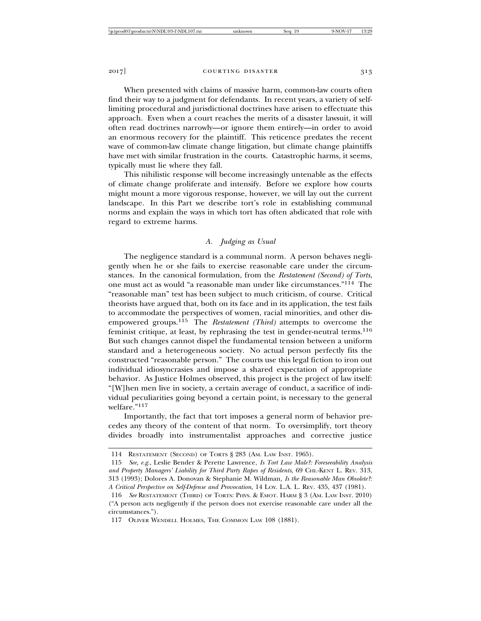When presented with claims of massive harm, common-law courts often find their way to a judgment for defendants. In recent years, a variety of selflimiting procedural and jurisdictional doctrines have arisen to effectuate this approach. Even when a court reaches the merits of a disaster lawsuit, it will often read doctrines narrowly—or ignore them entirely—in order to avoid an enormous recovery for the plaintiff. This reticence predates the recent wave of common-law climate change litigation, but climate change plaintiffs have met with similar frustration in the courts. Catastrophic harms, it seems, typically must lie where they fall.

This nihilistic response will become increasingly untenable as the effects of climate change proliferate and intensify. Before we explore how courts might mount a more vigorous response, however, we will lay out the current landscape. In this Part we describe tort's role in establishing communal norms and explain the ways in which tort has often abdicated that role with regard to extreme harms.

# *A. Judging as Usual*

The negligence standard is a communal norm. A person behaves negligently when he or she fails to exercise reasonable care under the circumstances. In the canonical formulation, from the *Restatement (Second) of Torts*, one must act as would "a reasonable man under like circumstances."114 The "reasonable man" test has been subject to much criticism, of course. Critical theorists have argued that, both on its face and in its application, the test fails to accommodate the perspectives of women, racial minorities, and other disempowered groups.115 The *Restatement (Third)* attempts to overcome the feminist critique, at least, by rephrasing the test in gender-neutral terms.<sup>116</sup> But such changes cannot dispel the fundamental tension between a uniform standard and a heterogeneous society. No actual person perfectly fits the constructed "reasonable person." The courts use this legal fiction to iron out individual idiosyncrasies and impose a shared expectation of appropriate behavior. As Justice Holmes observed, this project is the project of law itself: "[W]hen men live in society, a certain average of conduct, a sacrifice of individual peculiarities going beyond a certain point, is necessary to the general welfare."117

Importantly, the fact that tort imposes a general norm of behavior precedes any theory of the content of that norm. To oversimplify, tort theory divides broadly into instrumentalist approaches and corrective justice

<sup>114</sup> RESTATEMENT (SECOND) OF TORTS § 283 (AM. LAW INST. 1965).

<sup>115</sup> *See, e.g.*, Leslie Bender & Perette Lawrence, *Is Tort Law Male?: Foreseeability Analysis and Property Managers' Liability for Third Party Rapes of Residents*, 69 CHI.-KENT L. REV. 313, 313 (1993); Dolores A. Donovan & Stephanie M. Wildman, *Is the Reasonable Man Obsolete?: A Critical Perspective on Self-Defense and Provocation*, 14 LOY. L.A. L. REV. 435, 437 (1981).

<sup>116</sup> *See* RESTATEMENT (THIRD) OF TORTS: PHYS. & EMOT. HARM § 3 (AM. LAW INST. 2010) ("A person acts negligently if the person does not exercise reasonable care under all the circumstances.").

<sup>117</sup> OLIVER WENDELL HOLMES, THE COMMON LAW 108 (1881).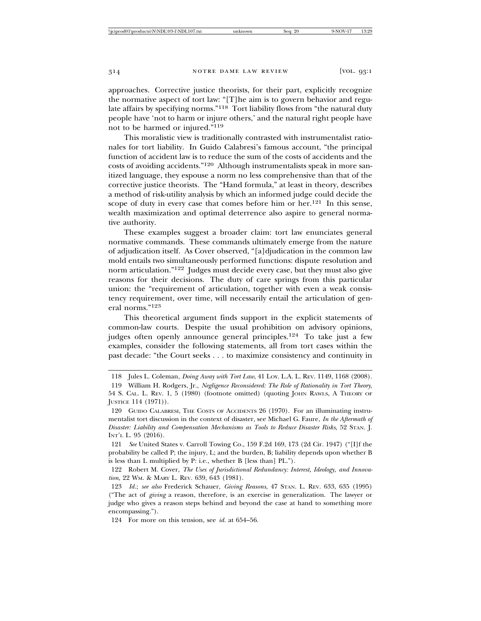approaches. Corrective justice theorists, for their part, explicitly recognize the normative aspect of tort law: "[T]he aim is to govern behavior and regulate affairs by specifying norms."<sup>118</sup> Tort liability flows from "the natural duty people have 'not to harm or injure others,' and the natural right people have not to be harmed or injured."<sup>119</sup>

This moralistic view is traditionally contrasted with instrumentalist rationales for tort liability. In Guido Calabresi's famous account, "the principal function of accident law is to reduce the sum of the costs of accidents and the costs of avoiding accidents."120 Although instrumentalists speak in more sanitized language, they espouse a norm no less comprehensive than that of the corrective justice theorists. The "Hand formula," at least in theory, describes a method of risk-utility analysis by which an informed judge could decide the scope of duty in every case that comes before him or her. $121$  In this sense, wealth maximization and optimal deterrence also aspire to general normative authority.

These examples suggest a broader claim: tort law enunciates general normative commands. These commands ultimately emerge from the nature of adjudication itself. As Cover observed, "[a]djudication in the common law mold entails two simultaneously performed functions: dispute resolution and norm articulation."122 Judges must decide every case, but they must also give reasons for their decisions. The duty of care springs from this particular union: the "requirement of articulation, together with even a weak consistency requirement, over time, will necessarily entail the articulation of general norms."<sup>123</sup>

This theoretical argument finds support in the explicit statements of common-law courts. Despite the usual prohibition on advisory opinions, judges often openly announce general principles.<sup>124</sup> To take just a few examples, consider the following statements, all from tort cases within the past decade: "the Court seeks . . . to maximize consistency and continuity in

<sup>118</sup> Jules L. Coleman, *Doing Away with Tort Law*, 41 LOY. L.A. L. REV. 1149, 1168 (2008).

<sup>119</sup> William H. Rodgers, Jr., *Negligence Reconsidered: The Role of Rationality in Tort Theory*, 54 S. CAL. L. REV. 1, 5 (1980) (footnote omitted) (quoting JOHN RAWLS, A THEORY OF JUSTICE 114 (1971)).

<sup>120</sup> GUIDO CALABRESI, THE COSTS OF ACCIDENTS 26 (1970). For an illuminating instrumentalist tort discussion in the context of disaster, see Michael G. Faure, *In the Aftermath of Disaster: Liability and Compensation Mechanisms as Tools to Reduce Disaster Risks*, 52 STAN. J. INT'L L. 95 (2016).

<sup>121</sup> *See* United States v. Carroll Towing Co., 159 F.2d 169, 173 (2d Cir. 1947) ("[I]f the probability be called P; the injury, L; and the burden, B; liability depends upon whether B is less than L multiplied by P: i.e., whether B [less than] PL.").

<sup>122</sup> Robert M. Cover, *The Uses of Jurisdictional Redundancy: Interest, Ideology, and Innovation*, 22 WM. & MARY L. REV. 639, 643 (1981).

<sup>123</sup> *Id.*; *see also* Frederick Schauer, *Giving Reasons*, 47 STAN. L. REV. 633, 635 (1995) ("The act of *giving* a reason, therefore, is an exercise in generalization. The lawyer or judge who gives a reason steps behind and beyond the case at hand to something more encompassing.").

<sup>124</sup> For more on this tension, see *id.* at 654–56.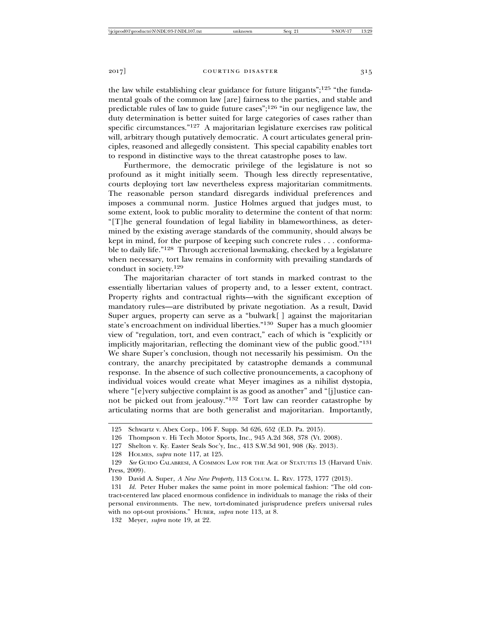the law while establishing clear guidance for future litigants"; $125$  "the fundamental goals of the common law [are] fairness to the parties, and stable and predictable rules of law to guide future cases";126 "in our negligence law, the duty determination is better suited for large categories of cases rather than specific circumstances."127 A majoritarian legislature exercises raw political will, arbitrary though putatively democratic. A court articulates general principles, reasoned and allegedly consistent. This special capability enables tort to respond in distinctive ways to the threat catastrophe poses to law.

Furthermore, the democratic privilege of the legislature is not so profound as it might initially seem. Though less directly representative, courts deploying tort law nevertheless express majoritarian commitments. The reasonable person standard disregards individual preferences and imposes a communal norm. Justice Holmes argued that judges must, to some extent, look to public morality to determine the content of that norm: "[T]he general foundation of legal liability in blameworthiness, as determined by the existing average standards of the community, should always be kept in mind, for the purpose of keeping such concrete rules . . . conformable to daily life."128 Through accretional lawmaking, checked by a legislature when necessary, tort law remains in conformity with prevailing standards of conduct in society.<sup>129</sup>

The majoritarian character of tort stands in marked contrast to the essentially libertarian values of property and, to a lesser extent, contract. Property rights and contractual rights—with the significant exception of mandatory rules—are distributed by private negotiation. As a result, David Super argues, property can serve as a "bulwark[ ] against the majoritarian state's encroachment on individual liberties."130 Super has a much gloomier view of "regulation, tort, and even contract," each of which is "explicitly or implicitly majoritarian, reflecting the dominant view of the public good."<sup>131</sup> We share Super's conclusion, though not necessarily his pessimism. On the contrary, the anarchy precipitated by catastrophe demands a communal response. In the absence of such collective pronouncements, a cacophony of individual voices would create what Meyer imagines as a nihilist dystopia, where "[e]very subjective complaint is as good as another" and "[j]ustice cannot be picked out from jealousy."132 Tort law can reorder catastrophe by articulating norms that are both generalist and majoritarian. Importantly,

132 Meyer, *supra* note 19, at 22.

<sup>125</sup> Schwartz v. Abex Corp., 106 F. Supp. 3d 626, 652 (E.D. Pa. 2015).

<sup>126</sup> Thompson v. Hi Tech Motor Sports, Inc., 945 A.2d 368, 378 (Vt. 2008).

<sup>127</sup> Shelton v. Ky. Easter Seals Soc'y, Inc., 413 S.W.3d 901, 908 (Ky. 2013).

<sup>128</sup> HOLMES, *supra* note 117, at 125.

<sup>129</sup> *See* GUIDO CALABRESI, A COMMON LAW FOR THE AGE OF STATUTES 13 (Harvard Univ. Press, 2009).

<sup>130</sup> David A. Super, *A New New Property*, 113 COLUM. L. REV. 1773, 1777 (2013).

<sup>131</sup> *Id.* Peter Huber makes the same point in more polemical fashion: "The old contract-centered law placed enormous confidence in individuals to manage the risks of their personal environments. The new, tort-dominated jurisprudence prefers universal rules with no opt-out provisions." HUBER, *supra* note 113, at 8.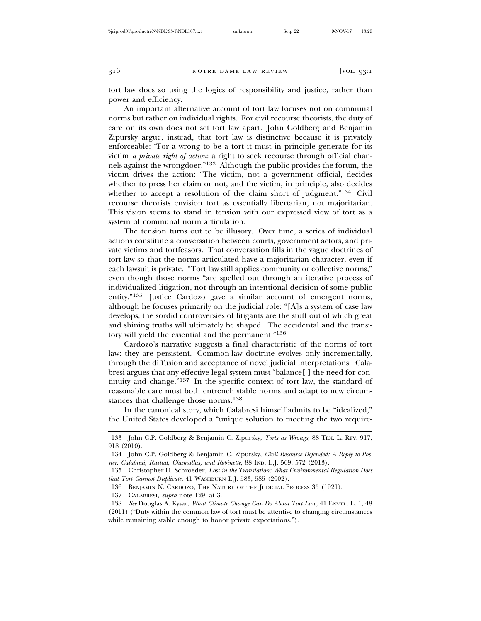tort law does so using the logics of responsibility and justice, rather than power and efficiency.

An important alternative account of tort law focuses not on communal norms but rather on individual rights. For civil recourse theorists, the duty of care on its own does not set tort law apart. John Goldberg and Benjamin Zipursky argue, instead, that tort law is distinctive because it is privately enforceable: "For a wrong to be a tort it must in principle generate for its victim *a private right of action*: a right to seek recourse through official channels against the wrongdoer."133 Although the public provides the forum, the victim drives the action: "The victim, not a government official, decides whether to press her claim or not, and the victim, in principle, also decides whether to accept a resolution of the claim short of judgment."<sup>134</sup> Civil recourse theorists envision tort as essentially libertarian, not majoritarian. This vision seems to stand in tension with our expressed view of tort as a system of communal norm articulation.

The tension turns out to be illusory. Over time, a series of individual actions constitute a conversation between courts, government actors, and private victims and tortfeasors. That conversation fills in the vague doctrines of tort law so that the norms articulated have a majoritarian character, even if each lawsuit is private. "Tort law still applies community or collective norms," even though those norms "are spelled out through an iterative process of individualized litigation, not through an intentional decision of some public entity."135 Justice Cardozo gave a similar account of emergent norms, although he focuses primarily on the judicial role: "[A]s a system of case law develops, the sordid controversies of litigants are the stuff out of which great and shining truths will ultimately be shaped. The accidental and the transitory will yield the essential and the permanent."<sup>136</sup>

Cardozo's narrative suggests a final characteristic of the norms of tort law: they are persistent. Common-law doctrine evolves only incrementally, through the diffusion and acceptance of novel judicial interpretations. Calabresi argues that any effective legal system must "balance[ ] the need for continuity and change."137 In the specific context of tort law, the standard of reasonable care must both entrench stable norms and adapt to new circumstances that challenge those norms.<sup>138</sup>

In the canonical story, which Calabresi himself admits to be "idealized," the United States developed a "unique solution to meeting the two require-

137 CALABRESI, *supra* note 129, at 3.

<sup>133</sup> John C.P. Goldberg & Benjamin C. Zipursky, *Torts as Wrongs*, 88 TEX. L. REV. 917, 918 (2010).

<sup>134</sup> John C.P. Goldberg & Benjamin C. Zipursky, *Civil Recourse Defended: A Reply to Posner, Calabresi, Rustad, Chamallas, and Robinette*, 88 IND. L.J. 569, 572 (2013).

<sup>135</sup> Christopher H. Schroeder, *Lost in the Translation: What Environmental Regulation Does that Tort Cannot Duplicate*, 41 WASHBURN L.J. 583, 585 (2002).

<sup>136</sup> BENJAMIN N. CARDOZO, THE NATURE OF THE JUDICIAL PROCESS 35 (1921).

<sup>138</sup> *See* Douglas A. Kysar, *What Climate Change Can Do About Tort Law*, 41 ENVTL. L. 1, 48 (2011) ("Duty within the common law of tort must be attentive to changing circumstances while remaining stable enough to honor private expectations.").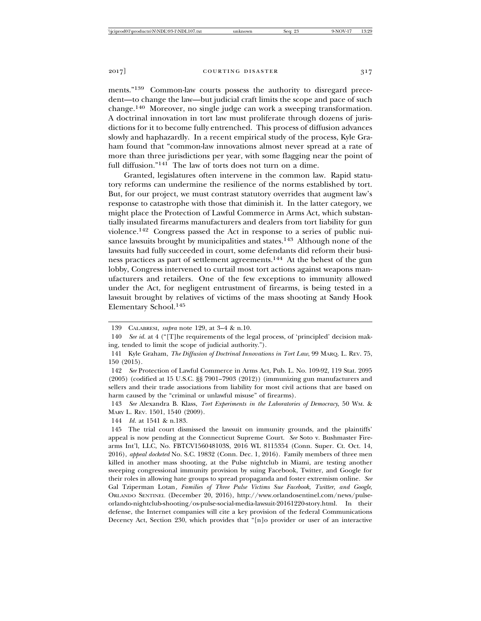ments."139 Common-law courts possess the authority to disregard precedent—to change the law—but judicial craft limits the scope and pace of such change.140 Moreover, no single judge can work a sweeping transformation. A doctrinal innovation in tort law must proliferate through dozens of jurisdictions for it to become fully entrenched. This process of diffusion advances slowly and haphazardly. In a recent empirical study of the process, Kyle Graham found that "common-law innovations almost never spread at a rate of more than three jurisdictions per year, with some flagging near the point of full diffusion."141 The law of torts does not turn on a dime.

Granted, legislatures often intervene in the common law. Rapid statutory reforms can undermine the resilience of the norms established by tort. But, for our project, we must contrast statutory overrides that augment law's response to catastrophe with those that diminish it. In the latter category, we might place the Protection of Lawful Commerce in Arms Act, which substantially insulated firearms manufacturers and dealers from tort liability for gun violence.142 Congress passed the Act in response to a series of public nuisance lawsuits brought by municipalities and states.<sup>143</sup> Although none of the lawsuits had fully succeeded in court, some defendants did reform their business practices as part of settlement agreements.144 At the behest of the gun lobby, Congress intervened to curtail most tort actions against weapons manufacturers and retailers. One of the few exceptions to immunity allowed under the Act, for negligent entrustment of firearms, is being tested in a lawsuit brought by relatives of victims of the mass shooting at Sandy Hook Elementary School.<sup>145</sup>

<sup>139</sup> CALABRESI, *supra* note 129, at 3–4 & n.10.

<sup>140</sup> *See id.* at 4 ("[T]he requirements of the legal process, of 'principled' decision making, tended to limit the scope of judicial authority.").

<sup>141</sup> Kyle Graham, *The Diffusion of Doctrinal Innovations in Tort Law*, 99 MARQ. L. REV. 75, 150 (2015).

<sup>142</sup> *See* Protection of Lawful Commerce in Arms Act, Pub. L. No. 109-92, 119 Stat. 2095 (2005) (codified at 15 U.S.C. §§ 7901–7903 (2012)) (immunizing gun manufacturers and sellers and their trade associations from liability for most civil actions that are based on harm caused by the "criminal or unlawful misuse" of firearms).

<sup>143</sup> *See* Alexandra B. Klass, *Tort Experiments in the Laboratories of Democracy*, 50 WM. & MARY L. REV. 1501, 1540 (2009).

<sup>144</sup> *Id.* at 1541 & n.183.

<sup>145</sup> The trial court dismissed the lawsuit on immunity grounds, and the plaintiffs' appeal is now pending at the Connecticut Supreme Court. *See* Soto v. Bushmaster Firearms Int'l, LLC, No. FBTCV156048103S, 2016 WL 8115354 (Conn. Super. Ct. Oct. 14, 2016), *appeal docketed* No. S.C. 19832 (Conn. Dec. 1, 2016). Family members of three men killed in another mass shooting, at the Pulse nightclub in Miami, are testing another sweeping congressional immunity provision by suing Facebook, Twitter, and Google for their roles in allowing hate groups to spread propaganda and foster extremism online. *See* Gal Tziperman Lotan*, Families of Three Pulse Victims Sue Facebook, Twitter, and Google*, ORLANDO SENTINEL (December 20, 2016), http://www.orlandosentinel.com/news/pulseorlando-nightclub-shooting/os-pulse-social-media-lawsuit-20161220-story.html. In their defense, the Internet companies will cite a key provision of the federal Communications Decency Act, Section 230, which provides that "[n]o provider or user of an interactive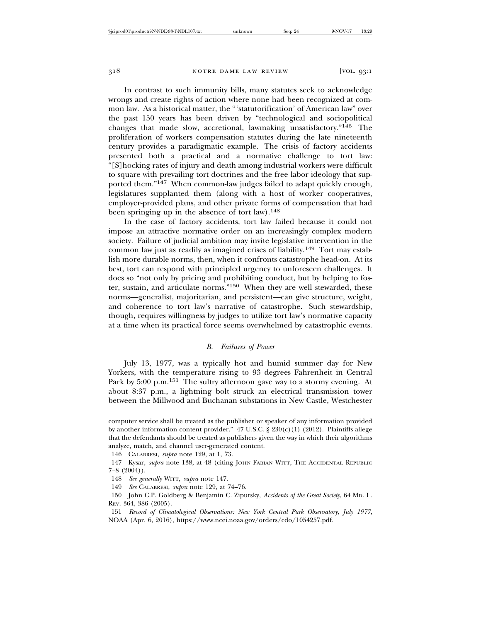In contrast to such immunity bills, many statutes seek to acknowledge wrongs and create rights of action where none had been recognized at common law. As a historical matter, the "'statutorification' of American law" over the past 150 years has been driven by "technological and sociopolitical changes that made slow, accretional, lawmaking unsatisfactory."146 The proliferation of workers compensation statutes during the late nineteenth century provides a paradigmatic example. The crisis of factory accidents presented both a practical and a normative challenge to tort law: "[S]hocking rates of injury and death among industrial workers were difficult to square with prevailing tort doctrines and the free labor ideology that supported them."147 When common-law judges failed to adapt quickly enough, legislatures supplanted them (along with a host of worker cooperatives, employer-provided plans, and other private forms of compensation that had been springing up in the absence of tort law).<sup>148</sup>

In the case of factory accidents, tort law failed because it could not impose an attractive normative order on an increasingly complex modern society. Failure of judicial ambition may invite legislative intervention in the common law just as readily as imagined crises of liability.149 Tort may establish more durable norms, then, when it confronts catastrophe head-on. At its best, tort can respond with principled urgency to unforeseen challenges. It does so "not only by pricing and prohibiting conduct, but by helping to foster, sustain, and articulate norms."150 When they are well stewarded, these norms—generalist, majoritarian, and persistent—can give structure, weight, and coherence to tort law's narrative of catastrophe. Such stewardship, though, requires willingness by judges to utilize tort law's normative capacity at a time when its practical force seems overwhelmed by catastrophic events.

# *B. Failures of Power*

July 13, 1977, was a typically hot and humid summer day for New Yorkers, with the temperature rising to 93 degrees Fahrenheit in Central Park by 5:00 p.m.<sup>151</sup> The sultry afternoon gave way to a stormy evening. At about 8:37 p.m., a lightning bolt struck an electrical transmission tower between the Millwood and Buchanan substations in New Castle, Westchester

computer service shall be treated as the publisher or speaker of any information provided by another information content provider." 47 U.S.C. § 230(c)(1) (2012). Plaintiffs allege that the defendants should be treated as publishers given the way in which their algorithms analyze, match, and channel user-generated content.

<sup>146</sup> CALABRESI, *supra* note 129, at 1, 73.

<sup>147</sup> Kysar, *supra* note 138, at 48 (citing JOHN FABIAN WITT, THE ACCIDENTAL REPUBLIC  $7-8$   $(2004)$ ).

<sup>148</sup> *See generally* WITT, *supra* note 147.

<sup>149</sup> *See* CALABRESI, *supra* note 129, at 74–76.

<sup>150</sup> John C.P. Goldberg & Benjamin C. Zipursky, *Accidents of the Great Society*, 64 MD. L. REV. 364, 386 (2005).

<sup>151</sup> *Record of Climatological Observations: New York Central Park Observatory, July 1977*, NOAA (Apr. 6, 2016), https://www.ncei.noaa.gov/orders/cdo/1054257.pdf.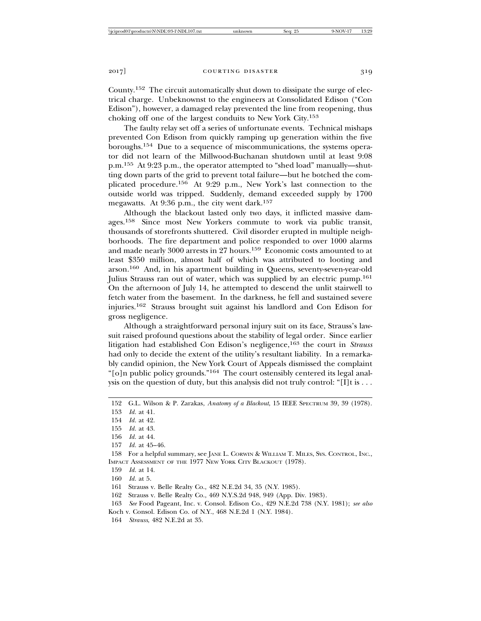County.152 The circuit automatically shut down to dissipate the surge of electrical charge. Unbeknownst to the engineers at Consolidated Edison ("Con Edison"), however, a damaged relay prevented the line from reopening, thus choking off one of the largest conduits to New York City.<sup>153</sup>

The faulty relay set off a series of unfortunate events. Technical mishaps prevented Con Edison from quickly ramping up generation within the five boroughs.154 Due to a sequence of miscommunications, the systems operator did not learn of the Millwood-Buchanan shutdown until at least 9:08 p.m.155 At 9:23 p.m., the operator attempted to "shed load" manually—shutting down parts of the grid to prevent total failure—but he botched the complicated procedure.156 At 9:29 p.m., New York's last connection to the outside world was tripped. Suddenly, demand exceeded supply by 1700 megawatts. At 9:36 p.m., the city went dark.<sup>157</sup>

Although the blackout lasted only two days, it inflicted massive damages.158 Since most New Yorkers commute to work via public transit, thousands of storefronts shuttered. Civil disorder erupted in multiple neighborhoods. The fire department and police responded to over 1000 alarms and made nearly 3000 arrests in 27 hours.159 Economic costs amounted to at least \$350 million, almost half of which was attributed to looting and arson.160 And, in his apartment building in Queens, seventy-seven-year-old Julius Strauss ran out of water, which was supplied by an electric pump.<sup>161</sup> On the afternoon of July 14, he attempted to descend the unlit stairwell to fetch water from the basement. In the darkness, he fell and sustained severe injuries.162 Strauss brought suit against his landlord and Con Edison for gross negligence.

Although a straightforward personal injury suit on its face, Strauss's lawsuit raised profound questions about the stability of legal order. Since earlier litigation had established Con Edison's negligence,163 the court in *Strauss* had only to decide the extent of the utility's resultant liability. In a remarkably candid opinion, the New York Court of Appeals dismissed the complaint "[o]n public policy grounds."164 The court ostensibly centered its legal analysis on the question of duty, but this analysis did not truly control: "[I]t is  $\dots$ 

- 155 *Id.* at 43.
- 156 *Id.* at 44.
- 157 *Id.* at 45–46.

- 159 *Id.* at 14.
- 160 *Id.* at 5.
- 161 Strauss v. Belle Realty Co., 482 N.E.2d 34, 35 (N.Y. 1985).
- 162 Strauss v. Belle Realty Co., 469 N.Y.S.2d 948, 949 (App. Div. 1983).
- 163 *See* Food Pageant, Inc. v. Consol. Edison Co., 429 N.E.2d 738 (N.Y. 1981); *see also*
- Koch v. Consol. Edison Co. of N.Y., 468 N.E.2d 1 (N.Y. 1984).
- 164 *Strauss*, 482 N.E.2d at 35.

<sup>152</sup> G.L. Wilson & P. Zarakas, *Anatomy of a Blackout*, 15 IEEE SPECTRUM 39, 39 (1978).

<sup>153</sup> *Id.* at 41.

<sup>154</sup> *Id.* at 42.

<sup>158</sup> For a helpful summary, see JANE L. CORWIN & WILLIAM T. MILES, SYS. CONTROL, INC., IMPACT ASSESSMENT OF THE 1977 NEW YORK CITY BLACKOUT (1978).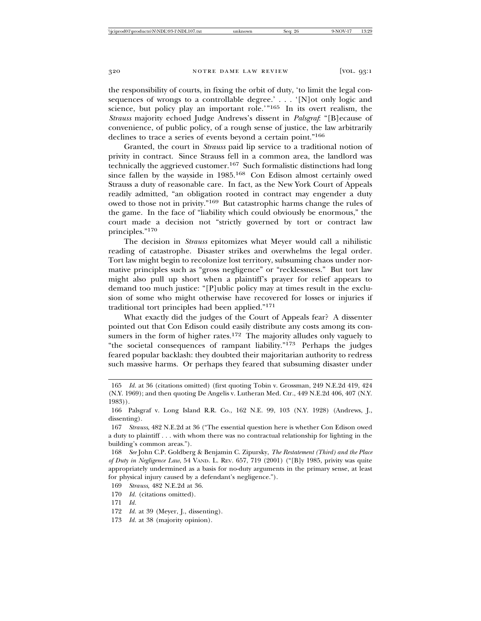the responsibility of courts, in fixing the orbit of duty, 'to limit the legal consequences of wrongs to a controllable degree.' . . . '[N]ot only logic and science, but policy play an important role.'"165 In its overt realism, the *Strauss* majority echoed Judge Andrews's dissent in *Palsgraf*: "[B]ecause of convenience, of public policy, of a rough sense of justice, the law arbitrarily declines to trace a series of events beyond a certain point."<sup>166</sup>

Granted, the court in *Strauss* paid lip service to a traditional notion of privity in contract. Since Strauss fell in a common area, the landlord was technically the aggrieved customer.167 Such formalistic distinctions had long since fallen by the wayside in 1985.168 Con Edison almost certainly owed Strauss a duty of reasonable care. In fact, as the New York Court of Appeals readily admitted, "an obligation rooted in contract may engender a duty owed to those not in privity."169 But catastrophic harms change the rules of the game. In the face of "liability which could obviously be enormous," the court made a decision not "strictly governed by tort or contract law principles."170

The decision in *Strauss* epitomizes what Meyer would call a nihilistic reading of catastrophe. Disaster strikes and overwhelms the legal order. Tort law might begin to recolonize lost territory, subsuming chaos under normative principles such as "gross negligence" or "recklessness." But tort law might also pull up short when a plaintiff's prayer for relief appears to demand too much justice: "[P]ublic policy may at times result in the exclusion of some who might otherwise have recovered for losses or injuries if traditional tort principles had been applied."<sup>171</sup>

What exactly did the judges of the Court of Appeals fear? A dissenter pointed out that Con Edison could easily distribute any costs among its consumers in the form of higher rates.<sup>172</sup> The majority alludes only vaguely to "the societal consequences of rampant liability."173 Perhaps the judges feared popular backlash: they doubted their majoritarian authority to redress such massive harms. Or perhaps they feared that subsuming disaster under

173 *Id.* at 38 (majority opinion).

<sup>165</sup> *Id.* at 36 (citations omitted) (first quoting Tobin v. Grossman, 249 N.E.2d 419, 424 (N.Y. 1969); and then quoting De Angelis v. Lutheran Med. Ctr., 449 N.E.2d 406, 407 (N.Y. 1983)).

<sup>166</sup> Palsgraf v. Long Island R.R. Co., 162 N.E. 99, 103 (N.Y. 1928) (Andrews, J., dissenting).

<sup>167</sup> *Strauss*, 482 N.E.2d at 36 ("The essential question here is whether Con Edison owed a duty to plaintiff . . . with whom there was no contractual relationship for lighting in the building's common areas.").

<sup>168</sup> *See* John C.P. Goldberg & Benjamin C. Zipursky, *The Restatement (Third) and the Place of Duty in Negligence Law*, 54 VAND. L. REV. 657, 719 (2001) ("[B]y 1985, privity was quite appropriately undermined as a basis for no-duty arguments in the primary sense, at least for physical injury caused by a defendant's negligence.").

<sup>169</sup> *Strauss*, 482 N.E.2d at 36.

<sup>170</sup> *Id.* (citations omitted).

<sup>171</sup> *Id.*

<sup>172</sup> *Id.* at 39 (Meyer, J., dissenting).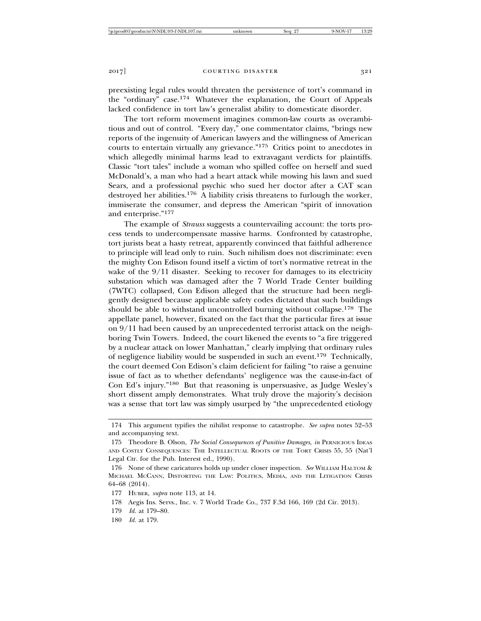preexisting legal rules would threaten the persistence of tort's command in the "ordinary" case.174 Whatever the explanation, the Court of Appeals lacked confidence in tort law's generalist ability to domesticate disorder.

The tort reform movement imagines common-law courts as overambitious and out of control. "Every day," one commentator claims, "brings new reports of the ingenuity of American lawyers and the willingness of American courts to entertain virtually any grievance."175 Critics point to anecdotes in which allegedly minimal harms lead to extravagant verdicts for plaintiffs. Classic "tort tales" include a woman who spilled coffee on herself and sued McDonald's, a man who had a heart attack while mowing his lawn and sued Sears, and a professional psychic who sued her doctor after a CAT scan destroyed her abilities.176 A liability crisis threatens to furlough the worker, immiserate the consumer, and depress the American "spirit of innovation and enterprise."<sup>177</sup>

The example of *Strauss* suggests a countervailing account: the torts process tends to undercompensate massive harms. Confronted by catastrophe, tort jurists beat a hasty retreat, apparently convinced that faithful adherence to principle will lead only to ruin. Such nihilism does not discriminate: even the mighty Con Edison found itself a victim of tort's normative retreat in the wake of the  $9/11$  disaster. Seeking to recover for damages to its electricity substation which was damaged after the 7 World Trade Center building (7WTC) collapsed, Con Edison alleged that the structure had been negligently designed because applicable safety codes dictated that such buildings should be able to withstand uncontrolled burning without collapse.<sup>178</sup> The appellate panel, however, fixated on the fact that the particular fires at issue on 9/11 had been caused by an unprecedented terrorist attack on the neighboring Twin Towers. Indeed, the court likened the events to "a fire triggered by a nuclear attack on lower Manhattan," clearly implying that ordinary rules of negligence liability would be suspended in such an event.179 Technically, the court deemed Con Edison's claim deficient for failing "to raise a genuine issue of fact as to whether defendants' negligence was the cause-in-fact of Con Ed's injury."180 But that reasoning is unpersuasive, as Judge Wesley's short dissent amply demonstrates. What truly drove the majority's decision was a sense that tort law was simply usurped by "the unprecedented etiology

<sup>174</sup> This argument typifies the nihilist response to catastrophe. *See supra* notes 52–53 and accompanying text.

<sup>175</sup> Theodore B. Olson, *The Social Consequences of Punitive Damages*, *in* PERNICIOUS IDEAS AND COSTLY CONSEQUENCES: THE INTELLECTUAL ROOTS OF THE TORT CRISIS 55, 55 (Nat'l Legal Ctr. for the Pub. Interest ed., 1990).

<sup>176</sup> None of these caricatures holds up under closer inspection. *See* WILLIAM HALTOM & MICHAEL MCCANN, DISTORTING THE LAW: POLITICS, MEDIA, AND THE LITIGATION CRISIS 64–68 (2014).

<sup>177</sup> HUBER, *supra* note 113, at 14.

<sup>178</sup> Aegis Ins. Servs., Inc. v. 7 World Trade Co., 737 F.3d 166, 169 (2d Cir. 2013).

<sup>179</sup> *Id.* at 179–80.

<sup>180</sup> *Id.* at 179.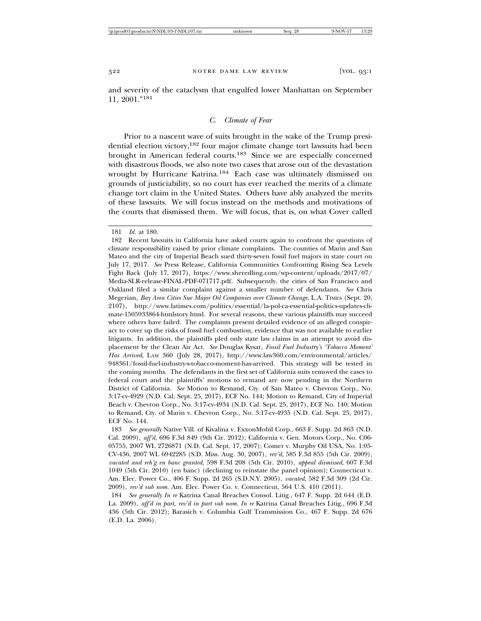and severity of the cataclysm that engulfed lower Manhattan on September 11, 2001."<sup>181</sup>

# *C. Climate of Fear*

Prior to a nascent wave of suits brought in the wake of the Trump presidential election victory,182 four major climate change tort lawsuits had been brought in American federal courts.183 Since we are especially concerned with disastrous floods, we also note two cases that arose out of the devastation wrought by Hurricane Katrina.184 Each case was ultimately dismissed on grounds of justiciability, so no court has ever reached the merits of a climate change tort claim in the United States. Others have ably analyzed the merits of these lawsuits. We will focus instead on the methods and motivations of the courts that dismissed them. We will focus, that is, on what Cover called

182 Recent lawsuits in California have asked courts again to confront the questions of climate responsibility raised by prior climate complaints. The counties of Marin and San Mateo and the city of Imperial Beach sued thirty-seven fossil fuel majors in state court on July 17, 2017. *See* Press Release, California Communities Confronting Rising Sea Levels Fight Back (July 17, 2017), https://www.sheredling.com/wp-content/uploads/2017/07/ Media-SLR-release-FINAL-PDF-071717.pdf. Subsequently, the cities of San Francisco and Oakland filed a similar complaint against a smaller number of defendants. *See* Chris Megerian, *Bay Area Cities Sue Major Oil Companies over Climate Change*, L.A. TIMES (Sept. 20, 2107), http://www.latimes.com/politics/essential/la-pol-ca-essential-politics-updates-climate-1505933864-htmlstory.html. For several reasons, these various plaintiffs may succeed where others have failed. The complaints present detailed evidence of an alleged conspiracy to cover up the risks of fossil fuel combustion, evidence that was not available to earlier litigants. In addition, the plaintiffs pled only state law claims in an attempt to avoid displacement by the Clean Air Act. *See* Douglas Kysar, *Fossil Fuel Industry's 'Tobacco Moment' Has Arrived*, LAW 360 (July 28, 2017), http://www.law360.com/environmental/articles/ 948361/fossil-fuel-industry-s-tobacco-moment-has-arrived. This strategy will be tested in the coming months. The defendants in the first set of California suits removed the cases to federal court and the plaintiffs' motions to remand are now pending in the Northern District of California. *See* Motion to Remand, Cty. of San Mateo v. Chevron Corp., No. 3:17-cv-4929 (N.D. Cal. Sept. 25, 2017), ECF No. 144; Motion to Remand, City of Imperial Beach v. Chevron Corp., No. 3:17-cv-4934 (N.D. Cal. Sept. 25, 2017), ECF No. 140; Motion to Remand, Cty. of Marin v. Chevron Corp., No. 3:17-cv-4935 (N.D. Cal. Sept. 25, 2017), ECF No. 144.

183 *See generally* Native Vill. of Kivalina v. ExxonMobil Corp., 663 F. Supp. 2d 863 (N.D. Cal. 2009), *aff'd*, 696 F.3d 849 (9th Cir. 2012); California v. Gen. Motors Corp., No. C06- 05755, 2007 WL 2726871 (N.D. Cal. Sept. 17, 2007); Comer v. Murphy Oil USA, No. 1:05- CV-436, 2007 WL 6942285 (S.D. Miss. Aug. 30, 2007), *rev'd*, 585 F.3d 855 (5th Cir. 2009), *vacated and reh'g en banc granted*, 598 F.3d 208 (5th Cir. 2010), *appeal dismissed*, 607 F.3d 1049 (5th Cir. 2010) (en banc) (declining to reinstate the panel opinion); Connecticut v. Am. Elec. Power Co., 406 F. Supp. 2d 265 (S.D.N.Y. 2005), *vacated*, 582 F.3d 309 (2d Cir. 2009), *rev'd sub nom.* Am. Elec. Power Co. v. Connecticut, 564 U.S. 410 (2011).

184 *See generally In re* Katrina Canal Breaches Consol. Litig., 647 F. Supp. 2d 644 (E.D. La. 2009), *aff'd in part, rev'd in part sub nom. In re* Katrina Canal Breaches Litig., 696 F.3d 436 (5th Cir. 2012); Barasich v. Columbia Gulf Transmission Co., 467 F. Supp. 2d 676 (E.D. La. 2006).

<sup>181</sup> *Id.* at 180.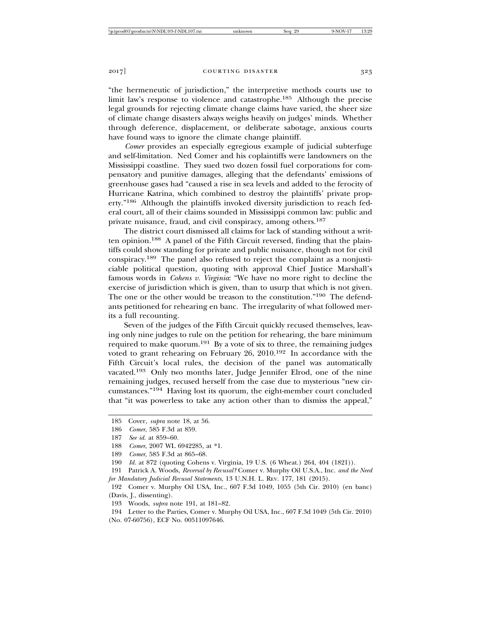"the hermeneutic of jurisdiction," the interpretive methods courts use to limit law's response to violence and catastrophe.185 Although the precise legal grounds for rejecting climate change claims have varied, the sheer size of climate change disasters always weighs heavily on judges' minds. Whether through deference, displacement, or deliberate sabotage, anxious courts have found ways to ignore the climate change plaintiff.

*Comer* provides an especially egregious example of judicial subterfuge and self-limitation. Ned Comer and his coplaintiffs were landowners on the Mississippi coastline. They sued two dozen fossil fuel corporations for compensatory and punitive damages, alleging that the defendants' emissions of greenhouse gases had "caused a rise in sea levels and added to the ferocity of Hurricane Katrina, which combined to destroy the plaintiffs' private property."186 Although the plaintiffs invoked diversity jurisdiction to reach federal court, all of their claims sounded in Mississippi common law: public and private nuisance, fraud, and civil conspiracy, among others.<sup>187</sup>

The district court dismissed all claims for lack of standing without a written opinion.188 A panel of the Fifth Circuit reversed, finding that the plaintiffs could show standing for private and public nuisance, though not for civil conspiracy.189 The panel also refused to reject the complaint as a nonjusticiable political question, quoting with approval Chief Justice Marshall's famous words in *Cohens v. Virginia*: "We have no more right to decline the exercise of jurisdiction which is given, than to usurp that which is not given. The one or the other would be treason to the constitution."190 The defendants petitioned for rehearing en banc. The irregularity of what followed merits a full recounting.

Seven of the judges of the Fifth Circuit quickly recused themselves, leaving only nine judges to rule on the petition for rehearing, the bare minimum required to make quorum.191 By a vote of six to three, the remaining judges voted to grant rehearing on February 26, 2010.192 In accordance with the Fifth Circuit's local rules, the decision of the panel was automatically vacated.193 Only two months later, Judge Jennifer Elrod, one of the nine remaining judges, recused herself from the case due to mysterious "new circumstances."194 Having lost its quorum, the eight-member court concluded that "it was powerless to take any action other than to dismiss the appeal,"

191 Patrick A. Woods, *Reversal by Recusal?* Comer v. Murphy Oil U.S.A., Inc. *and the Need for Mandatory Judicial Recusal Statements*, 13 U.N.H. L. REV. 177, 181 (2015).

192 Comer v. Murphy Oil USA, Inc., 607 F.3d 1049, 1055 (5th Cir. 2010) (en banc) (Davis, J., dissenting).

193 Woods, *supra* note 191, at 181–82.

194 Letter to the Parties, Comer v. Murphy Oil USA, Inc., 607 F.3d 1049 (5th Cir. 2010) (No. 07-60756), ECF No. 00511097646.

<sup>185</sup> Cover, *supra* note 18, at 56.

<sup>186</sup> *Comer*, 585 F.3d at 859.

<sup>187</sup> *See id.* at 859–60.

<sup>188</sup> *Comer*, 2007 WL 6942285, at \*1.

<sup>189</sup> *Comer*, 585 F.3d at 865–68.

<sup>190</sup> *Id.* at 872 (quoting Cohens v. Virginia, 19 U.S. (6 Wheat.) 264, 404 (1821)).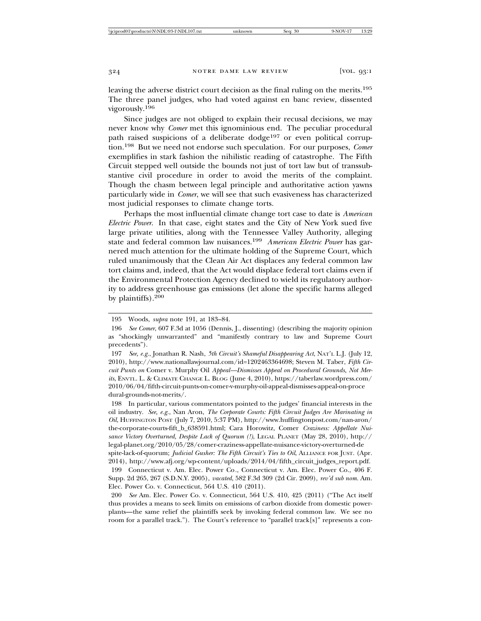leaving the adverse district court decision as the final ruling on the merits.<sup>195</sup> The three panel judges, who had voted against en banc review, dissented vigorously.196

Since judges are not obliged to explain their recusal decisions, we may never know why *Comer* met this ignominious end. The peculiar procedural path raised suspicions of a deliberate dodge<sup>197</sup> or even political corruption.198 But we need not endorse such speculation. For our purposes, *Comer* exemplifies in stark fashion the nihilistic reading of catastrophe. The Fifth Circuit stepped well outside the bounds not just of tort law but of transsubstantive civil procedure in order to avoid the merits of the complaint. Though the chasm between legal principle and authoritative action yawns particularly wide in *Comer*, we will see that such evasiveness has characterized most judicial responses to climate change torts.

Perhaps the most influential climate change tort case to date is *American Electric Power*. In that case, eight states and the City of New York sued five large private utilities, along with the Tennessee Valley Authority, alleging state and federal common law nuisances.199 *American Electric Power* has garnered much attention for the ultimate holding of the Supreme Court, which ruled unanimously that the Clean Air Act displaces any federal common law tort claims and, indeed, that the Act would displace federal tort claims even if the Environmental Protection Agency declined to wield its regulatory authority to address greenhouse gas emissions (let alone the specific harms alleged by plaintiffs).<sup>200</sup>

198 In particular, various commentators pointed to the judges' financial interests in the oil industry. *See, e.g.*, Nan Aron, *The Corporate Courts: Fifth Circuit Judges Are Marinating in Oil*, HUFFINGTON POST (July 7, 2010, 5:37 PM), http://www.huffingtonpost.com/nan-aron/ the-corporate-courts-fift\_b\_638591.html; Cara Horowitz, Comer *Craziness: Appellate Nuisance Victory Overturned, Despite Lack of Quorum (!)*, LEGAL PLANET (May 28, 2010), http:// legal-planet.org/2010/05/28/comer-craziness-appellate-nuisance-victory-overturned-de spite-lack-of-quorum; *Judicial Gusher: The Fifth Circuit's Ties to Oil*, ALLIANCE FOR JUST. (Apr. 2014), http://www.afj.org/wp-content/uploads/2014/04/fifth\_circuit\_judges\_report.pdf.

199 Connecticut v. Am. Elec. Power Co*.*, Connecticut v. Am. Elec. Power Co., 406 F. Supp. 2d 265, 267 (S.D.N.Y. 2005), *vacated*, 582 F.3d 309 (2d Cir. 2009), *rev'd sub nom.* Am. Elec. Power Co. v. Connecticut, 564 U.S. 410 (2011).

200 *See* Am. Elec. Power Co. v. Connecticut, 564 U.S. 410, 425 (2011) ("The Act itself thus provides a means to seek limits on emissions of carbon dioxide from domestic powerplants—the same relief the plaintiffs seek by invoking federal common law. We see no room for a parallel track."). The Court's reference to "parallel track[s]" represents a con-

<sup>195</sup> Woods, *supra* note 191, at 183–84.

<sup>196</sup> *See Comer*, 607 F.3d at 1056 (Dennis, J., dissenting) (describing the majority opinion as "shockingly unwarranted" and "manifestly contrary to law and Supreme Court precedents").

<sup>197</sup> *See, e.g.*, Jonathan R. Nash, *5th Circuit's Shameful Disappearing Act*, NAT'L L.J. (July 12, 2010), http://www.nationallawjournal.com/id=1202463364698; Steven M. Taber, *Fifth Circuit Punts on* Comer v. Murphy Oil *Appeal—Dismisses Appeal on Procedural Grounds, Not Merits*, ENVTL. L. & CLIMATE CHANGE L. BLOG (June 4, 2010), https://taberlaw.wordpress.com/ 2010/06/04/fifth-circuit-punts-on-comer-v-murphy-oil-appeal-dismisses-appeal-on-proce dural-grounds-not-merits/.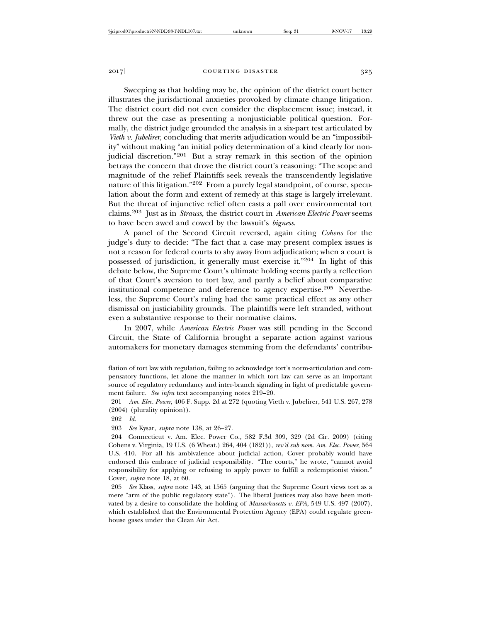Sweeping as that holding may be, the opinion of the district court better illustrates the jurisdictional anxieties provoked by climate change litigation. The district court did not even consider the displacement issue; instead, it threw out the case as presenting a nonjusticiable political question. Formally, the district judge grounded the analysis in a six-part test articulated by *Vieth v. Jubelirer*, concluding that merits adjudication would be an "impossibility" without making "an initial policy determination of a kind clearly for nonjudicial discretion."201 But a stray remark in this section of the opinion betrays the concern that drove the district court's reasoning: "The scope and magnitude of the relief Plaintiffs seek reveals the transcendently legislative nature of this litigation."202 From a purely legal standpoint, of course, speculation about the form and extent of remedy at this stage is largely irrelevant. But the threat of injunctive relief often casts a pall over environmental tort claims.203 Just as in *Strauss*, the district court in *American Electric Power* seems to have been awed and cowed by the lawsuit's *bigness*.

A panel of the Second Circuit reversed, again citing *Cohens* for the judge's duty to decide: "The fact that a case may present complex issues is not a reason for federal courts to shy away from adjudication; when a court is possessed of jurisdiction, it generally must exercise it."204 In light of this debate below, the Supreme Court's ultimate holding seems partly a reflection of that Court's aversion to tort law, and partly a belief about comparative institutional competence and deference to agency expertise.<sup>205</sup> Nevertheless, the Supreme Court's ruling had the same practical effect as any other dismissal on justiciability grounds. The plaintiffs were left stranded, without even a substantive response to their normative claims.

In 2007, while *American Electric Power* was still pending in the Second Circuit, the State of California brought a separate action against various automakers for monetary damages stemming from the defendants' contribu-

flation of tort law with regulation, failing to acknowledge tort's norm-articulation and compensatory functions, let alone the manner in which tort law can serve as an important source of regulatory redundancy and inter-branch signaling in light of predictable government failure. *See infra* text accompanying notes 219–20.

<sup>201</sup> *Am. Elec. Power*, 406 F. Supp. 2d at 272 (quoting Vieth v. Jubelirer, 541 U.S. 267, 278 (2004) (plurality opinion)).

<sup>202</sup> *Id.*

<sup>203</sup> *See* Kysar, *supra* note 138, at 26–27.

<sup>204</sup> Connecticut v. Am. Elec. Power Co., 582 F.3d 309, 329 (2d Cir. 2009) (citing Cohens v. Virginia, 19 U.S. (6 Wheat.) 264, 404 (1821)), *rev'd sub nom. Am. Elec. Power*, 564 U.S. 410. For all his ambivalence about judicial action, Cover probably would have endorsed this embrace of judicial responsibility. "The courts," he wrote, "cannot avoid responsibility for applying or refusing to apply power to fulfill a redemptionist vision." Cover, *supra* note 18, at 60.

<sup>205</sup> *See* Klass, *supra* note 143, at 1565 (arguing that the Supreme Court views tort as a mere "arm of the public regulatory state"). The liberal Justices may also have been motivated by a desire to consolidate the holding of *Massachusetts v. EPA*, 549 U.S. 497 (2007), which established that the Environmental Protection Agency (EPA) could regulate greenhouse gases under the Clean Air Act.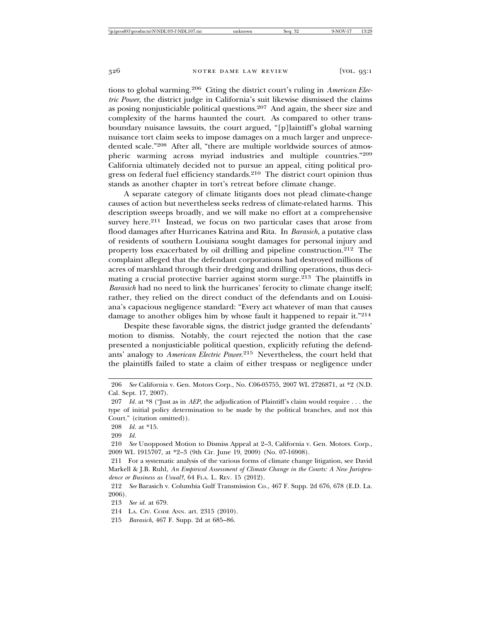tions to global warming.206 Citing the district court's ruling in *American Electric Power*, the district judge in California's suit likewise dismissed the claims as posing nonjusticiable political questions.207 And again, the sheer size and complexity of the harms haunted the court. As compared to other transboundary nuisance lawsuits, the court argued, "[p]laintiff's global warning nuisance tort claim seeks to impose damages on a much larger and unprecedented scale."208 After all, "there are multiple worldwide sources of atmospheric warming across myriad industries and multiple countries."<sup>209</sup> California ultimately decided not to pursue an appeal, citing political progress on federal fuel efficiency standards.<sup>210</sup> The district court opinion thus stands as another chapter in tort's retreat before climate change.

A separate category of climate litigants does not plead climate-change causes of action but nevertheless seeks redress of climate-related harms. This description sweeps broadly, and we will make no effort at a comprehensive survey here.<sup>211</sup> Instead, we focus on two particular cases that arose from flood damages after Hurricanes Katrina and Rita. In *Barasich*, a putative class of residents of southern Louisiana sought damages for personal injury and property loss exacerbated by oil drilling and pipeline construction.212 The complaint alleged that the defendant corporations had destroyed millions of acres of marshland through their dredging and drilling operations, thus decimating a crucial protective barrier against storm surge.<sup>213</sup> The plaintiffs in *Barasich* had no need to link the hurricanes' ferocity to climate change itself; rather, they relied on the direct conduct of the defendants and on Louisiana's capacious negligence standard: "Every act whatever of man that causes damage to another obliges him by whose fault it happened to repair it."<sup>214</sup>

Despite these favorable signs, the district judge granted the defendants' motion to dismiss. Notably, the court rejected the notion that the case presented a nonjusticiable political question, explicitly refuting the defendants' analogy to *American Electric Power*. 215 Nevertheless, the court held that the plaintiffs failed to state a claim of either trespass or negligence under

<sup>206</sup> *See* California v. Gen. Motors Corp., No. C06-05755, 2007 WL 2726871, at \*2 (N.D. Cal. Sept. 17, 2007).

<sup>207</sup> *Id.* at \*8 ("Just as in *AEP*, the adjudication of Plaintiff's claim would require . . . the type of initial policy determination to be made by the political branches, and not this Court." (citation omitted)).

<sup>208</sup> *Id.* at \*15.

<sup>209</sup> *Id.*

<sup>210</sup> *See* Unopposed Motion to Dismiss Appeal at 2–3, California v. Gen. Motors. Corp., 2009 WL 1915707, at \*2–3 (9th Cir. June 19, 2009) (No. 07-16908).

<sup>211</sup> For a systematic analysis of the various forms of climate change litigation, see David Markell & J.B. Ruhl, *An Empirical Assessment of Climate Change in the Courts: A New Jurisprudence or Business as Usual?*, 64 FLA. L. REV. 15 (2012).

<sup>212</sup> *See* Barasich v. Columbia Gulf Transmission Co., 467 F. Supp. 2d 676, 678 (E.D. La. 2006).

<sup>213</sup> *See id.* at 679.

<sup>214</sup> LA. CIV. CODE ANN. art. 2315 (2010).

<sup>215</sup> *Barasich*, 467 F. Supp. 2d at 685–86.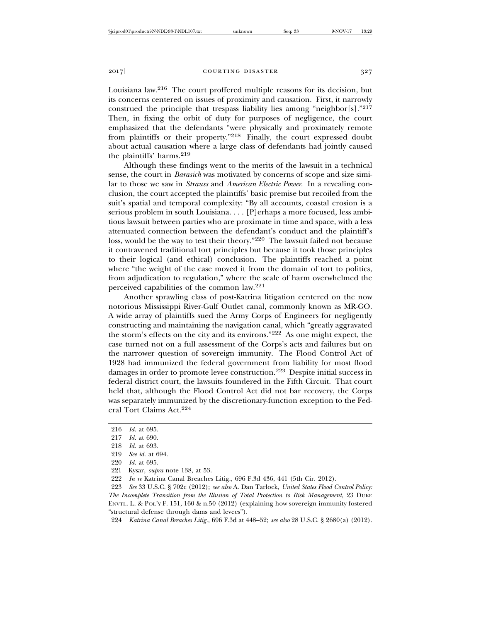Louisiana law.216 The court proffered multiple reasons for its decision, but its concerns centered on issues of proximity and causation. First, it narrowly construed the principle that trespass liability lies among "neighbor[s]."<sup>217</sup> Then, in fixing the orbit of duty for purposes of negligence, the court emphasized that the defendants "were physically and proximately remote from plaintiffs or their property."218 Finally, the court expressed doubt about actual causation where a large class of defendants had jointly caused the plaintiffs' harms.<sup>219</sup>

Although these findings went to the merits of the lawsuit in a technical sense, the court in *Barasich* was motivated by concerns of scope and size similar to those we saw in *Strauss* and *American Electric Power*. In a revealing conclusion, the court accepted the plaintiffs' basic premise but recoiled from the suit's spatial and temporal complexity: "By all accounts, coastal erosion is a serious problem in south Louisiana. . . . [P]erhaps a more focused, less ambitious lawsuit between parties who are proximate in time and space, with a less attenuated connection between the defendant's conduct and the plaintiff's loss, would be the way to test their theory."220 The lawsuit failed not because it contravened traditional tort principles but because it took those principles to their logical (and ethical) conclusion. The plaintiffs reached a point where "the weight of the case moved it from the domain of tort to politics, from adjudication to regulation," where the scale of harm overwhelmed the perceived capabilities of the common law.<sup>221</sup>

Another sprawling class of post-Katrina litigation centered on the now notorious Mississippi River-Gulf Outlet canal, commonly known as MR-GO. A wide array of plaintiffs sued the Army Corps of Engineers for negligently constructing and maintaining the navigation canal, which "greatly aggravated the storm's effects on the city and its environs."222 As one might expect, the case turned not on a full assessment of the Corps's acts and failures but on the narrower question of sovereign immunity. The Flood Control Act of 1928 had immunized the federal government from liability for most flood damages in order to promote levee construction.223 Despite initial success in federal district court, the lawsuits foundered in the Fifth Circuit. That court held that, although the Flood Control Act did not bar recovery, the Corps was separately immunized by the discretionary-function exception to the Federal Tort Claims Act.<sup>224</sup>

221 Kysar, *supra* note 138, at 53.

222 *In re* Katrina Canal Breaches Litig., 696 F.3d 436, 441 (5th Cir. 2012).

223 *See* 33 U.S.C. § 702c (2012); *see also* A. Dan Tarlock, *United States Flood Control Policy: The Incomplete Transition from the Illusion of Total Protection to Risk Management*, 23 DUKE ENVTL. L. & POL'Y F. 151, 160 & n.50 (2012) (explaining how sovereign immunity fostered "structural defense through dams and levees").

224 *Katrina Canal Breaches Litig.*, 696 F.3d at 448–52; *see also* 28 U.S.C. § 2680(a) (2012).

<sup>216</sup> *Id.* at 695.

<sup>217</sup> *Id.* at 690.

<sup>218</sup> *Id.* at 693.

<sup>219</sup> *See id.* at 694.

<sup>220</sup> *Id.* at 695.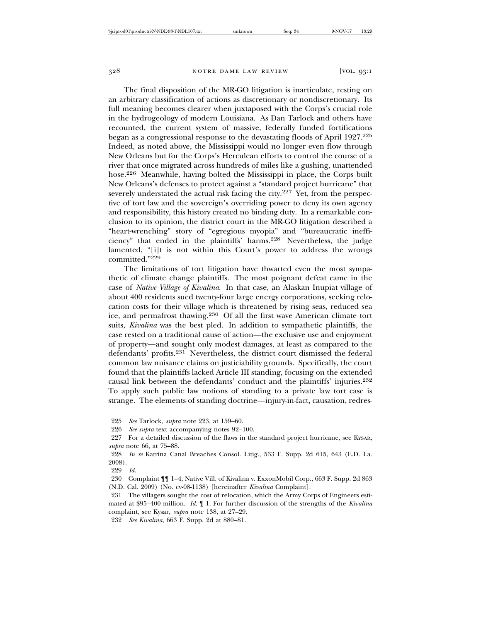The final disposition of the MR-GO litigation is inarticulate, resting on an arbitrary classification of actions as discretionary or nondiscretionary. Its full meaning becomes clearer when juxtaposed with the Corps's crucial role in the hydrogeology of modern Louisiana. As Dan Tarlock and others have recounted, the current system of massive, federally funded fortifications began as a congressional response to the devastating floods of April 1927.<sup>225</sup> Indeed, as noted above, the Mississippi would no longer even flow through New Orleans but for the Corps's Herculean efforts to control the course of a river that once migrated across hundreds of miles like a gushing, unattended hose.226 Meanwhile, having bolted the Mississippi in place, the Corps built New Orleans's defenses to protect against a "standard project hurricane" that severely understated the actual risk facing the city.<sup>227</sup> Yet, from the perspective of tort law and the sovereign's overriding power to deny its own agency and responsibility, this history created no binding duty. In a remarkable conclusion to its opinion, the district court in the MR-GO litigation described a "heart-wrenching" story of "egregious myopia" and "bureaucratic inefficiency" that ended in the plaintiffs' harms.228 Nevertheless, the judge lamented, "[i]t is not within this Court's power to address the wrongs committed."229

The limitations of tort litigation have thwarted even the most sympathetic of climate change plaintiffs. The most poignant defeat came in the case of *Native Village of Kivalina*. In that case, an Alaskan Inupiat village of about 400 residents sued twenty-four large energy corporations, seeking relocation costs for their village which is threatened by rising seas, reduced sea ice, and permafrost thawing.230 Of all the first wave American climate tort suits, *Kivalina* was the best pled. In addition to sympathetic plaintiffs, the case rested on a traditional cause of action—the exclusive use and enjoyment of property—and sought only modest damages, at least as compared to the defendants' profits.231 Nevertheless, the district court dismissed the federal common law nuisance claims on justiciability grounds. Specifically, the court found that the plaintiffs lacked Article III standing, focusing on the extended causal link between the defendants' conduct and the plaintiffs' injuries.<sup>232</sup> To apply such public law notions of standing to a private law tort case is strange. The elements of standing doctrine—injury-in-fact, causation, redres-

<sup>225</sup> *See* Tarlock, *supra* note 223, at 159–60.

<sup>226</sup> *See supra* text accompanying notes 92–100.

<sup>227</sup> For a detailed discussion of the flaws in the standard project hurricane, see KYSAR, *supra* note 66, at 75–88.

<sup>228</sup> *In re* Katrina Canal Breaches Consol. Litig., 533 F. Supp. 2d 615, 643 (E.D. La. 2008).

<sup>229</sup> *Id.*

<sup>230</sup> Complaint ¶¶ 1–4, Native Vill. of Kivalina v. ExxonMobil Corp., 663 F. Supp. 2d 863 (N.D. Cal. 2009) (No. cv-08-1138) [hereinafter *Kivalina* Complaint].

<sup>231</sup> The villagers sought the cost of relocation, which the Army Corps of Engineers estimated at \$95–400 million. *Id.* ¶ 1. For further discussion of the strengths of the *Kivalina* complaint, see Kysar, *supra* note 138, at 27–29.

<sup>232</sup> *See Kivalina*, 663 F. Supp. 2d at 880–81.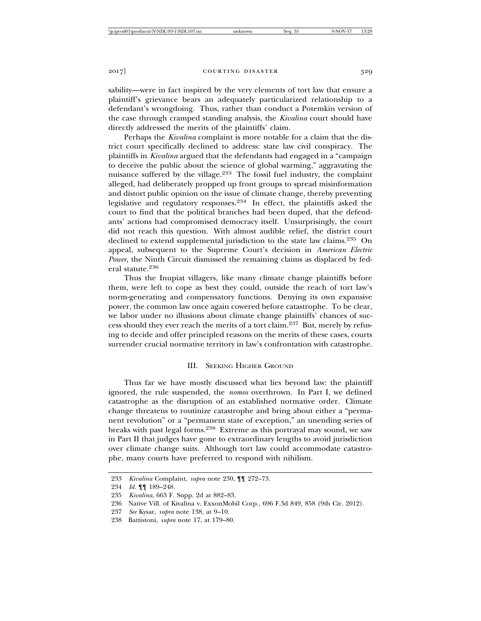sability—were in fact inspired by the very elements of tort law that ensure a plaintiff's grievance bears an adequately particularized relationship to a defendant's wrongdoing. Thus, rather than conduct a Potemkin version of the case through cramped standing analysis, the *Kivalina* court should have directly addressed the merits of the plaintiffs' claim.

Perhaps the *Kivalina* complaint is more notable for a claim that the district court specifically declined to address: state law civil conspiracy. The plaintiffs in *Kivalina* argued that the defendants had engaged in a "campaign to deceive the public about the science of global warming," aggravating the nuisance suffered by the village.233 The fossil fuel industry, the complaint alleged, had deliberately propped up front groups to spread misinformation and distort public opinion on the issue of climate change, thereby preventing legislative and regulatory responses.234 In effect, the plaintiffs asked the court to find that the political branches had been duped, that the defendants' actions had compromised democracy itself. Unsurprisingly, the court did not reach this question. With almost audible relief, the district court declined to extend supplemental jurisdiction to the state law claims.<sup>235</sup> On appeal, subsequent to the Supreme Court's decision in *American Electric Power*, the Ninth Circuit dismissed the remaining claims as displaced by federal statute.<sup>236</sup>

Thus the Inupiat villagers, like many climate change plaintiffs before them, were left to cope as best they could, outside the reach of tort law's norm-generating and compensatory functions. Denying its own expansive power, the common law once again cowered before catastrophe. To be clear, we labor under no illusions about climate change plaintiffs' chances of success should they ever reach the merits of a tort claim.237 But, merely by refusing to decide and offer principled reasons on the merits of these cases, courts surrender crucial normative territory in law's confrontation with catastrophe.

# III. SEEKING HIGHER GROUND

Thus far we have mostly discussed what lies beyond law: the plaintiff ignored, the rule suspended, the *nomos* overthrown. In Part I, we defined catastrophe as the disruption of an established normative order. Climate change threatens to routinize catastrophe and bring about either a "permanent revolution" or a "permanent state of exception," an unending series of breaks with past legal forms.238 Extreme as this portrayal may sound, we saw in Part II that judges have gone to extraordinary lengths to avoid jurisdiction over climate change suits. Although tort law could accommodate catastrophe, many courts have preferred to respond with nihilism.

<sup>233</sup> *Kivalina* Complaint, *supra* note 230, ¶¶ 272–73.

<sup>234</sup> *Id.* ¶¶ 189–248.

<sup>235</sup> *Kivalina*, 663 F. Supp. 2d at 882–83.

<sup>236</sup> Native Vill. of Kivalina v. ExxonMobil Corp., 696 F.3d 849, 858 (9th Cir. 2012).

<sup>237</sup> *See* Kysar, *supra* note 138, at 9–10.

<sup>238</sup> Battistoni, *supra* note 17, at 179–80.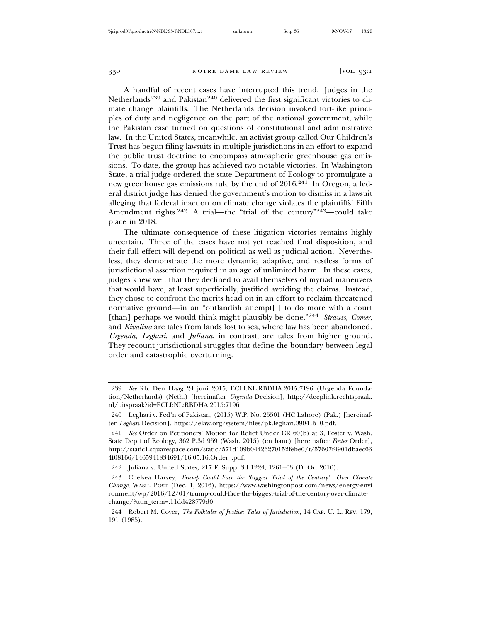A handful of recent cases have interrupted this trend. Judges in the Netherlands<sup>239</sup> and Pakistan<sup>240</sup> delivered the first significant victories to climate change plaintiffs. The Netherlands decision invoked tort-like principles of duty and negligence on the part of the national government, while the Pakistan case turned on questions of constitutional and administrative law. In the United States, meanwhile, an activist group called Our Children's Trust has begun filing lawsuits in multiple jurisdictions in an effort to expand the public trust doctrine to encompass atmospheric greenhouse gas emissions. To date, the group has achieved two notable victories. In Washington State, a trial judge ordered the state Department of Ecology to promulgate a new greenhouse gas emissions rule by the end of 2016.241 In Oregon, a federal district judge has denied the government's motion to dismiss in a lawsuit alleging that federal inaction on climate change violates the plaintiffs' Fifth Amendment rights.<sup>242</sup> A trial—the "trial of the century"<sup>243</sup>—could take place in 2018.

The ultimate consequence of these litigation victories remains highly uncertain. Three of the cases have not yet reached final disposition, and their full effect will depend on political as well as judicial action. Nevertheless, they demonstrate the more dynamic, adaptive, and restless forms of jurisdictional assertion required in an age of unlimited harm. In these cases, judges knew well that they declined to avail themselves of myriad maneuvers that would have, at least superficially, justified avoiding the claims. Instead, they chose to confront the merits head on in an effort to reclaim threatened normative ground—in an "outlandish attempt[ ] to do more with a court [than] perhaps we would think might plausibly be done."<sup>244</sup> *Strauss*, *Comer*, and *Kivalina* are tales from lands lost to sea, where law has been abandoned. *Urgenda*, *Leghari*, and *Juliana*, in contrast, are tales from higher ground. They recount jurisdictional struggles that define the boundary between legal order and catastrophic overturning.

<sup>239</sup> *See* Rb. Den Haag 24 juni 2015, ECLI:NL:RBDHA:2015:7196 (Urgenda Foundation/Netherlands) (Neth.) [hereinafter *Urgenda* Decision], http://deeplink.rechtspraak. nl/uitspraak?id=ECLI:NL:RBDHA:2015:7196.

<sup>240</sup> Leghari v. Fed'n of Pakistan, (2015) W.P. No. 25501 (HC Lahore) (Pak.) [hereinafter *Leghari* Decision], https://elaw.org/system/files/pk.leghari.090415\_0.pdf.

<sup>241</sup> *See* Order on Petitioners' Motion for Relief Under CR 60(b) at 3, Foster v. Wash. State Dep't of Ecology, 362 P.3d 959 (Wash. 2015) (en banc) [hereinafter *Foster* Order], http://static1.squarespace.com/static/571d109b04426270152febe0/t/57607f4901dbaec63 4f08166/1465941834691/16.05.16.Order\_.pdf.

<sup>242</sup> Juliana v. United States, 217 F. Supp. 3d 1224, 1261–63 (D. Or. 2016).

<sup>243</sup> Chelsea Harvey, *Trump Could Face the 'Biggest Trial of the Century'—Over Climate Change*, WASH. POST (Dec. 1, 2016), https://www.washingtonpost.com/news/energy-envi ronment/wp/2016/12/01/trump-could-face-the-biggest-trial-of-the-century-over-climatechange/?utm\_term=.11dd428779d0.

<sup>244</sup> Robert M. Cover, *The Folktales of Justice: Tales of Jurisdiction*, 14 CAP. U. L. REV. 179, 191 (1985).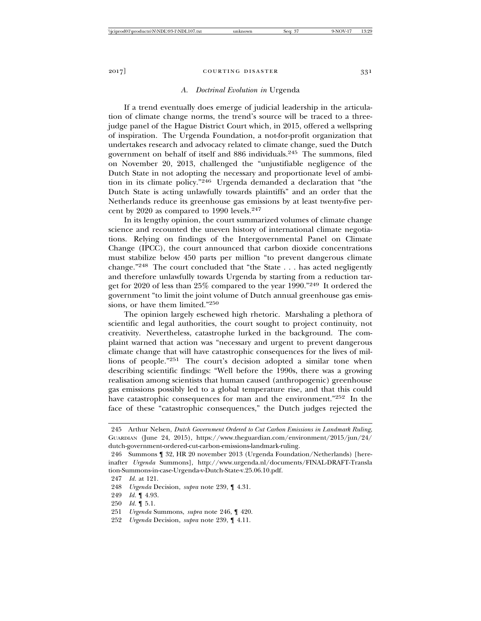## *A. Doctrinal Evolution in* Urgenda

If a trend eventually does emerge of judicial leadership in the articulation of climate change norms, the trend's source will be traced to a threejudge panel of the Hague District Court which, in 2015, offered a wellspring of inspiration. The Urgenda Foundation, a not-for-profit organization that undertakes research and advocacy related to climate change, sued the Dutch government on behalf of itself and 886 individuals.245 The summons, filed on November 20, 2013, challenged the "unjustifiable negligence of the Dutch State in not adopting the necessary and proportionate level of ambition in its climate policy."246 Urgenda demanded a declaration that "the Dutch State is acting unlawfully towards plaintiffs" and an order that the Netherlands reduce its greenhouse gas emissions by at least twenty-five percent by 2020 as compared to 1990 levels.<sup>247</sup>

In its lengthy opinion, the court summarized volumes of climate change science and recounted the uneven history of international climate negotiations. Relying on findings of the Intergovernmental Panel on Climate Change (IPCC), the court announced that carbon dioxide concentrations must stabilize below 450 parts per million "to prevent dangerous climate change."248 The court concluded that "the State . . . has acted negligently and therefore unlawfully towards Urgenda by starting from a reduction target for 2020 of less than 25% compared to the year 1990."249 It ordered the government "to limit the joint volume of Dutch annual greenhouse gas emissions, or have them limited."<sup>250</sup>

The opinion largely eschewed high rhetoric. Marshaling a plethora of scientific and legal authorities, the court sought to project continuity, not creativity. Nevertheless, catastrophe lurked in the background. The complaint warned that action was "necessary and urgent to prevent dangerous climate change that will have catastrophic consequences for the lives of millions of people."251 The court's decision adopted a similar tone when describing scientific findings: "Well before the 1990s, there was a growing realisation among scientists that human caused (anthropogenic) greenhouse gas emissions possibly led to a global temperature rise, and that this could have catastrophic consequences for man and the environment."252 In the face of these "catastrophic consequences," the Dutch judges rejected the

<sup>245</sup> Arthur Nelsen, *Dutch Government Ordered to Cut Carbon Emissions in Landmark Ruling*, GUARDIAN (June 24, 2015), https://www.theguardian.com/environment/2015/jun/24/ dutch-government-ordered-cut-carbon-emissions-landmark-ruling.

<sup>246</sup> Summons ¶ 32, HR 20 november 2013 (Urgenda Foundation/Netherlands) [hereinafter *Urgenda* Summons], http://www.urgenda.nl/documents/FINAL-DRAFT-Transla tion-Summons-in-case-Urgenda-v-Dutch-State-v.25.06.10.pdf.

<sup>247</sup> *Id.* at 121.

<sup>248</sup> *Urgenda* Decision, *supra* note 239, ¶ 4.31.

<sup>249</sup> *Id.* ¶ 4.93.

<sup>250</sup> *Id.* ¶ 5.1.

<sup>251</sup> *Urgenda* Summons, *supra* note 246, ¶ 420.

<sup>252</sup> *Urgenda* Decision, *supra* note 239, ¶ 4.11.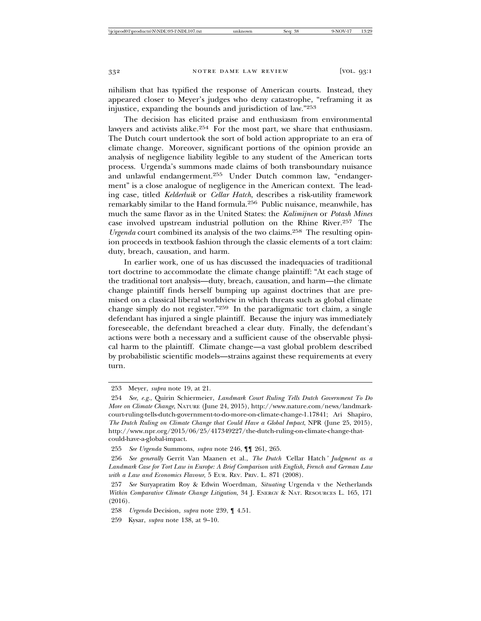nihilism that has typified the response of American courts. Instead, they appeared closer to Meyer's judges who deny catastrophe, "reframing it as injustice, expanding the bounds and jurisdiction of law."<sup>253</sup>

The decision has elicited praise and enthusiasm from environmental lawyers and activists alike.<sup>254</sup> For the most part, we share that enthusiasm. The Dutch court undertook the sort of bold action appropriate to an era of climate change. Moreover, significant portions of the opinion provide an analysis of negligence liability legible to any student of the American torts process. Urgenda's summons made claims of both transboundary nuisance and unlawful endangerment.255 Under Dutch common law, "endangerment" is a close analogue of negligence in the American context. The leading case, titled *Kelderluik* or *Cellar Hatch*, describes a risk-utility framework remarkably similar to the Hand formula.256 Public nuisance, meanwhile, has much the same flavor as in the United States: the *Kalimijnen* or *Potash Mines* case involved upstream industrial pollution on the Rhine River.257 The *Urgenda* court combined its analysis of the two claims.<sup>258</sup> The resulting opinion proceeds in textbook fashion through the classic elements of a tort claim: duty, breach, causation, and harm.

In earlier work, one of us has discussed the inadequacies of traditional tort doctrine to accommodate the climate change plaintiff: "At each stage of the traditional tort analysis—duty, breach, causation, and harm—the climate change plaintiff finds herself bumping up against doctrines that are premised on a classical liberal worldview in which threats such as global climate change simply do not register."259 In the paradigmatic tort claim, a single defendant has injured a single plaintiff. Because the injury was immediately foreseeable, the defendant breached a clear duty. Finally, the defendant's actions were both a necessary and a sufficient cause of the observable physical harm to the plaintiff. Climate change—a vast global problem described by probabilistic scientific models—strains against these requirements at every turn.

<sup>253</sup> Meyer, *supra* note 19, at 21.

<sup>254</sup> *See, e.g.*, Quirin Schiermeier, *Landmark Court Ruling Tells Dutch Government To Do More on Climate Change*, NATURE (June 24, 2015), http://www.nature.com/news/landmarkcourt-ruling-tells-dutch-government-to-do-more-on-climate-change-1.17841; Ari Shapiro, *The Dutch Ruling on Climate Change that Could Have a Global Impact*, NPR (June 25, 2015), http://www.npr.org/2015/06/25/417349227/the-dutch-ruling-on-climate-change-thatcould-have-a-global-impact.

<sup>255</sup> *See Urgenda* Summons, *supra* note 246, ¶¶ 261, 265.

<sup>256</sup> *See generally* Gerrit Van Maanen et al., *The Dutch '*Cellar Hatch*' Judgment as a Landmark Case for Tort Law in Europe: A Brief Comparison with English, French and German Law with a Law and Economics Flavour*, 5 EUR. REV. PRIV. L. 871 (2008).

<sup>257</sup> *See* Suryapratim Roy & Edwin Woerdman, *Situating* Urgenda v the Netherlands *Within Comparative Climate Change Litigation*, 34 J. ENERGY & NAT. RESOURCES L. 165, 171 (2016).

<sup>258</sup> *Urgenda* Decision, *supra* note 239, ¶ 4.51.

<sup>259</sup> Kysar, *supra* note 138, at 9–10.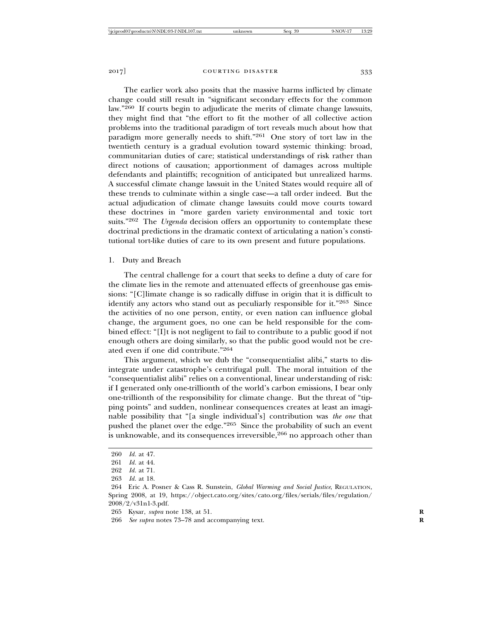The earlier work also posits that the massive harms inflicted by climate change could still result in "significant secondary effects for the common law."260 If courts begin to adjudicate the merits of climate change lawsuits, they might find that "the effort to fit the mother of all collective action problems into the traditional paradigm of tort reveals much about how that paradigm more generally needs to shift."261 One story of tort law in the twentieth century is a gradual evolution toward systemic thinking: broad, communitarian duties of care; statistical understandings of risk rather than direct notions of causation; apportionment of damages across multiple defendants and plaintiffs; recognition of anticipated but unrealized harms. A successful climate change lawsuit in the United States would require all of these trends to culminate within a single case—a tall order indeed. But the actual adjudication of climate change lawsuits could move courts toward these doctrines in "more garden variety environmental and toxic tort suits."262 The *Urgenda* decision offers an opportunity to contemplate these doctrinal predictions in the dramatic context of articulating a nation's constitutional tort-like duties of care to its own present and future populations.

#### 1. Duty and Breach

The central challenge for a court that seeks to define a duty of care for the climate lies in the remote and attenuated effects of greenhouse gas emissions: "[C]limate change is so radically diffuse in origin that it is difficult to identify any actors who stand out as peculiarly responsible for it."263 Since the activities of no one person, entity, or even nation can influence global change, the argument goes, no one can be held responsible for the combined effect: "[I]t is not negligent to fail to contribute to a public good if not enough others are doing similarly, so that the public good would not be created even if one did contribute."<sup>264</sup>

This argument, which we dub the "consequentialist alibi," starts to disintegrate under catastrophe's centrifugal pull. The moral intuition of the "consequentialist alibi" relies on a conventional, linear understanding of risk: if I generated only one-trillionth of the world's carbon emissions, I bear only one-trillionth of the responsibility for climate change. But the threat of "tipping points" and sudden, nonlinear consequences creates at least an imaginable possibility that "[a single individual's] contribution was *the one* that pushed the planet over the edge."265 Since the probability of such an event is unknowable, and its consequences irreversible,  $266$  no approach other than

<sup>260</sup> *Id.* at 47.

<sup>261</sup> *Id.* at 44.

<sup>262</sup> *Id.* at 71.

<sup>263</sup> *Id.* at 18.

<sup>264</sup> Eric A. Posner & Cass R. Sunstein, *Global Warming and Social Justice*, REGULATION, Spring 2008, at 19, https://object.cato.org/sites/cato.org/files/serials/files/regulation/ 2008/2/v31n1-3.pdf.

<sup>265</sup> Kysar, *supra* note 138, at 51. **R**

<sup>266</sup> *See supra* notes 73–78 and accompanying text. **R**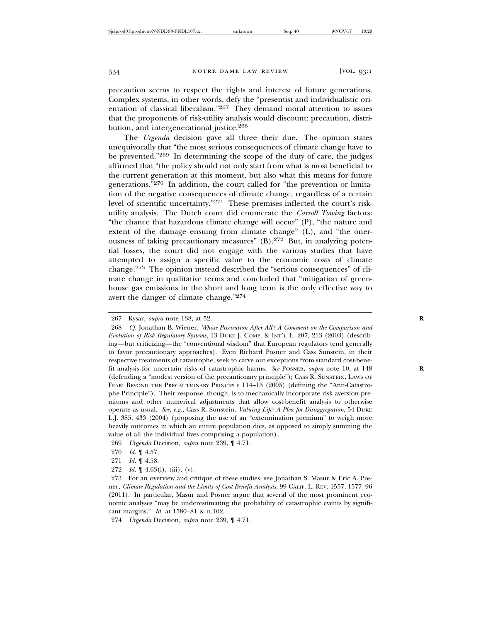precaution seems to respect the rights and interest of future generations. Complex systems, in other words, defy the "presentist and individualistic orientation of classical liberalism."267 They demand moral attention to issues that the proponents of risk-utility analysis would discount: precaution, distribution, and intergenerational justice.<sup>268</sup>

The *Urgenda* decision gave all three their due. The opinion states unequivocally that "the most serious consequences of climate change have to be prevented."269 In determining the scope of the duty of care, the judges affirmed that "the policy should not only start from what is most beneficial to the current generation at this moment, but also what this means for future generations."270 In addition, the court called for "the prevention or limitation of the negative consequences of climate change, regardless of a certain level of scientific uncertainty."271 These premises inflected the court's riskutility analysis. The Dutch court did enumerate the *Carroll Towing* factors: "the chance that hazardous climate change will occur" (P), "the nature and extent of the damage ensuing from climate change" (L), and "the onerousness of taking precautionary measures" (B).272 But, in analyzing potential losses, the court did not engage with the various studies that have attempted to assign a specific value to the economic costs of climate change.273 The opinion instead described the "serious consequences" of climate change in qualitative terms and concluded that "mitigation of greenhouse gas emissions in the short and long term is the only effective way to avert the danger of climate change."<sup>274</sup>

<sup>267</sup> Kysar, *supra* note 138, at 52. **R**

<sup>268</sup> *Cf.* Jonathan B. Wiener, *Whose Precaution After All? A Comment on the Comparison and Evolution of Risk Regulatory Systems*, 13 DUKE J. COMP. & INT'L L. 207, 213 (2003) (describing—but criticizing—the "conventional wisdom" that European regulators tend generally to favor precautionary approaches). Even Richard Posner and Cass Sunstein, in their respective treatments of catastrophe, seek to carve out exceptions from standard cost-benefit analysis for uncertain risks of catastrophic harms. *See* POSNER, *supra* note 10, at 148 **R** (defending a "modest version of the precautionary principle"); CASS R. SUNSTEIN, LAWS OF FEAR: BEYOND THE PRECAUTIONARY PRINCIPLE 114–15 (2005) (defining the "Anti-Catastrophe Principle"). Their response, though, is to mechanically incorporate risk aversion premiums and other numerical adjustments that allow cost-benefit analysis to otherwise operate as usual. *See, e.g.*, Cass R. Sunstein, *Valuing Life: A Plea for Disaggregation*, 54 DUKE L.J. 385, 433 (2004) (proposing the use of an "extermination premium" to weigh more heavily outcomes in which an entire population dies, as opposed to simply summing the value of all the individual lives comprising a population)*.*

<sup>269</sup> *Urgenda* Decision, *supra* note 239, ¶ 4.71.

<sup>270</sup> *Id.* ¶ 4.57.

<sup>271</sup> *Id.* ¶ 4.58.

<sup>272</sup> *Id.* ¶ 4.63(i), (iii), (v).

<sup>273</sup> For an overview and critique of these studies, see Jonathan S. Masur & Eric A. Posner, *Climate Regulation and the Limits of Cost-Benefit Analysis*, 99 CALIF. L. REV. 1557, 1577–96 (2011). In particular, Masur and Posner argue that several of the most prominent economic analyses "may be underestimating the probability of catastrophic events by significant margins." *Id.* at 1580–81 & n.102.

<sup>274</sup> *Urgenda* Decision, *supra* note 239, ¶ 4.71.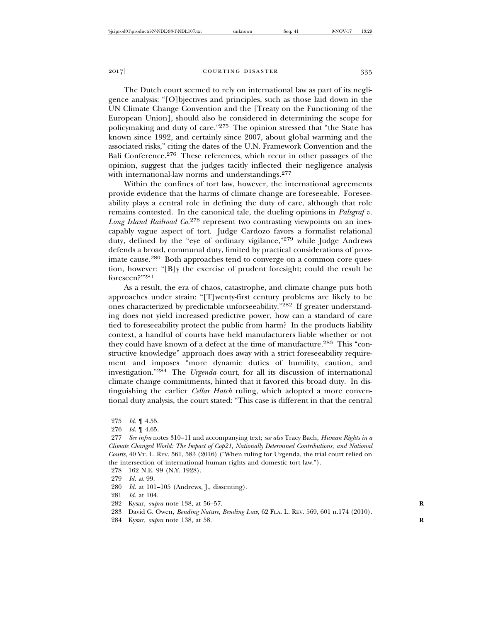The Dutch court seemed to rely on international law as part of its negligence analysis: "[O]bjectives and principles, such as those laid down in the UN Climate Change Convention and the [Treaty on the Functioning of the European Union], should also be considered in determining the scope for policymaking and duty of care."275 The opinion stressed that "the State has known since 1992, and certainly since 2007, about global warming and the associated risks," citing the dates of the U.N. Framework Convention and the Bali Conference.276 These references, which recur in other passages of the opinion, suggest that the judges tacitly inflected their negligence analysis

with international-law norms and understandings.<sup>277</sup>

Within the confines of tort law, however, the international agreements provide evidence that the harms of climate change are foreseeable. Foreseeability plays a central role in defining the duty of care, although that role remains contested. In the canonical tale, the dueling opinions in *Palsgraf v. Long Island Railroad Co.*278 represent two contrasting viewpoints on an inescapably vague aspect of tort. Judge Cardozo favors a formalist relational duty, defined by the "eye of ordinary vigilance,"279 while Judge Andrews defends a broad, communal duty, limited by practical considerations of proximate cause.<sup>280</sup> Both approaches tend to converge on a common core question, however: "[B]y the exercise of prudent foresight; could the result be foreseen?"281

As a result, the era of chaos, catastrophe, and climate change puts both approaches under strain: "[T]wenty-first century problems are likely to be ones characterized by predictable unforseeability."282 If greater understanding does not yield increased predictive power, how can a standard of care tied to foreseeability protect the public from harm? In the products liability context, a handful of courts have held manufacturers liable whether or not they could have known of a defect at the time of manufacture.283 This "constructive knowledge" approach does away with a strict foreseeability requirement and imposes "more dynamic duties of humility, caution, and investigation."284 The *Urgenda* court, for all its discussion of international climate change commitments, hinted that it favored this broad duty. In distinguishing the earlier *Cellar Hatch* ruling, which adopted a more conventional duty analysis, the court stated: "This case is different in that the central

280 *Id.* at 101–105 (Andrews, J., dissenting).

- 282 Kysar, *supra* note 138, at 56–57. **R**
- 283 David G. Owen, *Bending Nature, Bending Law*, 62 FLA. L. REV. 569, 601 n.174 (2010).
- 284 Kysar, *supra* note 138, at 58. **R**

<sup>275</sup> *Id.* ¶ 4.55.

<sup>276</sup> *Id.* ¶ 4.65.

<sup>277</sup> *See infra* notes 310–11 and accompanying text; *see also* Tracy Bach, *Human Rights in a Climate Changed World: The Impact of Cop21, Nationally Determined Contributions, and National Courts*, 40 VT. L. REV. 561, 583 (2016) ("When ruling for Urgenda, the trial court relied on the intersection of international human rights and domestic tort law.").

<sup>278 162</sup> N.E. 99 (N.Y. 1928).

<sup>279</sup> *Id.* at 99.

<sup>281</sup> *Id.* at 104.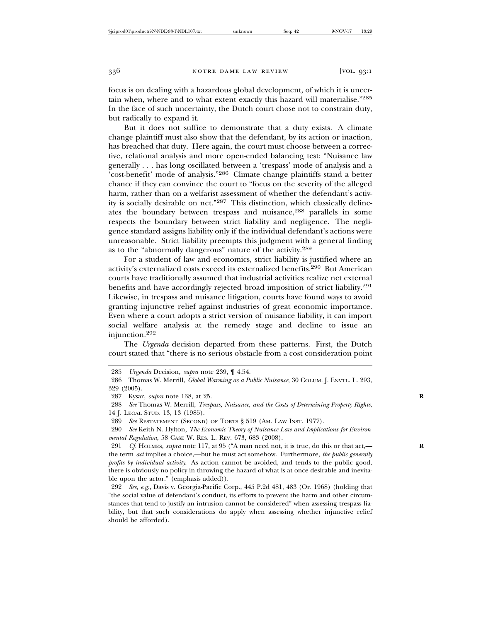focus is on dealing with a hazardous global development, of which it is uncertain when, where and to what extent exactly this hazard will materialise."<sup>285</sup> In the face of such uncertainty, the Dutch court chose not to constrain duty, but radically to expand it.

But it does not suffice to demonstrate that a duty exists. A climate change plaintiff must also show that the defendant, by its action or inaction, has breached that duty. Here again, the court must choose between a corrective, relational analysis and more open-ended balancing test: "Nuisance law generally . . . has long oscillated between a 'trespass' mode of analysis and a 'cost-benefit' mode of analysis."286 Climate change plaintiffs stand a better chance if they can convince the court to "focus on the severity of the alleged harm, rather than on a welfarist assessment of whether the defendant's activity is socially desirable on net."287 This distinction, which classically delineates the boundary between trespass and nuisance,<sup>288</sup> parallels in some respects the boundary between strict liability and negligence. The negligence standard assigns liability only if the individual defendant's actions were unreasonable. Strict liability preempts this judgment with a general finding as to the "abnormally dangerous" nature of the activity.<sup>289</sup>

For a student of law and economics, strict liability is justified where an activity's externalized costs exceed its externalized benefits.290 But American courts have traditionally assumed that industrial activities realize net external benefits and have accordingly rejected broad imposition of strict liability.<sup>291</sup> Likewise, in trespass and nuisance litigation, courts have found ways to avoid granting injunctive relief against industries of great economic importance. Even where a court adopts a strict version of nuisance liability, it can import social welfare analysis at the remedy stage and decline to issue an injunction.292

The *Urgenda* decision departed from these patterns. First, the Dutch court stated that "there is no serious obstacle from a cost consideration point

288 *See* Thomas W. Merrill, *Trespass, Nuisance, and the Costs of Determining Property Rights*, 14 J. LEGAL STUD. 13, 13 (1985).

289 *See* RESTATEMENT (SECOND) OF TORTS § 519 (AM. LAW INST. 1977).

290 *See* Keith N. Hylton, *The Economic Theory of Nuisance Law and Implications for Environmental Regulation*, 58 CASE W. RES. L. REV. 673, 683 (2008).

291 *Cf.* HOLMES, *supra* note 117, at 95 ("A man need not, it is true, do this or that act,— **R** the term *act* implies a choice,—but he must act somehow. Furthermore, *the public generally profits by individual activity*. As action cannot be avoided, and tends to the public good, there is obviously no policy in throwing the hazard of what is at once desirable and inevitable upon the actor." (emphasis added)).

292 *See, e.g.*, Davis v. Georgia-Pacific Corp., 445 P.2d 481, 483 (Or. 1968) (holding that "the social value of defendant's conduct, its efforts to prevent the harm and other circumstances that tend to justify an intrusion cannot be considered" when assessing trespass liability, but that such considerations do apply when assessing whether injunctive relief should be afforded).

<sup>285</sup> *Urgenda* Decision, *supra* note 239, ¶ 4.54.

<sup>286</sup> Thomas W. Merrill, *Global Warming as a Public Nuisance*, 30 COLUM. J. ENVTL. L. 293, 329 (2005).

<sup>287</sup> Kysar, *supra* note 138, at 25. **R**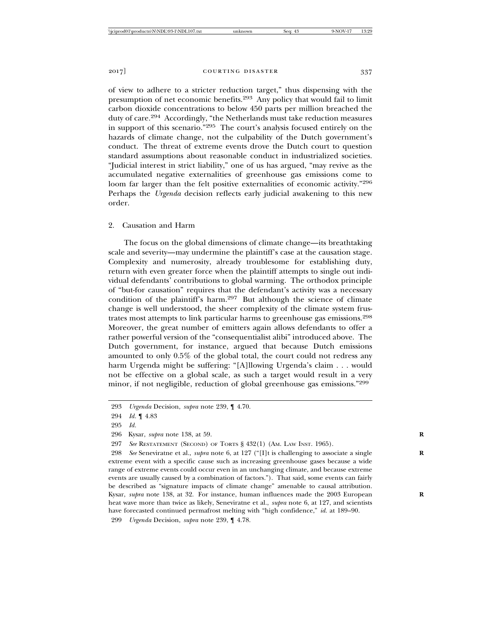of view to adhere to a stricter reduction target," thus dispensing with the presumption of net economic benefits.293 Any policy that would fail to limit carbon dioxide concentrations to below 450 parts per million breached the duty of care.294 Accordingly, "the Netherlands must take reduction measures in support of this scenario."295 The court's analysis focused entirely on the hazards of climate change, not the culpability of the Dutch government's conduct. The threat of extreme events drove the Dutch court to question standard assumptions about reasonable conduct in industrialized societies. "Judicial interest in strict liability," one of us has argued, "may revive as the accumulated negative externalities of greenhouse gas emissions come to loom far larger than the felt positive externalities of economic activity."<sup>296</sup> Perhaps the *Urgenda* decision reflects early judicial awakening to this new order.

# 2. Causation and Harm

The focus on the global dimensions of climate change—its breathtaking scale and severity—may undermine the plaintiff's case at the causation stage. Complexity and numerosity, already troublesome for establishing duty, return with even greater force when the plaintiff attempts to single out individual defendants' contributions to global warming. The orthodox principle of "but-for causation" requires that the defendant's activity was a necessary condition of the plaintiff's harm.297 But although the science of climate change is well understood, the sheer complexity of the climate system frustrates most attempts to link particular harms to greenhouse gas emissions.<sup>298</sup> Moreover, the great number of emitters again allows defendants to offer a rather powerful version of the "consequentialist alibi" introduced above. The Dutch government, for instance, argued that because Dutch emissions amounted to only 0.5% of the global total, the court could not redress any harm Urgenda might be suffering: "[A]llowing Urgenda's claim . . . would not be effective on a global scale, as such a target would result in a very minor, if not negligible, reduction of global greenhouse gas emissions."<sup>299</sup>

<sup>293</sup> *Urgenda* Decision, *supra* note 239, ¶ 4.70.

<sup>294</sup> *Id.* ¶ 4.83

<sup>295</sup> *Id.*

<sup>296</sup> Kysar, *supra* note 138, at 59. **R**

<sup>297</sup> *See* RESTATEMENT (SECOND) OF TORTS § 432(1) (AM. LAW INST. 1965).

<sup>298</sup> *See* Seneviratne et al., *supra* note 6, at 127 ("[I]t is challenging to associate a single **R** extreme event with a specific cause such as increasing greenhouse gases because a wide range of extreme events could occur even in an unchanging climate, and because extreme events are usually caused by a combination of factors."). That said, some events can fairly be described as "signature impacts of climate change" amenable to causal attribution. Kysar, *supra* note 138, at 32. For instance, human influences made the 2003 European heat wave more than twice as likely, Seneviratne et al., *supra* note 6, at 127, and scientists have forecasted continued permafrost melting with "high confidence," *id.* at 189–90.

<sup>299</sup> *Urgenda* Decision, *supra* note 239, ¶ 4.78.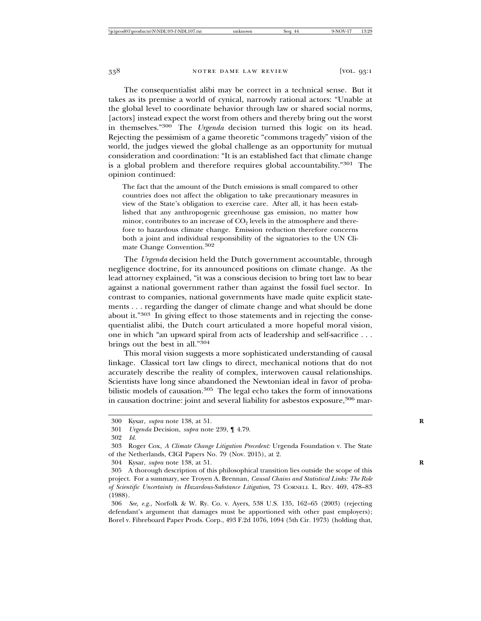The consequentialist alibi may be correct in a technical sense. But it takes as its premise a world of cynical, narrowly rational actors: "Unable at the global level to coordinate behavior through law or shared social norms, [actors] instead expect the worst from others and thereby bring out the worst in themselves."300 The *Urgenda* decision turned this logic on its head. Rejecting the pessimism of a game theoretic "commons tragedy" vision of the world, the judges viewed the global challenge as an opportunity for mutual consideration and coordination: "It is an established fact that climate change is a global problem and therefore requires global accountability."301 The opinion continued:

The fact that the amount of the Dutch emissions is small compared to other countries does not affect the obligation to take precautionary measures in view of the State's obligation to exercise care. After all, it has been established that any anthropogenic greenhouse gas emission, no matter how minor, contributes to an increase of  $CO<sub>2</sub>$  levels in the atmosphere and therefore to hazardous climate change. Emission reduction therefore concerns both a joint and individual responsibility of the signatories to the UN Climate Change Convention.302

The *Urgenda* decision held the Dutch government accountable, through negligence doctrine, for its announced positions on climate change. As the lead attorney explained, "it was a conscious decision to bring tort law to bear against a national government rather than against the fossil fuel sector. In contrast to companies, national governments have made quite explicit statements . . . regarding the danger of climate change and what should be done about it."303 In giving effect to those statements and in rejecting the consequentialist alibi, the Dutch court articulated a more hopeful moral vision, one in which "an upward spiral from acts of leadership and self-sacrifice . . . brings out the best in all."<sup>304</sup>

This moral vision suggests a more sophisticated understanding of causal linkage. Classical tort law clings to direct, mechanical notions that do not accurately describe the reality of complex, interwoven causal relationships. Scientists have long since abandoned the Newtonian ideal in favor of probabilistic models of causation.<sup>305</sup> The legal echo takes the form of innovations in causation doctrine: joint and several liability for asbestos exposure,  $306$  mar-

<sup>300</sup> Kysar, *supra* note 138, at 51. **R**

<sup>301</sup> *Urgenda* Decision, *supra* note 239, ¶ 4.79.

<sup>302</sup> *Id.*

<sup>303</sup> Roger Cox, *A Climate Change Litigation Precedent:* Urgenda Foundation v. The State of the Netherlands, CIGI Papers No. 79 (Nov. 2015), at 2.

<sup>304</sup> Kysar, *supra* note 138, at 51. **R**

<sup>305</sup> A thorough description of this philosophical transition lies outside the scope of this project. For a summary, see Troyen A. Brennan, *Causal Chains and Statistical Links: The Role of Scientific Uncertainty in Hazardous-Substance Litigation*, 73 CORNELL L. REV. 469, 478–83 (1988).

<sup>306</sup> *See, e.g.*, Norfolk & W. Ry. Co. v. Ayers, 538 U.S. 135, 162–65 (2003) (rejecting defendant's argument that damages must be apportioned with other past employers); Borel v. Fibreboard Paper Prods. Corp., 493 F.2d 1076, 1094 (5th Cir. 1973) (holding that,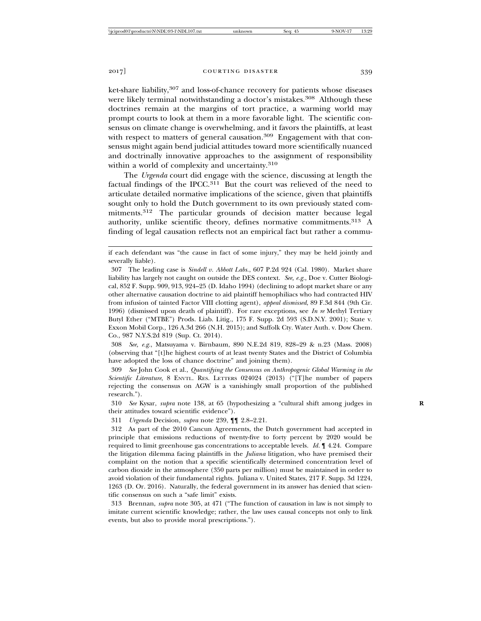2017] **COURTING DISASTER** 339

ket-share liability,<sup>307</sup> and loss-of-chance recovery for patients whose diseases were likely terminal notwithstanding a doctor's mistakes.<sup>308</sup> Although these doctrines remain at the margins of tort practice, a warming world may prompt courts to look at them in a more favorable light. The scientific consensus on climate change is overwhelming, and it favors the plaintiffs, at least with respect to matters of general causation.<sup>309</sup> Engagement with that consensus might again bend judicial attitudes toward more scientifically nuanced and doctrinally innovative approaches to the assignment of responsibility within a world of complexity and uncertainty.<sup>310</sup>

The *Urgenda* court did engage with the science, discussing at length the factual findings of the IPCC.311 But the court was relieved of the need to articulate detailed normative implications of the science, given that plaintiffs sought only to hold the Dutch government to its own previously stated commitments.312 The particular grounds of decision matter because legal authority, unlike scientific theory, defines normative commitments.<sup>313</sup> A finding of legal causation reflects not an empirical fact but rather a commu-

308 *See, e.g.*, Matsuyama v. Birnbaum, 890 N.E.2d 819, 828–29 & n.23 (Mass. 2008) (observing that "[t]he highest courts of at least twenty States and the District of Columbia have adopted the loss of chance doctrine" and joining them).

309 *See* John Cook et al., *Quantifying the Consensus on Anthropogenic Global Warming in the Scientific Literature*, 8 ENVTL. RES. LETTERS 024024 (2013) ("[T]he number of papers rejecting the consensus on AGW is a vanishingly small proportion of the published research.").

310 *See* Kysar, *supra* note 138, at 65 (hypothesizing a "cultural shift among judges in **R** their attitudes toward scientific evidence").

311 *Urgenda* Decision, *supra* note 239, ¶¶ 2.8–2.21.

if each defendant was "the cause in fact of some injury," they may be held jointly and severally liable).

<sup>307</sup> The leading case is *Sindell v. Abbott Labs.*, 607 P.2d 924 (Cal. 1980). Market share liability has largely not caught on outside the DES context. *See, e.g.*, Doe v. Cutter Biological, 852 F. Supp. 909, 913, 924–25 (D. Idaho 1994) (declining to adopt market share or any other alternative causation doctrine to aid plaintiff hemophiliacs who had contracted HIV from infusion of tainted Factor VIII clotting agent), *appeal dismissed*, 89 F.3d 844 (9th Cir. 1996) (dismissed upon death of plaintiff). For rare exceptions, see *In re* Methyl Tertiary Butyl Ether ("MTBE") Prods. Liab. Litig., 175 F. Supp. 2d 593 (S.D.N.Y. 2001); State v. Exxon Mobil Corp., 126 A.3d 266 (N.H. 2015); and Suffolk Cty. Water Auth. v. Dow Chem. Co., 987 N.Y.S.2d 819 (Sup. Ct. 2014).

<sup>312</sup> As part of the 2010 Cancun Agreements, the Dutch government had accepted in principle that emissions reductions of twenty-five to forty percent by 2020 would be required to limit greenhouse gas concentrations to acceptable levels. *Id.* ¶ 4.24. Compare the litigation dilemma facing plaintiffs in the *Juliana* litigation, who have premised their complaint on the notion that a specific scientifically determined concentration level of carbon dioxide in the atmosphere (350 parts per million) must be maintained in order to avoid violation of their fundamental rights. Juliana v. United States, 217 F. Supp. 3d 1224, 1263 (D. Or. 2016). Naturally, the federal government in its answer has denied that scientific consensus on such a "safe limit" exists.

<sup>313</sup> Brennan, *supra* note 305, at 471 ("The function of causation in law is not simply to imitate current scientific knowledge; rather, the law uses causal concepts not only to link events, but also to provide moral prescriptions.").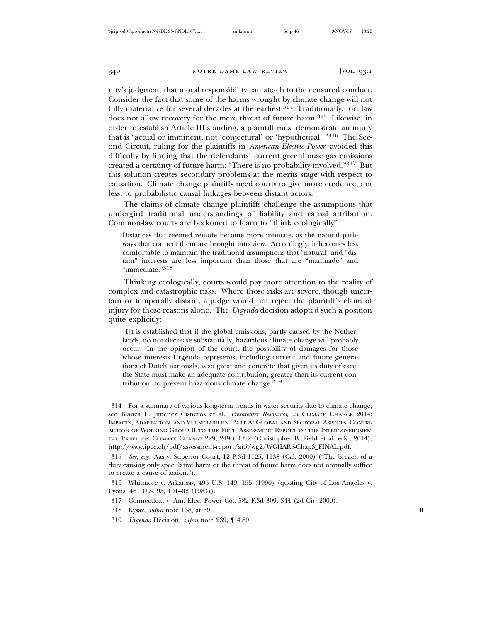nity's judgment that moral responsibility can attach to the censured conduct. Consider the fact that some of the harms wrought by climate change will not fully materialize for several decades at the earliest. $314$  Traditionally, tort law does not allow recovery for the mere threat of future harm.<sup>315</sup> Likewise, in order to establish Article III standing, a plaintiff must demonstrate an injury that is "actual or imminent, not 'conjectural' or 'hypothetical.'"316 The Second Circuit, ruling for the plaintiffs in *American Electric Power*, avoided this difficulty by finding that the defendants' current greenhouse gas emissions created a certainty of future harm: "There is no probability involved."317 But this solution creates secondary problems at the merits stage with respect to causation. Climate change plaintiffs need courts to give more credence, not less, to probabilistic causal linkages between distant actors.

The claims of climate change plaintiffs challenge the assumptions that undergird traditional understandings of liability and causal attribution. Common-law courts are beckoned to learn to "think ecologically":

Distances that seemed remote become more intimate, as the natural pathways that connect them are brought into view. Accordingly, it becomes less comfortable to maintain the traditional assumptions that "natural" and "distant" interests are less important than those that are "manmade" and "immediate."318

Thinking ecologically, courts would pay more attention to the reality of complex and catastrophic risks. Where those risks are severe, though uncertain or temporally distant, a judge would not reject the plaintiff's claim of injury for those reasons alone. The *Urgenda* decision adopted such a position quite explicitly:

[I]t is established that if the global emissions, partly caused by the Netherlands, do not decrease substantially, hazardous climate change will probably occur. In the opinion of the court, the possibility of damages for those whose interests Urgenda represents, including current and future generations of Dutch nationals, is so great and concrete that given its duty of care, the State must make an adequate contribution, greater than its current contribution, to prevent hazardous climate change.<sup>319</sup>

<sup>314</sup> For a summary of various long-term trends in water security due to climate change, see Blanca E. Jimenez Cisneros et al., ´ *Freshwater Resources*, *in* CLIMATE CHANGE 2014: IMPACTS, ADAPTATION, AND VULNERABILITY. PART A: GLOBAL AND SECTORAL ASPECTS. CONTRI-BUTION OF WORKING GROUP II TO THE FIFTH ASSESSMENT REPORT OF THE INTERGOVERNMEN-TAL PANEL ON CLIMATE CHANGE 229, 249 tbl.3-2 (Christopher B. Field et al. eds., 2014), http://www.ipcc.ch/pdf/assessment-report/ar5/wg2/WGIIAR5-Chap3\_FINAL.pdf.

<sup>315</sup> *See, e.g.*, Aas v. Superior Court, 12 P.3d 1125, 1138 (Cal. 2000) ("The breach of a duty causing only speculative harm or the threat of future harm does not normally suffice to create a cause of action.").

<sup>316</sup> Whitmore v. Arkansas, 495 U.S. 149, 155 (1990) (quoting City of Los Angeles v. Lyons, 461 U.S. 95, 101–02 (1983)).

<sup>317</sup> Connecticut v. Am. Elec. Power Co., 582 F.3d 309, 344 (2d Cir. 2009).

<sup>318</sup> Kysar, *supra* note 138, at 69. **R**

<sup>319</sup> *Urgenda* Decision, *supra* note 239, ¶ 4.89.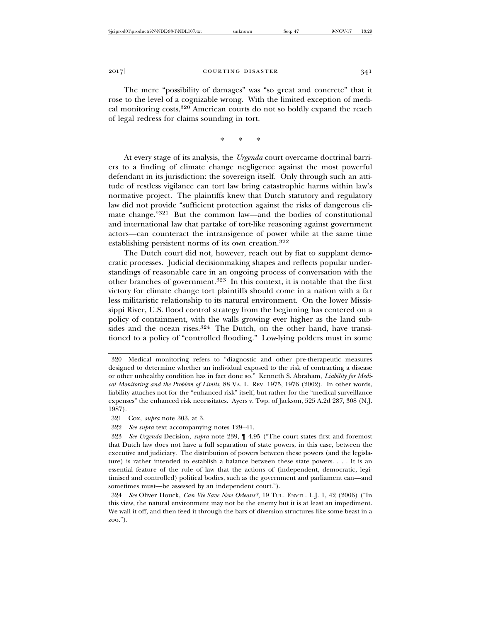The mere "possibility of damages" was "so great and concrete" that it rose to the level of a cognizable wrong. With the limited exception of medical monitoring costs,320 American courts do not so boldly expand the reach of legal redress for claims sounding in tort.

\* \* \*

At every stage of its analysis, the *Urgenda* court overcame doctrinal barriers to a finding of climate change negligence against the most powerful defendant in its jurisdiction: the sovereign itself. Only through such an attitude of restless vigilance can tort law bring catastrophic harms within law's normative project. The plaintiffs knew that Dutch statutory and regulatory law did not provide "sufficient protection against the risks of dangerous climate change."321 But the common law—and the bodies of constitutional and international law that partake of tort-like reasoning against government actors—can counteract the intransigence of power while at the same time establishing persistent norms of its own creation.<sup>322</sup>

The Dutch court did not, however, reach out by fiat to supplant democratic processes. Judicial decisionmaking shapes and reflects popular understandings of reasonable care in an ongoing process of conversation with the other branches of government.323 In this context, it is notable that the first victory for climate change tort plaintiffs should come in a nation with a far less militaristic relationship to its natural environment. On the lower Mississippi River, U.S. flood control strategy from the beginning has centered on a policy of containment, with the walls growing ever higher as the land subsides and the ocean rises.<sup>324</sup> The Dutch, on the other hand, have transitioned to a policy of "controlled flooding." Low-lying polders must in some

321 Cox, *supra* note 303, at 3.

322 *See supra* text accompanying notes 129–41.

<sup>320</sup> Medical monitoring refers to "diagnostic and other pre-therapeutic measures designed to determine whether an individual exposed to the risk of contracting a disease or other unhealthy condition has in fact done so." Kenneth S. Abraham, *Liability for Medical Monitoring and the Problem of Limits*, 88 VA. L. REV. 1975, 1976 (2002). In other words, liability attaches not for the "enhanced risk" itself, but rather for the "medical surveillance expenses" the enhanced risk necessitates. Ayers v. Twp. of Jackson, 525 A.2d 287, 308 (N.J. 1987).

<sup>323</sup> *See Urgenda* Decision, *supra* note 239, ¶ 4.95 ("The court states first and foremost that Dutch law does not have a full separation of state powers, in this case, between the executive and judiciary. The distribution of powers between these powers (and the legislature) is rather intended to establish a balance between these state powers. . . . It is an essential feature of the rule of law that the actions of (independent, democratic, legitimised and controlled) political bodies, such as the government and parliament can—and sometimes must—be assessed by an independent court.").

<sup>324</sup> *See* Oliver Houck, *Can We Save New Orleans?*, 19 TUL. ENVTL. L.J. 1, 42 (2006) ("In this view, the natural environment may not be the enemy but it is at least an impediment. We wall it off, and then feed it through the bars of diversion structures like some beast in a zoo.").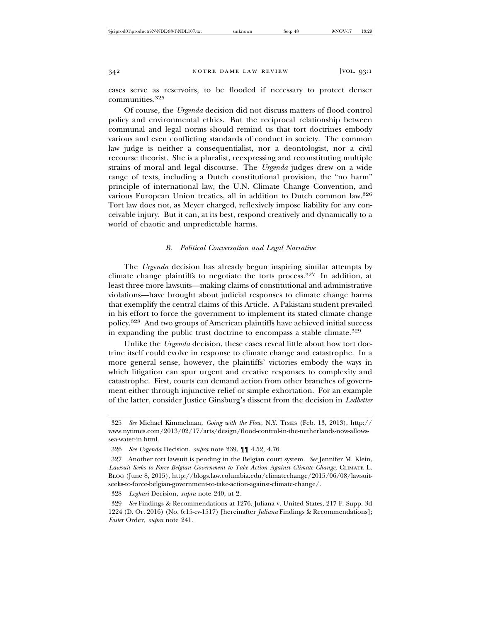cases serve as reservoirs, to be flooded if necessary to protect denser communities.325

Of course, the *Urgenda* decision did not discuss matters of flood control policy and environmental ethics. But the reciprocal relationship between communal and legal norms should remind us that tort doctrines embody various and even conflicting standards of conduct in society. The common law judge is neither a consequentialist, nor a deontologist, nor a civil recourse theorist. She is a pluralist, reexpressing and reconstituting multiple strains of moral and legal discourse. The *Urgenda* judges drew on a wide range of texts, including a Dutch constitutional provision, the "no harm" principle of international law, the U.N. Climate Change Convention, and various European Union treaties, all in addition to Dutch common law.<sup>326</sup> Tort law does not, as Meyer charged, reflexively impose liability for any conceivable injury. But it can, at its best, respond creatively and dynamically to a world of chaotic and unpredictable harms.

## *B. Political Conversation and Legal Narrative*

The *Urgenda* decision has already begun inspiring similar attempts by climate change plaintiffs to negotiate the torts process.327 In addition, at least three more lawsuits—making claims of constitutional and administrative violations—have brought about judicial responses to climate change harms that exemplify the central claims of this Article. A Pakistani student prevailed in his effort to force the government to implement its stated climate change policy.328 And two groups of American plaintiffs have achieved initial success in expanding the public trust doctrine to encompass a stable climate.<sup>329</sup>

Unlike the *Urgenda* decision, these cases reveal little about how tort doctrine itself could evolve in response to climate change and catastrophe. In a more general sense, however, the plaintiffs' victories embody the ways in which litigation can spur urgent and creative responses to complexity and catastrophe. First, courts can demand action from other branches of government either through injunctive relief or simple exhortation. For an example of the latter, consider Justice Ginsburg's dissent from the decision in *Ledbetter*

329 *See* Findings & Recommendations at 1276, Juliana v. United States, 217 F. Supp. 3d 1224 (D. Or. 2016) (No. 6:15-cv-1517) [hereinafter *Juliana* Findings & Recommendations]; *Foster* Order, *supra* note 241.

<sup>325</sup> *See* Michael Kimmelman, *Going with the Flow*, N.Y. TIMES (Feb. 13, 2013), http:// www.nytimes.com/2013/02/17/arts/design/flood-control-in-the-netherlands-now-allowssea-water-in.html.

<sup>326</sup> *See Urgenda* Decision, *supra* note 239, ¶¶ 4.52, 4.76.

<sup>327</sup> Another tort lawsuit is pending in the Belgian court system. *See* Jennifer M. Klein, *Lawsuit Seeks to Force Belgian Government to Take Action Against Climate Change*, CLIMATE L. BLOG (June 8, 2015), http://blogs.law.columbia.edu/climatechange/2015/06/08/lawsuitseeks-to-force-belgian-government-to-take-action-against-climate-change/.

<sup>328</sup> *Leghari* Decision, *supra* note 240, at 2.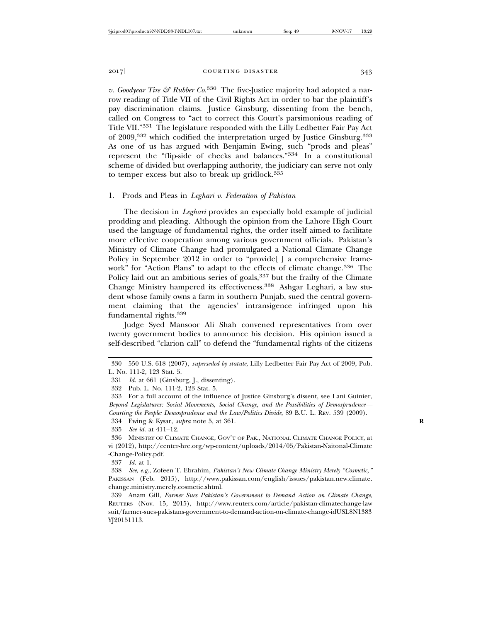*v. Goodyear Tire & Rubber Co.*<sup>330</sup> The five-Justice majority had adopted a narrow reading of Title VII of the Civil Rights Act in order to bar the plaintiff's pay discrimination claims. Justice Ginsburg, dissenting from the bench, called on Congress to "act to correct this Court's parsimonious reading of Title VII."331 The legislature responded with the Lilly Ledbetter Fair Pay Act of 2009,332 which codified the interpretation urged by Justice Ginsburg.333 As one of us has argued with Benjamin Ewing, such "prods and pleas" represent the "flip-side of checks and balances."334 In a constitutional scheme of divided but overlapping authority, the judiciary can serve not only to temper excess but also to break up gridlock.<sup>335</sup>

# 1. Prods and Pleas in *Leghari v. Federation of Pakistan*

The decision in *Leghari* provides an especially bold example of judicial prodding and pleading. Although the opinion from the Lahore High Court used the language of fundamental rights, the order itself aimed to facilitate more effective cooperation among various government officials. Pakistan's Ministry of Climate Change had promulgated a National Climate Change Policy in September 2012 in order to "provide[] a comprehensive framework" for "Action Plans" to adapt to the effects of climate change.<sup>336</sup> The Policy laid out an ambitious series of goals, $337$  but the frailty of the Climate Change Ministry hampered its effectiveness.338 Ashgar Leghari, a law student whose family owns a farm in southern Punjab, sued the central government claiming that the agencies' intransigence infringed upon his fundamental rights.<sup>339</sup>

Judge Syed Mansoor Ali Shah convened representatives from over twenty government bodies to announce his decision. His opinion issued a self-described "clarion call" to defend the "fundamental rights of the citizens

334 Ewing & Kysar, *supra* note 5, at 361. **R**

<sup>330 550</sup> U.S. 618 (2007), *superseded by statute*, Lilly Ledbetter Fair Pay Act of 2009, Pub. L. No. 111-2, 123 Stat. 5.

<sup>331</sup> *Id.* at 661 (Ginsburg, J., dissenting).

<sup>332</sup> Pub. L. No. 111-2, 123 Stat. 5.

<sup>333</sup> For a full account of the influence of Justice Ginsburg's dissent, see Lani Guinier, *Beyond Legislatures: Social Movements, Social Change, and the Possibilities of Demosprudence— Courting the People: Demosprudence and the Law/Politics Divide*, 89 B.U. L. REV. 539 (2009).

<sup>335</sup> *See id.* at 411–12.

<sup>336</sup> MINISTRY OF CLIMATE CHANGE, GOV'T OF PAK., NATIONAL CLIMATE CHANGE POLICY, at vi (2012), http://center-hre.org/wp-content/uploads/2014/05/Pakistan-Naitonal-Climate -Change-Policy.pdf.

<sup>337</sup> *Id.* at 1.

<sup>338</sup> *See, e.g.*, Zofeen T. Ebrahim, *Pakistan's New Climate Change Ministry Merely "Cosmetic*,*"* PAKISSAN (Feb. 2015), http://www.pakissan.com/english/issues/pakistan.new.climate. change.ministry.merely.cosmetic.shtml.

<sup>339</sup> Anam Gill, *Farmer Sues Pakistan's Government to Demand Action on Climate Change*, REUTERS (Nov. 15, 2015), http://www.reuters.com/article/pakistan-climatechange-law suit/farmer-sues-pakistans-government-to-demand-action-on-climate-change-idUSL8N1383 YJ20151113.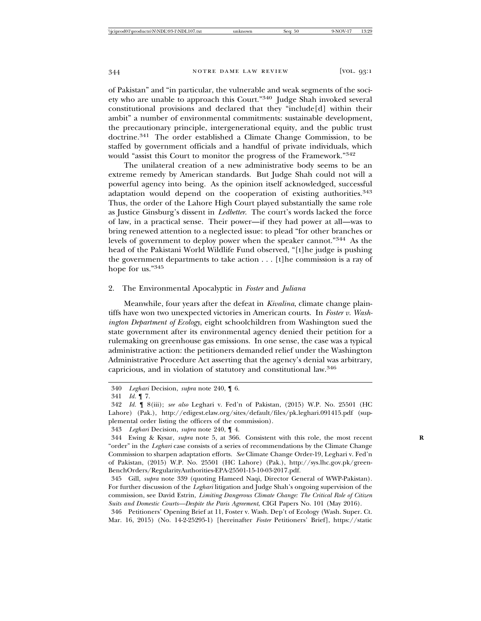of Pakistan" and "in particular, the vulnerable and weak segments of the society who are unable to approach this Court."340 Judge Shah invoked several constitutional provisions and declared that they "include[d] within their ambit" a number of environmental commitments: sustainable development, the precautionary principle, intergenerational equity, and the public trust doctrine.341 The order established a Climate Change Commission, to be staffed by government officials and a handful of private individuals, which would "assist this Court to monitor the progress of the Framework."<sup>342</sup>

The unilateral creation of a new administrative body seems to be an extreme remedy by American standards. But Judge Shah could not will a powerful agency into being. As the opinion itself acknowledged, successful adaptation would depend on the cooperation of existing authorities.<sup>343</sup> Thus, the order of the Lahore High Court played substantially the same role as Justice Ginsburg's dissent in *Ledbetter*. The court's words lacked the force of law, in a practical sense. Their power—if they had power at all—was to bring renewed attention to a neglected issue: to plead "for other branches or levels of government to deploy power when the speaker cannot."344 As the head of the Pakistani World Wildlife Fund observed, "[t]he judge is pushing the government departments to take action . . . [t]he commission is a ray of hope for us."<sup>345</sup>

# 2. The Environmental Apocalyptic in *Foster* and *Juliana*

Meanwhile, four years after the defeat in *Kivalina*, climate change plaintiffs have won two unexpected victories in American courts. In *Foster v. Washington Department of Ecology*, eight schoolchildren from Washington sued the state government after its environmental agency denied their petition for a rulemaking on greenhouse gas emissions. In one sense, the case was a typical administrative action: the petitioners demanded relief under the Washington Administrative Procedure Act asserting that the agency's denial was arbitrary, capricious, and in violation of statutory and constitutional law.<sup>346</sup>

<sup>340</sup> *Leghari* Decision, *supra* note 240, ¶ 6.

<sup>341</sup> *Id.* ¶ 7.

<sup>342</sup> *Id.* ¶ 8(iii); *see also* Leghari v. Fed'n of Pakistan, (2015) W.P. No. 25501 (HC Lahore) (Pak.), http://edigest.elaw.org/sites/default/files/pk.leghari.091415.pdf (supplemental order listing the officers of the commission).

<sup>343</sup> *Leghari* Decision, *supra* note 240, ¶ 4.

<sup>344</sup> Ewing & Kysar, *supra* note 5, at 366. Consistent with this role, the most recent **R** "order" in the *Leghari* case consists of a series of recommendations by the Climate Change Commission to sharpen adaptation efforts. *See* Climate Change Order-19, Leghari v. Fed'n of Pakistan, (2015) W.P. No. 25501 (HC Lahore) (Pak.), http://sys.lhc.gov.pk/green-BenchOrders/RegularityAuthorities-EPA-25501-15-10-03-2017.pdf.

<sup>345</sup> Gill, *supra* note 339 (quoting Hameed Naqi, Director General of WWP-Pakistan). For further discussion of the *Leghari* litigation and Judge Shah's ongoing supervision of the commission, see David Estrin, *Limiting Dangerous Climate Change: The Critical Role of Citizen Suits and Domestic Courts—Despite the Paris Agreement*, CIGI Papers No. 101 (May 2016).

<sup>346</sup> Petitioners' Opening Brief at 11, Foster v. Wash. Dep't of Ecology (Wash. Super. Ct. Mar. 16, 2015) (No. 14-2-25295-1) [hereinafter *Foster* Petitioners' Brief], https://static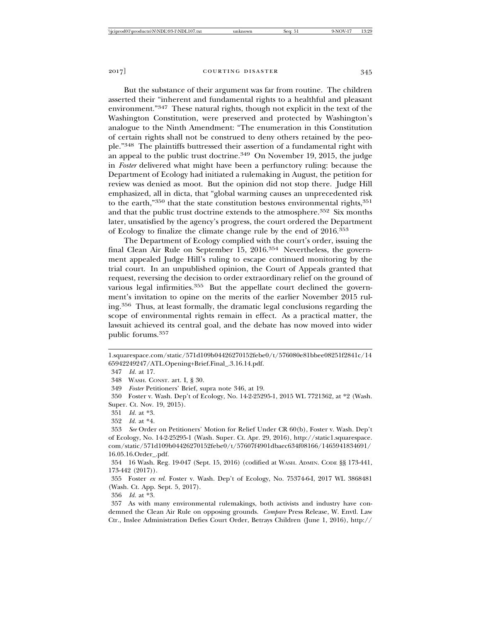But the substance of their argument was far from routine. The children asserted their "inherent and fundamental rights to a healthful and pleasant environment."347 These natural rights, though not explicit in the text of the Washington Constitution, were preserved and protected by Washington's analogue to the Ninth Amendment: "The enumeration in this Constitution of certain rights shall not be construed to deny others retained by the people."348 The plaintiffs buttressed their assertion of a fundamental right with an appeal to the public trust doctrine.349 On November 19, 2015, the judge in *Foster* delivered what might have been a perfunctory ruling: because the Department of Ecology had initiated a rulemaking in August, the petition for review was denied as moot. But the opinion did not stop there. Judge Hill emphasized, all in dicta, that "global warming causes an unprecedented risk to the earth,"<sup>350</sup> that the state constitution bestows environmental rights,<sup>351</sup> and that the public trust doctrine extends to the atmosphere.<sup>352</sup> Six months later, unsatisfied by the agency's progress, the court ordered the Department of Ecology to finalize the climate change rule by the end of 2016.<sup>353</sup>

The Department of Ecology complied with the court's order, issuing the final Clean Air Rule on September 15, 2016.354 Nevertheless, the government appealed Judge Hill's ruling to escape continued monitoring by the trial court. In an unpublished opinion, the Court of Appeals granted that request, reversing the decision to order extraordinary relief on the ground of various legal infirmities.<sup>355</sup> But the appellate court declined the government's invitation to opine on the merits of the earlier November 2015 ruling.356 Thus, at least formally, the dramatic legal conclusions regarding the scope of environmental rights remain in effect. As a practical matter, the lawsuit achieved its central goal, and the debate has now moved into wider public forums.<sup>357</sup>

348 WASH. CONST. art. I, § 30.

349 *Foster* Petitioners' Brief, supra note 346, at 19.

350 Foster v. Wash. Dep't of Ecology, No. 14-2-25295-1, 2015 WL 7721362, at \*2 (Wash. Super. Ct. Nov. 19, 2015).

351 *Id.* at \*3.

353 *See* Order on Petitioners' Motion for Relief Under CR 60(b), Foster v. Wash. Dep't of Ecology, No. 14-2-25295-1 (Wash. Super. Ct. Apr. 29, 2016), http://static1.squarespace. com/static/571d109b04426270152febe0/t/57607f4901dbaec634f08166/1465941834691/ 16.05.16.Order\_.pdf.

354 16 Wash. Reg. 19-047 (Sept. 15, 2016) (codified at WASH. ADMIN. CODE §§ 173-441, 173-442 (2017)).

355 Foster *ex rel.* Foster v. Wash. Dep't of Ecology, No. 75374-6-I, 2017 WL 3868481 (Wash. Ct. App. Sept. 5, 2017).

356 *Id.* at \*3.

357 As with many environmental rulemakings, both activists and industry have condemned the Clean Air Rule on opposing grounds. *Compare* Press Release, W. Envtl. Law Ctr., Inslee Administration Defies Court Order, Betrays Children (June 1, 2016), http://

<sup>1.</sup>squarespace.com/static/571d109b04426270152febe0/t/576080e81bbee08251f2841c/14 65942249247/ATL.Opening+Brief.Final\_.3.16.14.pdf.

<sup>347</sup> *Id.* at 17.

<sup>352</sup> *Id.* at \*4.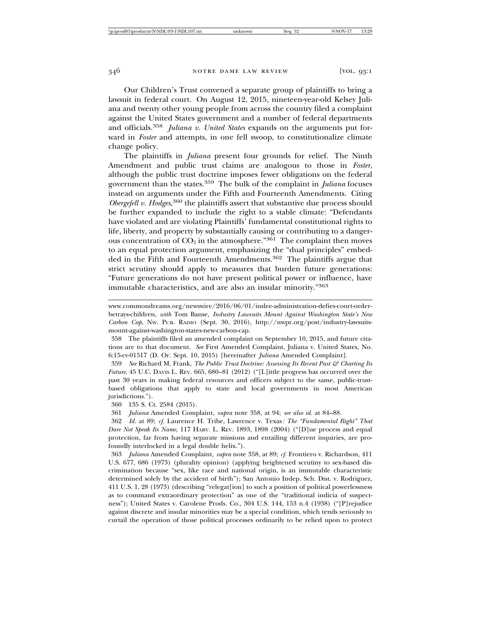Our Children's Trust convened a separate group of plaintiffs to bring a lawsuit in federal court. On August 12, 2015, nineteen-year-old Kelsey Juliana and twenty other young people from across the country filed a complaint against the United States government and a number of federal departments and officials.<sup>358</sup> *Juliana v. United States* expands on the arguments put forward in *Foster* and attempts, in one fell swoop, to constitutionalize climate change policy.

The plaintiffs in *Juliana* present four grounds for relief. The Ninth Amendment and public trust claims are analogous to those in *Foster*, although the public trust doctrine imposes fewer obligations on the federal government than the states.359 The bulk of the complaint in *Juliana* focuses instead on arguments under the Fifth and Fourteenth Amendments. Citing *Obergefell v. Hodges*, 360 the plaintiffs assert that substantive due process should be further expanded to include the right to a stable climate: "Defendants have violated and are violating Plaintiffs' fundamental constitutional rights to life, liberty, and property by substantially causing or contributing to a dangerous concentration of  $CO<sub>2</sub>$  in the atmosphere."<sup>361</sup> The complaint then moves to an equal protection argument, emphasizing the "dual principles" embedded in the Fifth and Fourteenth Amendments.362 The plaintiffs argue that strict scrutiny should apply to measures that burden future generations: "Future generations do not have present political power or influence, have immutable characteristics, and are also an insular minority."<sup>363</sup>

www.commondreams.org/newswire/2016/06/01/inslee-administration-defies-court-orderbetrays-children, *with* Tom Banse, *Industry Lawsuits Mount Against Washington State's New Carbon Cap*, NW. PUB. RADIO (Sept. 30, 2016), http://nwpr.org/post/industry-lawsuitsmount-against-washington-states-new-carbon-cap.

358 The plaintiffs filed an amended complaint on September 10, 2015, and future citations are to that document. *See* First Amended Complaint, Juliana v. United States, No. 6:15-cv-01517 (D. Or. Sept. 10, 2015) [hereinafter *Juliana* Amended Complaint].

359 *See* Richard M. Frank, *The Public Trust Doctrine: Assessing Its Recent Past & Charting Its Future*, 45 U.C. DAVIS L. REV. 665, 680–81 (2012) ("[L]ittle progress has occurred over the past 30 years in making federal resources and officers subject to the same, public-trustbased obligations that apply to state and local governments in most American jurisdictions.").

360 135 S. Ct. 2584 (2015).

361 *Juliana* Amended Complaint, *supra* note 358, at 94; *see also id.* at 84–88.

362 *Id.* at 89; *cf.* Laurence H. Tribe, Lawrence v. Texas*: The "Fundamental Right" That Dare Not Speak Its Name*, 117 HARV. L. REV. 1893, 1898 (2004) ("[D]ue process and equal protection, far from having separate missions and entailing different inquiries, are profoundly interlocked in a legal double helix.").

363 *Juliana* Amended Complaint, *supra* note 358, at 89; *cf.* Frontiero v. Richardson, 411 U.S. 677, 686 (1973) (plurality opinion) (applying heightened scrutiny to sex-based discrimination because "sex, like race and national origin, is an immutable characteristic determined solely by the accident of birth"); San Antonio Indep. Sch. Dist. v. Rodriguez, 411 U.S. 1, 28 (1973) (describing "relegat[ion] to such a position of political powerlessness as to command extraordinary protection" as one of the "traditional indicia of suspectness"); United States v. Carolene Prods. Co., 304 U.S. 144, 153 n.4 (1938) ("[P]rejudice against discrete and insular minorities may be a special condition, which tends seriously to curtail the operation of those political processes ordinarily to be relied upon to protect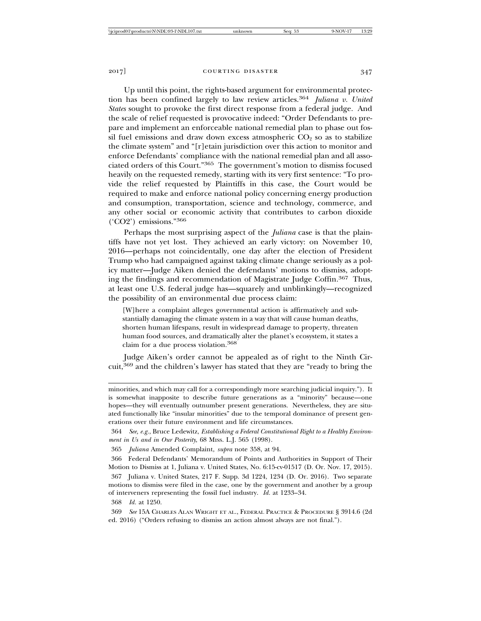Up until this point, the rights-based argument for environmental protection has been confined largely to law review articles.<sup>364</sup> *Juliana v. United States* sought to provoke the first direct response from a federal judge. And the scale of relief requested is provocative indeed: "Order Defendants to prepare and implement an enforceable national remedial plan to phase out fossil fuel emissions and draw down excess atmospheric  $CO<sub>2</sub>$  so as to stabilize the climate system" and "[r]etain jurisdiction over this action to monitor and enforce Defendants' compliance with the national remedial plan and all associated orders of this Court."365 The government's motion to dismiss focused heavily on the requested remedy, starting with its very first sentence: "To provide the relief requested by Plaintiffs in this case, the Court would be required to make and enforce national policy concerning energy production and consumption, transportation, science and technology, commerce, and any other social or economic activity that contributes to carbon dioxide

Perhaps the most surprising aspect of the *Juliana* case is that the plaintiffs have not yet lost. They achieved an early victory: on November 10, 2016—perhaps not coincidentally, one day after the election of President Trump who had campaigned against taking climate change seriously as a policy matter—Judge Aiken denied the defendants' motions to dismiss, adopting the findings and recommendation of Magistrate Judge Coffin.367 Thus, at least one U.S. federal judge has—squarely and unblinkingly—recognized the possibility of an environmental due process claim:

[W]here a complaint alleges governmental action is affirmatively and substantially damaging the climate system in a way that will cause human deaths, shorten human lifespans, result in widespread damage to property, threaten human food sources, and dramatically alter the planet's ecosystem, it states a claim for a due process violation.368

Judge Aiken's order cannot be appealed as of right to the Ninth Circuit,369 and the children's lawyer has stated that they are "ready to bring the

minorities, and which may call for a correspondingly more searching judicial inquiry."). It is somewhat inapposite to describe future generations as a "minority" because—one hopes—they will eventually outnumber present generations. Nevertheless, they are situated functionally like "insular minorities" due to the temporal dominance of present generations over their future environment and life circumstances.

364 *See, e.g.*, Bruce Ledewitz, *Establishing a Federal Constitutional Right to a Healthy Environment in Us and in Our Posterity*, 68 MISS. L.J. 565 (1998).

365 *Juliana* Amended Complaint, *supra* note 358, at 94.

366 Federal Defendants' Memorandum of Points and Authorities in Support of Their Motion to Dismiss at 1, Juliana v. United States, No. 6:15-cv-01517 (D. Or. Nov. 17, 2015).

367 Juliana v. United States, 217 F. Supp. 3d 1224, 1234 (D. Or. 2016). Two separate motions to dismiss were filed in the case, one by the government and another by a group of interveners representing the fossil fuel industry. *Id.* at 1233–34.

368 *Id.* at 1250.

369 *See* 15A CHARLES ALAN WRIGHT ET AL., FEDERAL PRACTICE & PROCEDURE § 3914.6 (2d ed. 2016) ("Orders refusing to dismiss an action almost always are not final.").

('CO2') emissions."<sup>366</sup>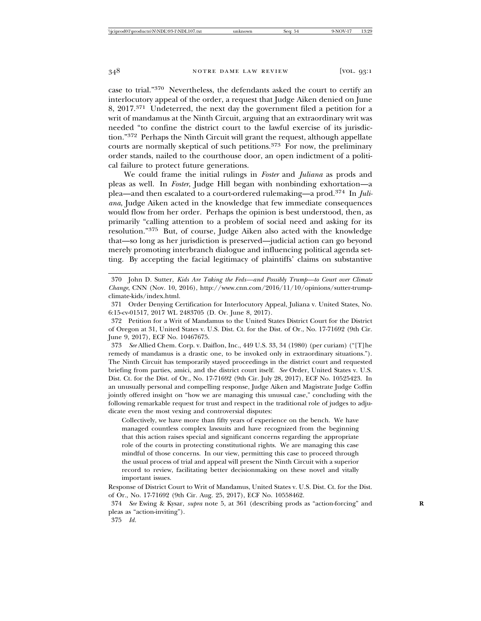case to trial."370 Nevertheless, the defendants asked the court to certify an interlocutory appeal of the order, a request that Judge Aiken denied on June 8, 2017.371 Undeterred, the next day the government filed a petition for a writ of mandamus at the Ninth Circuit, arguing that an extraordinary writ was needed "to confine the district court to the lawful exercise of its jurisdiction."372 Perhaps the Ninth Circuit will grant the request, although appellate courts are normally skeptical of such petitions.373 For now, the preliminary order stands, nailed to the courthouse door, an open indictment of a political failure to protect future generations.

We could frame the initial rulings in *Foster* and *Juliana* as prods and pleas as well. In *Foster*, Judge Hill began with nonbinding exhortation—a plea—and then escalated to a court-ordered rulemaking—a prod.374 In *Juliana*, Judge Aiken acted in the knowledge that few immediate consequences would flow from her order. Perhaps the opinion is best understood, then, as primarily "calling attention to a problem of social need and asking for its resolution."375 But, of course, Judge Aiken also acted with the knowledge that—so long as her jurisdiction is preserved—judicial action can go beyond merely promoting interbranch dialogue and influencing political agenda setting. By accepting the facial legitimacy of plaintiffs' claims on substantive

370 John D. Sutter, *Kids Are Taking the Feds—and Possibly Trump—to Court over Climate Change*, CNN (Nov. 10, 2016), http://www.cnn.com/2016/11/10/opinions/sutter-trumpclimate-kids/index.html.

371 Order Denying Certification for Interlocutory Appeal, Juliana v. United States, No. 6:15-cv-01517, 2017 WL 2483705 (D. Or. June 8, 2017).

372 Petition for a Writ of Mandamus to the United States District Court for the District of Oregon at 31, United States v. U.S. Dist. Ct. for the Dist. of Or., No. 17-71692 (9th Cir. June 9, 2017), ECF No. 10467675.

373 *See* Allied Chem. Corp. v. Daiflon, Inc., 449 U.S. 33, 34 (1980) (per curiam) ("[T]he remedy of mandamus is a drastic one, to be invoked only in extraordinary situations."). The Ninth Circuit has temporarily stayed proceedings in the district court and requested briefing from parties, amici, and the district court itself. *See* Order, United States v. U.S. Dist. Ct. for the Dist. of Or., No. 17-71692 (9th Cir. July 28, 2017), ECF No. 10525423. In an unusually personal and compelling response, Judge Aiken and Magistrate Judge Coffin jointly offered insight on "how we are managing this unusual case," concluding with the following remarkable request for trust and respect in the traditional role of judges to adjudicate even the most vexing and controversial disputes:

Collectively, we have more than fifty years of experience on the bench. We have managed countless complex lawsuits and have recognized from the beginning that this action raises special and significant concerns regarding the appropriate role of the courts in protecting constitutional rights. We are managing this case mindful of those concerns. In our view, permitting this case to proceed through the usual process of trial and appeal will present the Ninth Circuit with a superior record to review, facilitating better decisionmaking on these novel and vitally important issues.

Response of District Court to Writ of Mandamus, United States v. U.S. Dist. Ct. for the Dist. of Or., No. 17-71692 (9th Cir. Aug. 25, 2017), ECF No. 10558462.

374 *See* Ewing & Kysar, *supra* note 5, at 361 (describing prods as "action-forcing" and **R** pleas as "action-inviting").

<sup>375</sup> *Id.*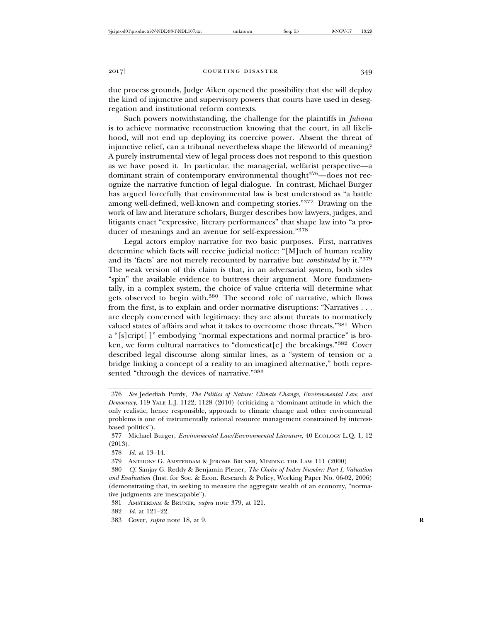due process grounds, Judge Aiken opened the possibility that she will deploy the kind of injunctive and supervisory powers that courts have used in desegregation and institutional reform contexts.

Such powers notwithstanding, the challenge for the plaintiffs in *Juliana* is to achieve normative reconstruction knowing that the court, in all likelihood, will not end up deploying its coercive power. Absent the threat of injunctive relief, can a tribunal nevertheless shape the lifeworld of meaning? A purely instrumental view of legal process does not respond to this question as we have posed it. In particular, the managerial, welfarist perspective—a dominant strain of contemporary environmental thought<sup>376</sup>—does not recognize the narrative function of legal dialogue. In contrast, Michael Burger has argued forcefully that environmental law is best understood as "a battle among well-defined, well-known and competing stories."377 Drawing on the work of law and literature scholars, Burger describes how lawyers, judges, and litigants enact "expressive, literary performances" that shape law into "a producer of meanings and an avenue for self-expression."<sup>378</sup>

Legal actors employ narrative for two basic purposes. First, narratives determine which facts will receive judicial notice: "[M]uch of human reality and its 'facts' are not merely recounted by narrative but *constituted* by it."<sup>379</sup> The weak version of this claim is that, in an adversarial system, both sides "spin" the available evidence to buttress their argument. More fundamentally, in a complex system, the choice of value criteria will determine what gets observed to begin with.380 The second role of narrative, which flows from the first, is to explain and order normative disruptions: "Narratives . . . are deeply concerned with legitimacy: they are about threats to normatively valued states of affairs and what it takes to overcome those threats."381 When a "[s]cript[ ]" embodying "normal expectations and normal practice" is broken, we form cultural narratives to "domesticat[e] the breakings." $382$  Cover described legal discourse along similar lines, as a "system of tension or a bridge linking a concept of a reality to an imagined alternative," both represented "through the devices of narrative."<sup>383</sup>

379 ANTHONY G. AMSTERDAM & JEROME BRUNER, MINDING THE LAW 111 (2000).

382 *Id.* at 121–22.

<sup>376</sup> *See* Jedediah Purdy, *The Politics of Nature: Climate Change, Environmental Law, and Democracy*, 119 YALE L.J. 1122, 1128 (2010) (criticizing a "dominant attitude in which the only realistic, hence responsible, approach to climate change and other environmental problems is one of instrumentally rational resource management constrained by interestbased politics").

<sup>377</sup> Michael Burger, *Environmental Law/Environmental Literature*, 40 ECOLOGY L.Q. 1, 12 (2013).

<sup>378</sup> *Id.* at 13–14.

<sup>380</sup> *Cf.* Sanjay G. Reddy & Benjamin Plener, *The Choice of Index Number: Part I, Valuation and Evaluation* (Inst. for Soc. & Econ. Research & Policy, Working Paper No. 06-02, 2006) (demonstrating that, in seeking to measure the aggregate wealth of an economy, "normative judgments are inescapable").

<sup>381</sup> AMSTERDAM & BRUNER, *supra* note 379, at 121.

<sup>383</sup> Cover, *supra* note 18, at 9. **R**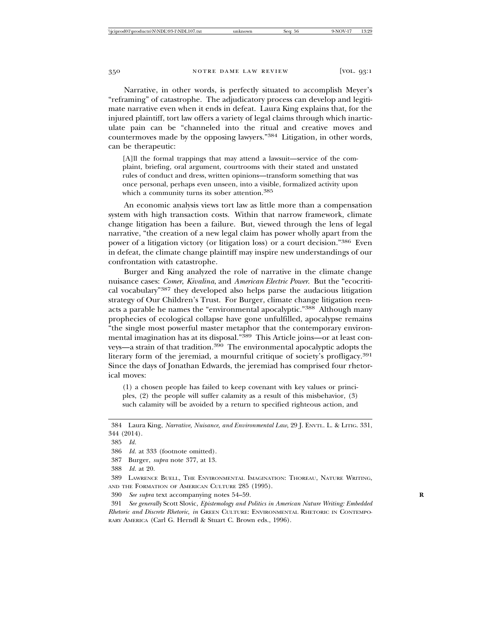Narrative, in other words, is perfectly situated to accomplish Meyer's "reframing" of catastrophe. The adjudicatory process can develop and legitimate narrative even when it ends in defeat. Laura King explains that, for the injured plaintiff, tort law offers a variety of legal claims through which inarticulate pain can be "channeled into the ritual and creative moves and countermoves made by the opposing lawyers."384 Litigation, in other words, can be therapeutic:

[A]ll the formal trappings that may attend a lawsuit—service of the complaint, briefing, oral argument, courtrooms with their stated and unstated rules of conduct and dress, written opinions—transform something that was once personal, perhaps even unseen, into a visible, formalized activity upon which a community turns its sober attention.<sup>385</sup>

An economic analysis views tort law as little more than a compensation system with high transaction costs. Within that narrow framework, climate change litigation has been a failure. But, viewed through the lens of legal narrative, "the creation of a new legal claim has power wholly apart from the power of a litigation victory (or litigation loss) or a court decision."386 Even in defeat, the climate change plaintiff may inspire new understandings of our confrontation with catastrophe.

Burger and King analyzed the role of narrative in the climate change nuisance cases: *Comer*, *Kivalina*, and *American Electric Power*. But the "ecocritical vocabulary"387 they developed also helps parse the audacious litigation strategy of Our Children's Trust. For Burger, climate change litigation reenacts a parable he names the "environmental apocalyptic."388 Although many prophecies of ecological collapse have gone unfulfilled, apocalypse remains "the single most powerful master metaphor that the contemporary environmental imagination has at its disposal."<sup>389</sup> This Article joins—or at least conveys—a strain of that tradition.390 The environmental apocalyptic adopts the literary form of the jeremiad, a mournful critique of society's profligacy.<sup>391</sup> Since the days of Jonathan Edwards, the jeremiad has comprised four rhetorical moves:

(1) a chosen people has failed to keep covenant with key values or principles, (2) the people will suffer calamity as a result of this misbehavior, (3) such calamity will be avoided by a return to specified righteous action, and

<sup>384</sup> Laura King, *Narrative, Nuisance, and Environmental Law*, 29 J. ENVTL. L. & LITIG. 331, 344 (2014).

<sup>385</sup> *Id.*

<sup>386</sup> *Id.* at 333 (footnote omitted).

<sup>387</sup> Burger, *supra* note 377, at 13.

<sup>388</sup> *Id.* at 20.

<sup>389</sup> LAWRENCE BUELL, THE ENVIRONMENTAL IMAGINATION: THOREAU, NATURE WRITING, AND THE FORMATION OF AMERICAN CULTURE 285 (1995).

<sup>390</sup> *See supra* text accompanying notes 54–59. **R**

<sup>391</sup> *See generally* Scott Slovic, *Epistemology and Politics in American Nature Writing: Embedded Rhetoric and Discrete Rhetoric*, *in* GREEN CULTURE: ENVIRONMENTAL RHETORIC IN CONTEMPO-RARY AMERICA (Carl G. Herndl & Stuart C. Brown eds., 1996).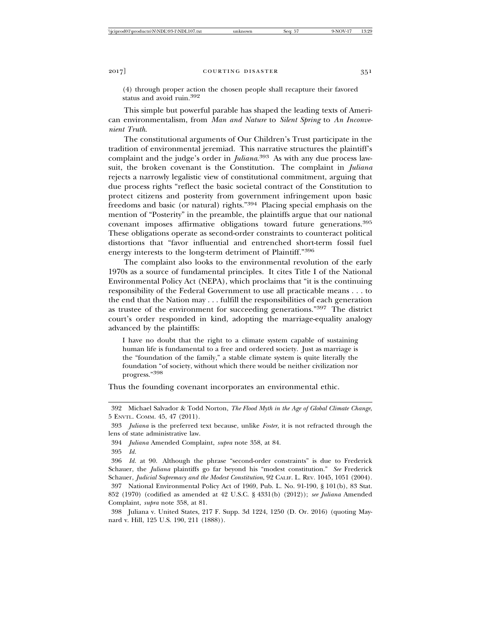(4) through proper action the chosen people shall recapture their favored status and avoid ruin.392

This simple but powerful parable has shaped the leading texts of American environmentalism, from *Man and Nature* to *Silent Spring* to *An Inconvenient Truth*.

The constitutional arguments of Our Children's Trust participate in the tradition of environmental jeremiad. This narrative structures the plaintiff's complaint and the judge's order in *Juliana*. 393 As with any due process lawsuit, the broken covenant is the Constitution. The complaint in *Juliana* rejects a narrowly legalistic view of constitutional commitment, arguing that due process rights "reflect the basic societal contract of the Constitution to protect citizens and posterity from government infringement upon basic freedoms and basic (or natural) rights."394 Placing special emphasis on the mention of "Posterity" in the preamble, the plaintiffs argue that our national covenant imposes affirmative obligations toward future generations.<sup>395</sup> These obligations operate as second-order constraints to counteract political distortions that "favor influential and entrenched short-term fossil fuel energy interests to the long-term detriment of Plaintiff."<sup>396</sup>

The complaint also looks to the environmental revolution of the early 1970s as a source of fundamental principles. It cites Title I of the National Environmental Policy Act (NEPA), which proclaims that "it is the continuing responsibility of the Federal Government to use all practicable means . . . to the end that the Nation may . . . fulfill the responsibilities of each generation as trustee of the environment for succeeding generations."397 The district court's order responded in kind, adopting the marriage-equality analogy advanced by the plaintiffs:

I have no doubt that the right to a climate system capable of sustaining human life is fundamental to a free and ordered society. Just as marriage is the "foundation of the family," a stable climate system is quite literally the foundation "of society, without which there would be neither civilization nor progress."398

Thus the founding covenant incorporates an environmental ethic.

<sup>392</sup> Michael Salvador & Todd Norton, *The Flood Myth in the Age of Global Climate Change*, 5 ENVTL. COMM. 45, 47 (2011).

<sup>393</sup> *Juliana* is the preferred text because, unlike *Foster*, it is not refracted through the lens of state administrative law.

<sup>394</sup> *Juliana* Amended Complaint, *supra* note 358, at 84.

<sup>395</sup> *Id.*

<sup>396</sup> *Id.* at 90. Although the phrase "second-order constraints" is due to Frederick Schauer, the *Juliana* plaintiffs go far beyond his "modest constitution." *See* Frederick Schauer, *Judicial Supremacy and the Modest Constitution*, 92 CALIF. L. REV. 1045, 1051 (2004).

<sup>397</sup> National Environmental Policy Act of 1969, Pub. L. No. 91-190, § 101(b), 83 Stat. 852 (1970) (codified as amended at 42 U.S.C. § 4331(b) (2012)); *see Juliana* Amended Complaint, *supra* note 358, at 81.

<sup>398</sup> Juliana v. United States, 217 F. Supp. 3d 1224, 1250 (D. Or. 2016) (quoting Maynard v. Hill, 125 U.S. 190, 211 (1888)).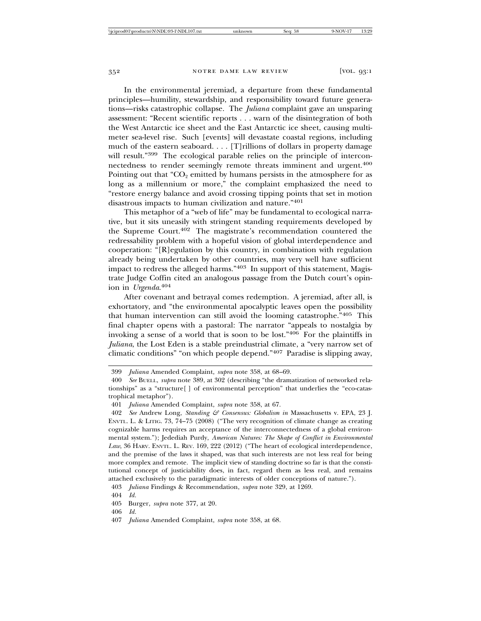In the environmental jeremiad, a departure from these fundamental principles—humility, stewardship, and responsibility toward future generations—risks catastrophic collapse. The *Juliana* complaint gave an unsparing assessment: "Recent scientific reports . . . warn of the disintegration of both the West Antarctic ice sheet and the East Antarctic ice sheet, causing multimeter sea-level rise. Such [events] will devastate coastal regions, including much of the eastern seaboard. . . . [T]rillions of dollars in property damage will result."<sup>399</sup> The ecological parable relies on the principle of interconnectedness to render seemingly remote threats imminent and urgent.<sup>400</sup> Pointing out that " $CO<sub>2</sub>$  emitted by humans persists in the atmosphere for as long as a millennium or more," the complaint emphasized the need to "restore energy balance and avoid crossing tipping points that set in motion disastrous impacts to human civilization and nature."<sup>401</sup>

This metaphor of a "web of life" may be fundamental to ecological narrative, but it sits uneasily with stringent standing requirements developed by the Supreme Court.402 The magistrate's recommendation countered the redressability problem with a hopeful vision of global interdependence and cooperation: "[R]egulation by this country, in combination with regulation already being undertaken by other countries, may very well have sufficient impact to redress the alleged harms."403 In support of this statement, Magistrate Judge Coffin cited an analogous passage from the Dutch court's opinion in *Urgenda*. 404

After covenant and betrayal comes redemption. A jeremiad, after all, is exhortatory, and "the environmental apocalyptic leaves open the possibility that human intervention can still avoid the looming catastrophe."405 This final chapter opens with a pastoral: The narrator "appeals to nostalgia by invoking a sense of a world that is soon to be lost."406 For the plaintiffs in *Juliana*, the Lost Eden is a stable preindustrial climate, a "very narrow set of climatic conditions" "on which people depend."407 Paradise is slipping away,

403 *Juliana* Findings & Recommendation, *supra* note 329, at 1269.

<sup>399</sup> *Juliana* Amended Complaint, *supra* note 358, at 68–69.

<sup>400</sup> *See* BUELL, *supra* note 389, at 302 (describing "the dramatization of networked relationships" as a "structure[ ] of environmental perception" that underlies the "eco-catastrophical metaphor").

<sup>401</sup> *Juliana* Amended Complaint, *supra* note 358, at 67.

<sup>402</sup> *See* Andrew Long, *Standing & Consensus: Globalism in* Massachusetts v. EPA, 23 J. ENVTL. L. & LITIG. 73, 74–75 (2008) ("The very recognition of climate change as creating cognizable harms requires an acceptance of the interconnectedness of a global environmental system."); Jedediah Purdy, *American Natures: The Shape of Conflict in Environmental Law*, 36 HARV. ENVTL. L. REV. 169, 222 (2012) ("The heart of ecological interdependence, and the premise of the laws it shaped, was that such interests are not less real for being more complex and remote. The implicit view of standing doctrine so far is that the constitutional concept of justiciability does, in fact, regard them as less real, and remains attached exclusively to the paradigmatic interests of older conceptions of nature.").

<sup>404</sup> *Id.*

<sup>405</sup> Burger, *supra* note 377, at 20.

<sup>406</sup> *Id.*

<sup>407</sup> *Juliana* Amended Complaint, *supra* note 358, at 68.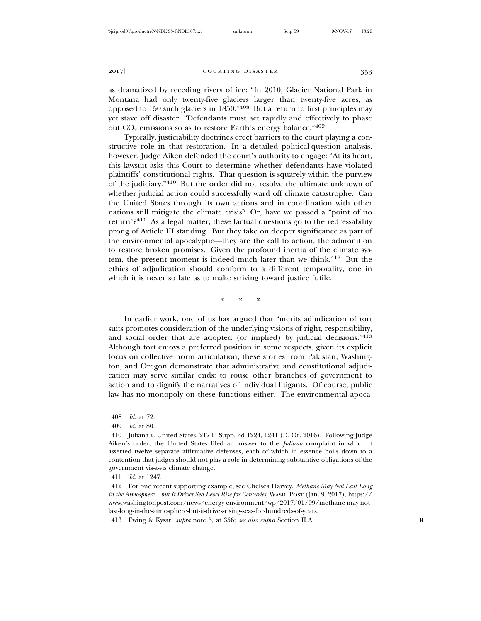as dramatized by receding rivers of ice: "In 2010, Glacier National Park in Montana had only twenty-five glaciers larger than twenty-five acres, as opposed to 150 such glaciers in 1850."408 But a return to first principles may yet stave off disaster: "Defendants must act rapidly and effectively to phase out  $CO<sub>2</sub>$  emissions so as to restore Earth's energy balance."<sup>409</sup>

Typically, justiciability doctrines erect barriers to the court playing a constructive role in that restoration. In a detailed political-question analysis, however, Judge Aiken defended the court's authority to engage: "At its heart, this lawsuit asks this Court to determine whether defendants have violated plaintiffs' constitutional rights. That question is squarely within the purview of the judiciary."410 But the order did not resolve the ultimate unknown of whether judicial action could successfully ward off climate catastrophe. Can the United States through its own actions and in coordination with other nations still mitigate the climate crisis? Or, have we passed a "point of no return"?411 As a legal matter, these factual questions go to the redressability prong of Article III standing. But they take on deeper significance as part of the environmental apocalyptic—they are the call to action, the admonition to restore broken promises. Given the profound inertia of the climate system, the present moment is indeed much later than we think.412 But the ethics of adjudication should conform to a different temporality, one in which it is never so late as to make striving toward justice futile.

\* \* \*

In earlier work, one of us has argued that "merits adjudication of tort suits promotes consideration of the underlying visions of right, responsibility, and social order that are adopted (or implied) by judicial decisions."<sup>413</sup> Although tort enjoys a preferred position in some respects, given its explicit focus on collective norm articulation, these stories from Pakistan, Washington, and Oregon demonstrate that administrative and constitutional adjudication may serve similar ends: to rouse other branches of government to action and to dignify the narratives of individual litigants. Of course, public law has no monopoly on these functions either. The environmental apoca-

411 *Id.* at 1247.

<sup>408</sup> *Id.* at 72.

<sup>409</sup> *Id.* at 80.

<sup>410</sup> Juliana v. United States, 217 F. Supp. 3d 1224, 1241 (D. Or. 2016). Following Judge Aiken's order, the United States filed an answer to the *Juliana* complaint in which it asserted twelve separate affirmative defenses, each of which in essence boils down to a contention that judges should not play a role in determining substantive obligations of the government vis-a-vis climate change.

<sup>412</sup> For one recent supporting example, see Chelsea Harvey, *Methane May Not Last Long in the Atmosphere—but It Drives Sea Level Rise for Centuries*, WASH. POST (Jan. 9, 2017), https:// www.washingtonpost.com/news/energy-environment/wp/2017/01/09/methane-may-notlast-long-in-the-atmosphere-but-it-drives-rising-seas-for-hundreds-of-years.

<sup>413</sup> Ewing & Kysar, *supra* note 5, at 356; *see also supra* Section II.A. **R**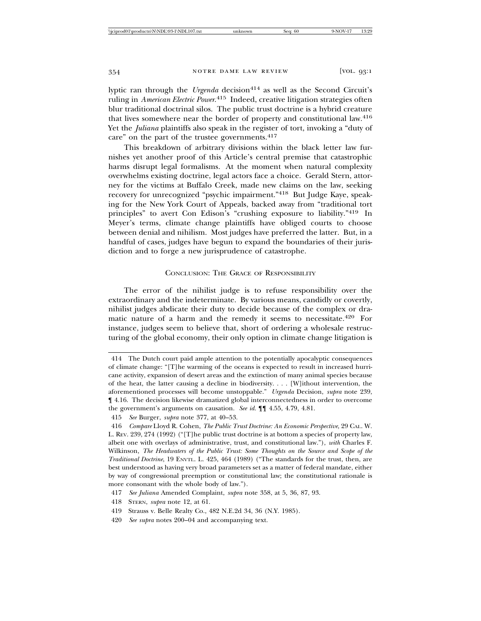lyptic ran through the *Urgenda* decision<sup>414</sup> as well as the Second Circuit's ruling in *American Electric Power*. 415 Indeed, creative litigation strategies often blur traditional doctrinal silos. The public trust doctrine is a hybrid creature that lives somewhere near the border of property and constitutional law.<sup>416</sup> Yet the *Juliana* plaintiffs also speak in the register of tort, invoking a "duty of care" on the part of the trustee governments.<sup>417</sup>

This breakdown of arbitrary divisions within the black letter law furnishes yet another proof of this Article's central premise that catastrophic harms disrupt legal formalisms. At the moment when natural complexity overwhelms existing doctrine, legal actors face a choice. Gerald Stern, attorney for the victims at Buffalo Creek, made new claims on the law, seeking recovery for unrecognized "psychic impairment."418 But Judge Kaye, speaking for the New York Court of Appeals, backed away from "traditional tort principles" to avert Con Edison's "crushing exposure to liability."419 In Meyer's terms, climate change plaintiffs have obliged courts to choose between denial and nihilism. Most judges have preferred the latter. But, in a handful of cases, judges have begun to expand the boundaries of their jurisdiction and to forge a new jurisprudence of catastrophe.

# CONCLUSION: THE GRACE OF RESPONSIBILITY

The error of the nihilist judge is to refuse responsibility over the extraordinary and the indeterminate. By various means, candidly or covertly, nihilist judges abdicate their duty to decide because of the complex or dramatic nature of a harm and the remedy it seems to necessitate.420 For instance, judges seem to believe that, short of ordering a wholesale restructuring of the global economy, their only option in climate change litigation is

<sup>414</sup> The Dutch court paid ample attention to the potentially apocalyptic consequences of climate change: "[T]he warming of the oceans is expected to result in increased hurricane activity, expansion of desert areas and the extinction of many animal species because of the heat, the latter causing a decline in biodiversity. . . . [W]ithout intervention, the aforementioned processes will become unstoppable." *Urgenda* Decision, *supra* note 239, ¶ 4.16. The decision likewise dramatized global interconnectedness in order to overcome the government's arguments on causation. *See id.* ¶¶ 4.55, 4.79, 4.81.

<sup>415</sup> *See* Burger, *supra* note 377, at 40–53.

<sup>416</sup> *Compare* Lloyd R. Cohen, *The Public Trust Doctrine: An Economic Perspective*, 29 CAL. W. L. REV. 239, 274 (1992) ("[T]he public trust doctrine is at bottom a species of property law, albeit one with overlays of administrative, trust, and constitutional law."), *with* Charles F. Wilkinson, *The Headwaters of the Public Trust: Some Thoughts on the Source and Scope of the Traditional Doctrine*, 19 ENVTL. L. 425, 464 (1989) ("The standards for the trust, then, are best understood as having very broad parameters set as a matter of federal mandate, either by way of congressional preemption or constitutional law; the constitutional rationale is more consonant with the whole body of law.").

<sup>417</sup> *See Juliana* Amended Complaint, *supra* note 358, at 5, 36, 87, 93.

<sup>418</sup> STERN, *supra* note 12, at 61.

<sup>419</sup> Strauss v. Belle Realty Co., 482 N.E.2d 34, 36 (N.Y. 1985).

<sup>420</sup> *See supra* notes 200–04 and accompanying text.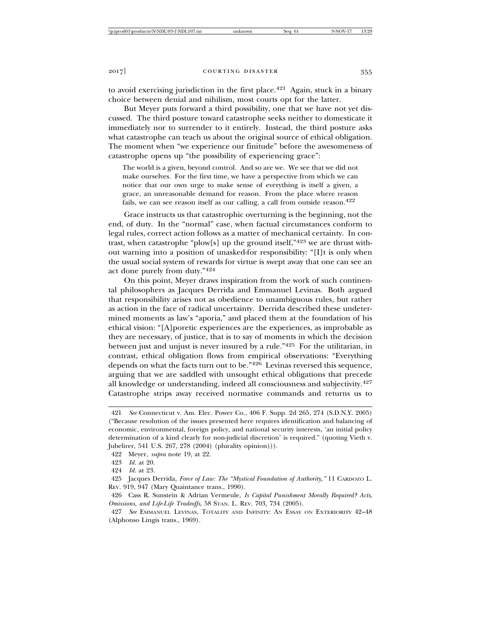to avoid exercising jurisdiction in the first place.<sup>421</sup> Again, stuck in a binary choice between denial and nihilism, most courts opt for the latter.

But Meyer puts forward a third possibility, one that we have not yet discussed. The third posture toward catastrophe seeks neither to domesticate it immediately nor to surrender to it entirely. Instead, the third posture asks what catastrophe can teach us about the original source of ethical obligation. The moment when "we experience our finitude" before the awesomeness of catastrophe opens up "the possibility of experiencing grace":

The world is a given, beyond control. And so are we. We see that we did not make ourselves. For the first time, we have a perspective from which we can notice that our own urge to make sense of everything is itself a given, a grace, an unreasonable demand for reason. From the place where reason fails, we can see reason itself as our calling, a call from outside reason.  $422$ 

Grace instructs us that catastrophic overturning is the beginning, not the end, of duty. In the "normal" case, when factual circumstances conform to legal rules, correct action follows as a matter of mechanical certainty. In contrast, when catastrophe "plow[s] up the ground itself,"423 we are thrust without warning into a position of unasked-for responsibility: "[I]t is only when the usual social system of rewards for virtue is swept away that one can see an act done purely from duty."<sup>424</sup>

On this point, Meyer draws inspiration from the work of such continental philosophers as Jacques Derrida and Emmanuel Levinas. Both argued that responsibility arises not as obedience to unambiguous rules, but rather as action in the face of radical uncertainty. Derrida described these undetermined moments as law's "aporia," and placed them at the foundation of his ethical vision: "[A]poretic experiences are the experiences, as improbable as they are necessary, of justice, that is to say of moments in which the decision between just and unjust is never insured by a rule."425 For the utilitarian, in contrast, ethical obligation flows from empirical observations: "Everything depends on what the facts turn out to be." $42\overline{6}$  Levinas reversed this sequence, arguing that we are saddled with unsought ethical obligations that precede all knowledge or understanding, indeed all consciousness and subjectivity.<sup>427</sup> Catastrophe strips away received normative commands and returns us to

<sup>421</sup> *See* Connecticut v. Am. Elec. Power Co., 406 F. Supp. 2d 265, 274 (S.D.N.Y. 2005) ("Because resolution of the issues presented here requires identification and balancing of economic, environmental, foreign policy, and national security interests, 'an initial policy determination of a kind clearly for non-judicial discretion' is required." (quoting Vieth v. Jubelirer, 541 U.S. 267, 278 (2004) (plurality opinion))).

<sup>422</sup> Meyer, *supra* note 19, at 22.

<sup>423</sup> *Id.* at 20.

<sup>424</sup> *Id.* at 23.

<sup>425</sup> Jacques Derrida, *Force of Law: The "Mystical Foundation of Authority*,*"* 11 CARDOZO L. REV. 919, 947 (Mary Quaintance trans., 1990).

<sup>426</sup> Cass R. Sunstein & Adrian Vermeule, *Is Capital Punishment Morally Required? Acts, Omissions, and Life-Life Tradeoffs*, 58 STAN. L. REV. 703, 734 (2005).

<sup>427</sup> *See* EMMANUEL LEVINAS, TOTALITY AND INFINITY: AN ESSAY ON EXTERIORITY 42–48 (Alphonso Lingis trans., 1969).